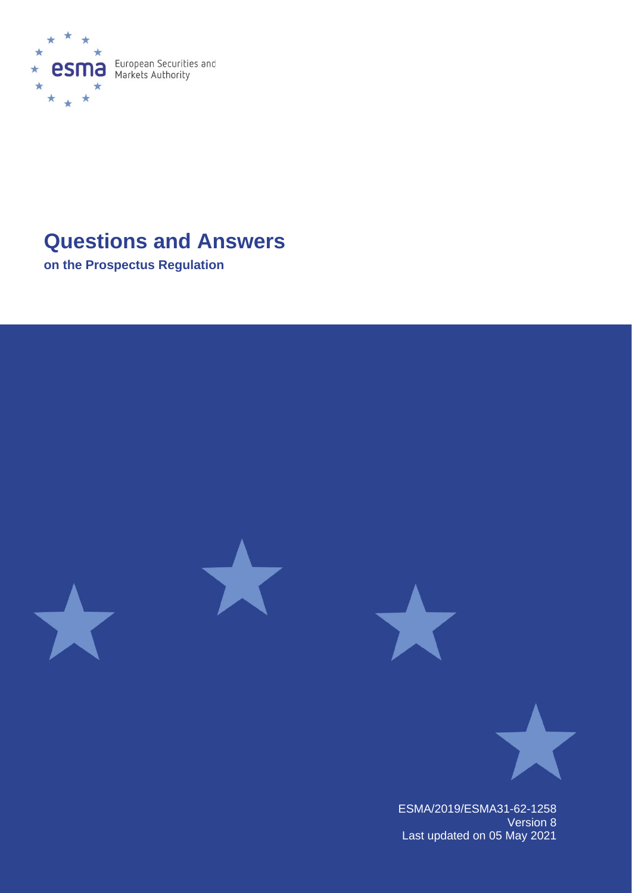

# **Questions and Answers**

**on the Prospectus Regulation**



ESMA/2019/ESMA31-62-1258 Version 8 Last updated on 05 May 2021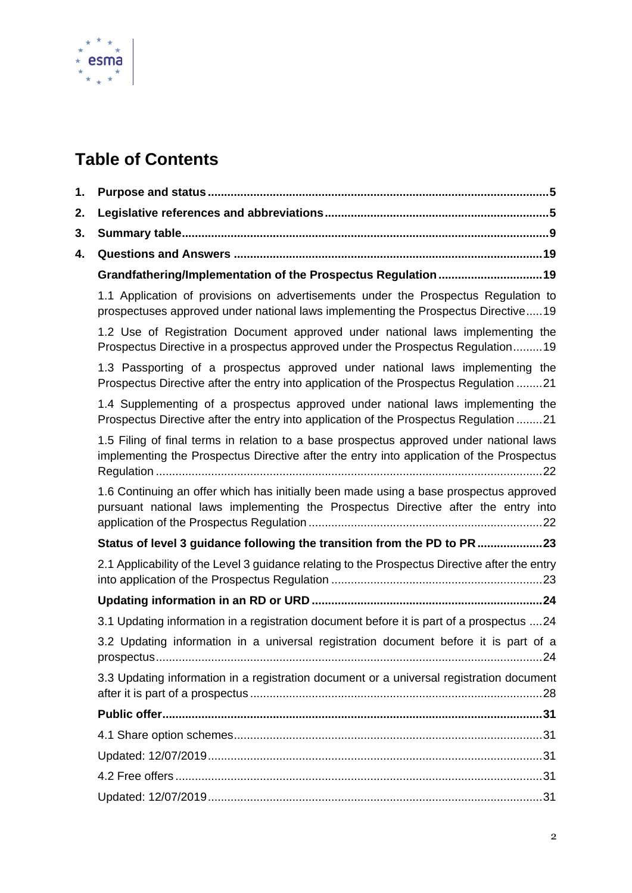

# **Table of Contents**

| 1. |                                                                                                                                                                                     |
|----|-------------------------------------------------------------------------------------------------------------------------------------------------------------------------------------|
| 2. |                                                                                                                                                                                     |
| 3. |                                                                                                                                                                                     |
| 4. |                                                                                                                                                                                     |
|    | Grandfathering/Implementation of the Prospectus Regulation 19                                                                                                                       |
|    | 1.1 Application of provisions on advertisements under the Prospectus Regulation to<br>prospectuses approved under national laws implementing the Prospectus Directive19             |
|    | 1.2 Use of Registration Document approved under national laws implementing the<br>Prospectus Directive in a prospectus approved under the Prospectus Regulation19                   |
|    | 1.3 Passporting of a prospectus approved under national laws implementing the<br>Prospectus Directive after the entry into application of the Prospectus Regulation 21              |
|    | 1.4 Supplementing of a prospectus approved under national laws implementing the<br>Prospectus Directive after the entry into application of the Prospectus Regulation 21            |
|    | 1.5 Filing of final terms in relation to a base prospectus approved under national laws<br>implementing the Prospectus Directive after the entry into application of the Prospectus |
|    | 1.6 Continuing an offer which has initially been made using a base prospectus approved<br>pursuant national laws implementing the Prospectus Directive after the entry into         |
|    | Status of level 3 guidance following the transition from the PD to PR 23                                                                                                            |
|    | 2.1 Applicability of the Level 3 guidance relating to the Prospectus Directive after the entry                                                                                      |
|    |                                                                                                                                                                                     |
|    | 3.1 Updating information in a registration document before it is part of a prospectus 24                                                                                            |
|    | 3.2 Updating information in a universal registration document before it is part of a                                                                                                |
|    | 3.3 Updating information in a registration document or a universal registration document                                                                                            |
|    |                                                                                                                                                                                     |
|    |                                                                                                                                                                                     |
|    |                                                                                                                                                                                     |
|    |                                                                                                                                                                                     |
|    |                                                                                                                                                                                     |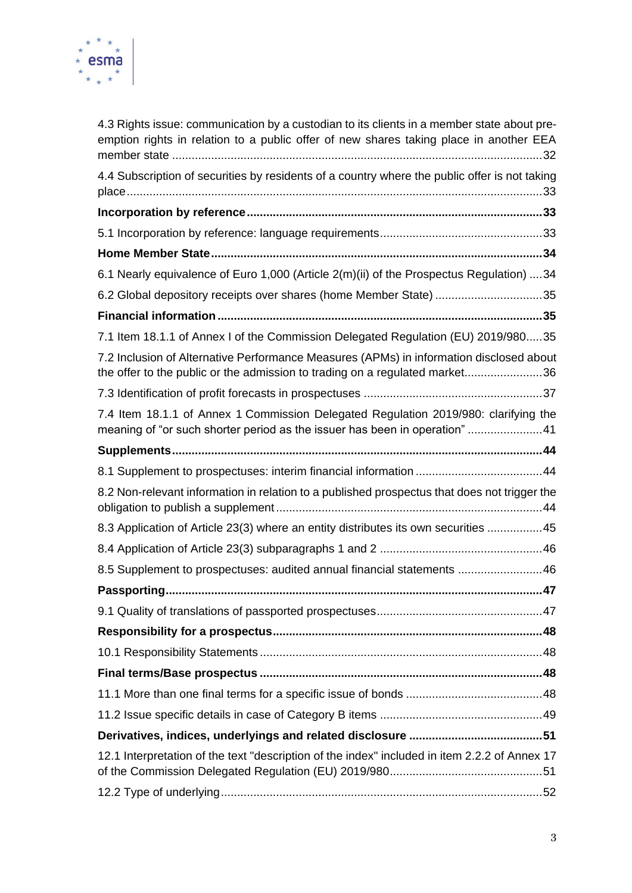

| 4.3 Rights issue: communication by a custodian to its clients in a member state about pre-<br>emption rights in relation to a public offer of new shares taking place in another EEA |  |
|--------------------------------------------------------------------------------------------------------------------------------------------------------------------------------------|--|
| 4.4 Subscription of securities by residents of a country where the public offer is not taking                                                                                        |  |
|                                                                                                                                                                                      |  |
|                                                                                                                                                                                      |  |
|                                                                                                                                                                                      |  |
| 6.1 Nearly equivalence of Euro 1,000 (Article 2(m)(ii) of the Prospectus Regulation) 34                                                                                              |  |
| 6.2 Global depository receipts over shares (home Member State) 35                                                                                                                    |  |
|                                                                                                                                                                                      |  |
| 7.1 Item 18.1.1 of Annex I of the Commission Delegated Regulation (EU) 2019/98035                                                                                                    |  |
| 7.2 Inclusion of Alternative Performance Measures (APMs) in information disclosed about<br>the offer to the public or the admission to trading on a regulated market36               |  |
|                                                                                                                                                                                      |  |
| 7.4 Item 18.1.1 of Annex 1 Commission Delegated Regulation 2019/980: clarifying the<br>meaning of "or such shorter period as the issuer has been in operation" 41                    |  |
|                                                                                                                                                                                      |  |
|                                                                                                                                                                                      |  |
| 8.2 Non-relevant information in relation to a published prospectus that does not trigger the                                                                                         |  |
| 8.3 Application of Article 23(3) where an entity distributes its own securities 45                                                                                                   |  |
|                                                                                                                                                                                      |  |
| 8.5 Supplement to prospectuses: audited annual financial statements 46                                                                                                               |  |
| 47                                                                                                                                                                                   |  |
|                                                                                                                                                                                      |  |
|                                                                                                                                                                                      |  |
|                                                                                                                                                                                      |  |
|                                                                                                                                                                                      |  |
|                                                                                                                                                                                      |  |
|                                                                                                                                                                                      |  |
|                                                                                                                                                                                      |  |
| 12.1 Interpretation of the text "description of the index" included in item 2.2.2 of Annex 17                                                                                        |  |
|                                                                                                                                                                                      |  |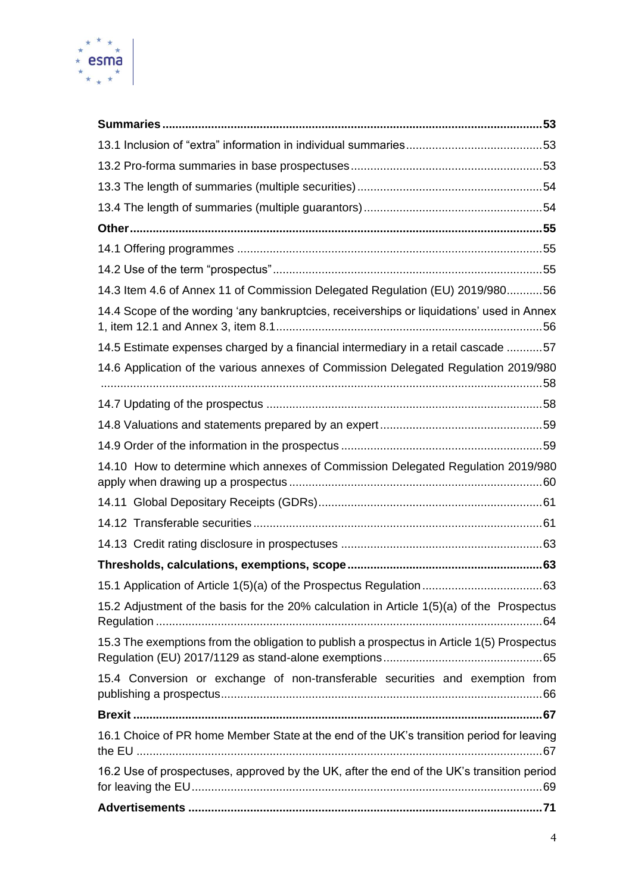

| 14.3 Item 4.6 of Annex 11 of Commission Delegated Regulation (EU) 2019/98056               |  |
|--------------------------------------------------------------------------------------------|--|
| 14.4 Scope of the wording 'any bankruptcies, receiverships or liquidations' used in Annex  |  |
| 14.5 Estimate expenses charged by a financial intermediary in a retail cascade 57          |  |
| 14.6 Application of the various annexes of Commission Delegated Regulation 2019/980        |  |
|                                                                                            |  |
|                                                                                            |  |
|                                                                                            |  |
| 14.10 How to determine which annexes of Commission Delegated Regulation 2019/980           |  |
|                                                                                            |  |
|                                                                                            |  |
|                                                                                            |  |
|                                                                                            |  |
|                                                                                            |  |
| 15.2 Adjustment of the basis for the 20% calculation in Article 1(5)(a) of the Prospectus  |  |
| 15.3 The exemptions from the obligation to publish a prospectus in Article 1(5) Prospectus |  |
| 15.4 Conversion or exchange of non-transferable securities and exemption from              |  |
|                                                                                            |  |
| 16.1 Choice of PR home Member State at the end of the UK's transition period for leaving   |  |
| 16.2 Use of prospectuses, approved by the UK, after the end of the UK's transition period  |  |
|                                                                                            |  |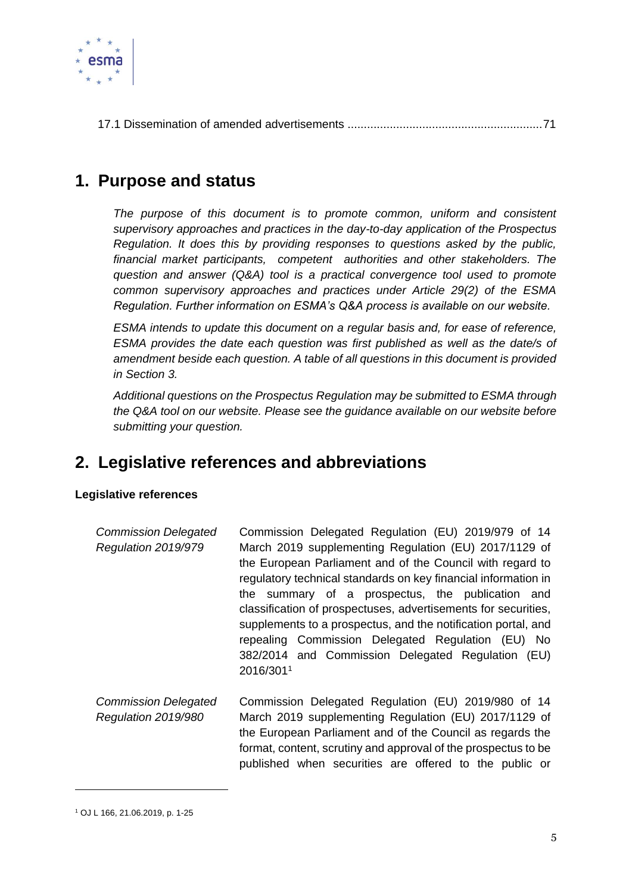

[17.1 Dissemination of amended advertisements](#page-71-1) ............................................................71

## <span id="page-5-0"></span>**1. Purpose and status**

*The purpose of this document is to promote common, uniform and consistent supervisory approaches and practices in the day-to-day application of the Prospectus Regulation. It does this by providing responses to questions asked by the public, financial market participants, competent authorities and other stakeholders. The question and answer (Q&A) tool is a practical convergence tool used to promote common supervisory approaches and practices under Article 29(2) of the ESMA Regulation. Further information on ESMA's Q&A process is available on our website.* 

*ESMA intends to update this document on a regular basis and, for ease of reference, ESMA provides the date each question was first published as well as the date/s of amendment beside each question. A table of all questions in this document is provided in Section 3.* 

*Additional questions on the Prospectus Regulation may be submitted to ESMA through the Q&A tool on our website. Please see the guidance available on our website before submitting your question.*

## <span id="page-5-1"></span>**2. Legislative references and abbreviations**

### **Legislative references**

| <b>Commission Delegated</b> | Commission Delegated Regulation (EU) 2019/979 of 14            |  |  |  |  |
|-----------------------------|----------------------------------------------------------------|--|--|--|--|
| Regulation 2019/979         | March 2019 supplementing Regulation (EU) 2017/1129 of          |  |  |  |  |
|                             | the European Parliament and of the Council with regard to      |  |  |  |  |
|                             | regulatory technical standards on key financial information in |  |  |  |  |
|                             | the summary of a prospectus, the publication and               |  |  |  |  |
|                             | classification of prospectuses, advertisements for securities, |  |  |  |  |
|                             | supplements to a prospectus, and the notification portal, and  |  |  |  |  |
|                             | repealing Commission Delegated Regulation (EU) No              |  |  |  |  |
|                             | 382/2014 and Commission Delegated Regulation (EU)              |  |  |  |  |
|                             | 2016/3011                                                      |  |  |  |  |
| Commission Deleasted        | Commission Delegated Requistion (EU) 2019/080 of 14            |  |  |  |  |

*Commission Delegated Regulation 2019/980* Commission Delegated Regulation (EU) 2019/980 of 14 March 2019 supplementing Regulation (EU) 2017/1129 of the European Parliament and of the Council as regards the format, content, scrutiny and approval of the prospectus to be published when securities are offered to the public or

<sup>1</sup> OJ L 166, 21.06.2019, p. 1-25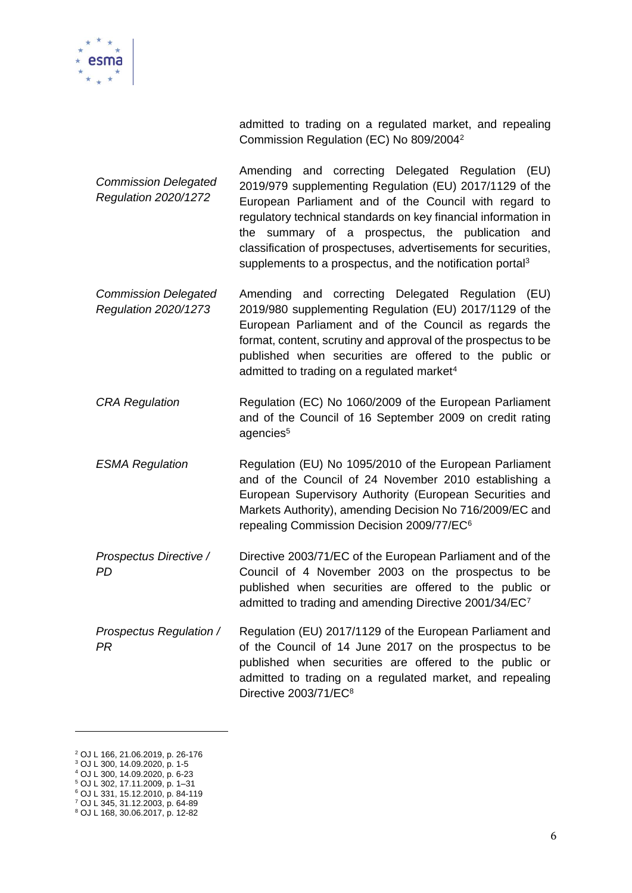

admitted to trading on a regulated market, and repealing Commission Regulation (EC) No 809/2004<sup>2</sup>

- *Commission Delegated Regulation 2020/1272* Amending and correcting Delegated Regulation (EU) 2019/979 supplementing Regulation (EU) 2017/1129 of the European Parliament and of the Council with regard to regulatory technical standards on key financial information in the summary of a prospectus, the publication and classification of prospectuses, advertisements for securities, supplements to a prospectus, and the notification portal<sup>3</sup>
- *Commission Delegated Regulation 2020/1273* Amending and correcting Delegated Regulation (EU) 2019/980 supplementing Regulation (EU) 2017/1129 of the European Parliament and of the Council as regards the format, content, scrutiny and approval of the prospectus to be published when securities are offered to the public or admitted to trading on a regulated market<sup>4</sup>
- *CRA Regulation* Regulation (EC) No 1060/2009 of the European Parliament and of the Council of 16 September 2009 on credit rating agencies<sup>5</sup>
- *ESMA Regulation* Regulation (EU) No 1095/2010 of the European Parliament and of the Council of 24 November 2010 establishing a European Supervisory Authority (European Securities and Markets Authority), amending Decision No 716/2009/EC and repealing Commission Decision 2009/77/EC<sup>6</sup>
- *Prospectus Directive / PD* Directive 2003/71/EC of the European Parliament and of the Council of 4 November 2003 on the prospectus to be published when securities are offered to the public or admitted to trading and amending Directive 2001/34/EC<sup>7</sup>
- *Prospectus Regulation / PR* Regulation (EU) 2017/1129 of the European Parliament and of the Council of 14 June 2017 on the prospectus to be published when securities are offered to the public or admitted to trading on a regulated market, and repealing Directive 2003/71/EC<sup>8</sup>

<sup>2</sup> OJ L 166, 21.06.2019, p. 26-176

<sup>3</sup> OJ L 300, 14.09.2020, p. 1-5 <sup>4</sup> OJ L 300, 14.09.2020, p. 6-23

<sup>5</sup> OJ L 302, 17.11.2009, p. 1–31

<sup>6</sup> OJ L 331, 15.12.2010, p. 84-119

<sup>7</sup> OJ L 345, 31.12.2003, p. 64-89

<sup>8</sup> OJ L 168, 30.06.2017, p. 12-82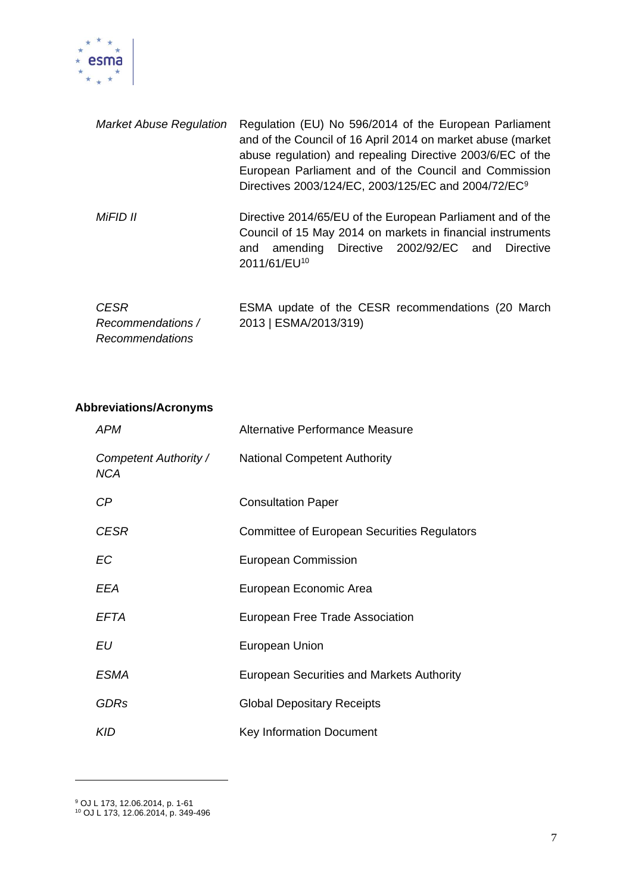

| <b>Market Abuse Regulation</b>                      | Regulation (EU) No 596/2014 of the European Parliament<br>and of the Council of 16 April 2014 on market abuse (market<br>abuse regulation) and repealing Directive 2003/6/EC of the<br>European Parliament and of the Council and Commission<br>Directives 2003/124/EC, 2003/125/EC and 2004/72/EC <sup>9</sup> |  |
|-----------------------------------------------------|-----------------------------------------------------------------------------------------------------------------------------------------------------------------------------------------------------------------------------------------------------------------------------------------------------------------|--|
| MiFID II                                            | Directive 2014/65/EU of the European Parliament and of the<br>Council of 15 May 2014 on markets in financial instruments<br>amending Directive 2002/92/EC and<br>Directive<br>and<br>2011/61/EU <sup>10</sup>                                                                                                   |  |
| <b>CESR</b><br>Recommendations /<br>Recommendations | ESMA update of the CESR recommendations (20 March)<br>2013   ESMA/2013/319)                                                                                                                                                                                                                                     |  |

## **Abbreviations/Acronyms**

| APM                                 | Alternative Performance Measure                    |
|-------------------------------------|----------------------------------------------------|
| Competent Authority /<br><b>NCA</b> | <b>National Competent Authority</b>                |
| СP                                  | <b>Consultation Paper</b>                          |
| <b>CESR</b>                         | <b>Committee of European Securities Regulators</b> |
| EC                                  | European Commission                                |
| EEA                                 | European Economic Area                             |
| EFTA                                | European Free Trade Association                    |
| EU                                  | European Union                                     |
| ESMA                                | European Securities and Markets Authority          |
| <b>GDRs</b>                         | <b>Global Depositary Receipts</b>                  |
| <b>KID</b>                          | <b>Key Information Document</b>                    |

<sup>9</sup> OJ L 173, 12.06.2014, p. 1-61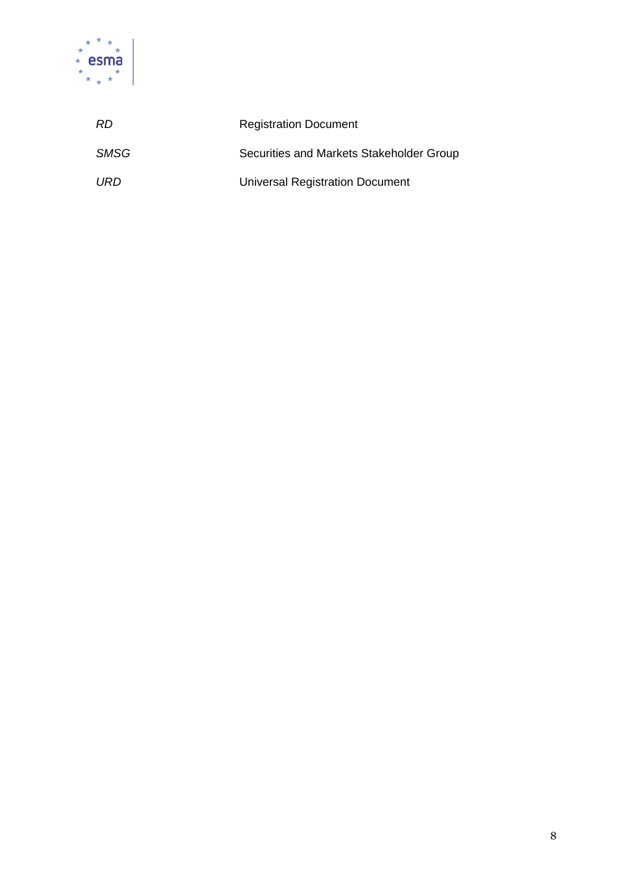

| RD.  | <b>Registration Document</b>             |
|------|------------------------------------------|
| SMSG | Securities and Markets Stakeholder Group |
| URD  | Universal Registration Document          |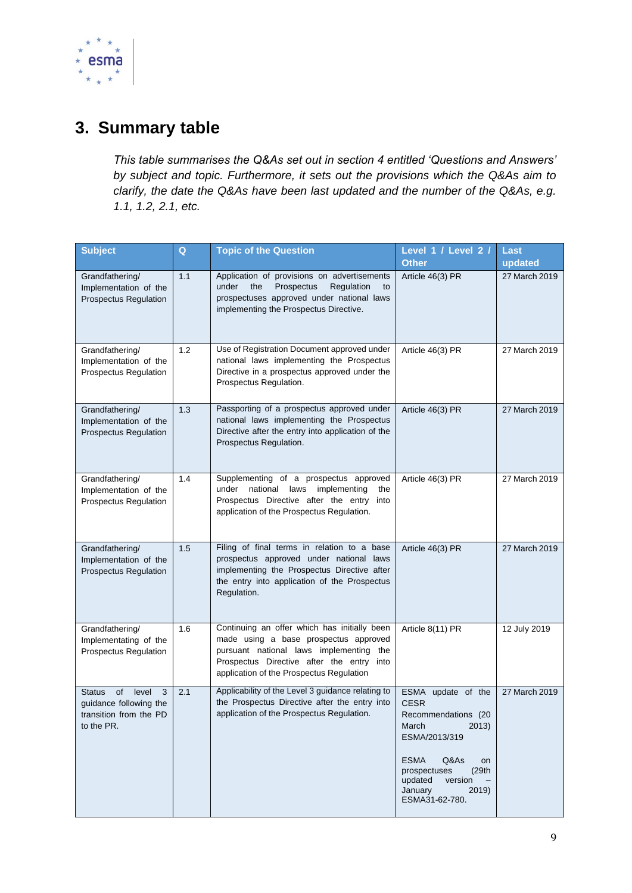

# <span id="page-9-0"></span>**3. Summary table**

*This table summarises the Q&As set out in section 4 entitled 'Questions and Answers' by subject and topic. Furthermore, it sets out the provisions which the Q&As aim to clarify, the date the Q&As have been last updated and the number of the Q&As, e.g. 1.1, 1.2, 2.1, etc.* 

| <b>Subject</b>                                                                                        | Q   | <b>Topic of the Question</b>                                                                                                                                                                                              | Level 1 / Level 2 /<br><b>Other</b>                                                                                                                                                                            | Last<br>updated |
|-------------------------------------------------------------------------------------------------------|-----|---------------------------------------------------------------------------------------------------------------------------------------------------------------------------------------------------------------------------|----------------------------------------------------------------------------------------------------------------------------------------------------------------------------------------------------------------|-----------------|
| Grandfathering/<br>Implementation of the<br>Prospectus Regulation                                     | 1.1 | Application of provisions on advertisements<br>under<br>the<br>Prospectus<br>Regulation<br>to<br>prospectuses approved under national laws<br>implementing the Prospectus Directive.                                      | Article 46(3) PR                                                                                                                                                                                               | 27 March 2019   |
| Grandfathering/<br>Implementation of the<br>Prospectus Regulation                                     | 1.2 | Use of Registration Document approved under<br>national laws implementing the Prospectus<br>Directive in a prospectus approved under the<br>Prospectus Regulation.                                                        | Article 46(3) PR                                                                                                                                                                                               | 27 March 2019   |
| Grandfathering/<br>Implementation of the<br><b>Prospectus Regulation</b>                              | 1.3 | Passporting of a prospectus approved under<br>national laws implementing the Prospectus<br>Directive after the entry into application of the<br>Prospectus Regulation.                                                    | Article 46(3) PR                                                                                                                                                                                               | 27 March 2019   |
| Grandfathering/<br>Implementation of the<br>Prospectus Regulation                                     | 1.4 | Supplementing of a prospectus approved<br>under national laws implementing<br>the<br>Prospectus Directive after the entry into<br>application of the Prospectus Regulation.                                               | Article 46(3) PR                                                                                                                                                                                               | 27 March 2019   |
| Grandfathering/<br>Implementation of the<br><b>Prospectus Regulation</b>                              | 1.5 | Filing of final terms in relation to a base<br>prospectus approved under national laws<br>implementing the Prospectus Directive after<br>the entry into application of the Prospectus<br>Regulation.                      | Article 46(3) PR                                                                                                                                                                                               | 27 March 2019   |
| Grandfathering/<br>Implementating of the<br>Prospectus Regulation                                     | 1.6 | Continuing an offer which has initially been<br>made using a base prospectus approved<br>pursuant national laws implementing the<br>Prospectus Directive after the entry into<br>application of the Prospectus Regulation | Article 8(11) PR                                                                                                                                                                                               | 12 July 2019    |
| of b<br>level<br>3<br><b>Status</b><br>guidance following the<br>transition from the PD<br>to the PR. | 2.1 | Applicability of the Level 3 guidance relating to<br>the Prospectus Directive after the entry into<br>application of the Prospectus Regulation.                                                                           | ESMA update of the<br><b>CESR</b><br>Recommendations (20<br>March<br>2013)<br>ESMA/2013/319<br><b>ESMA</b><br>Q&As<br>on<br>(29th)<br>prospectuses<br>version<br>updated<br>January<br>2019)<br>ESMA31-62-780. | 27 March 2019   |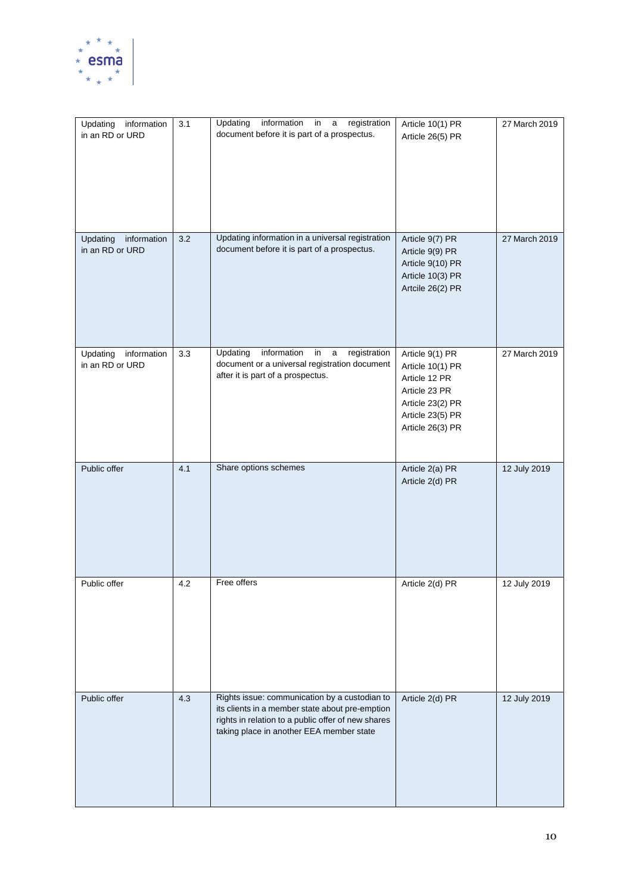

| Updating information<br>in an RD or URD    | 3.1 | Updating<br>information<br>in<br>registration<br>$\mathsf a$<br>document before it is part of a prospectus.                                                                                        | Article 10(1) PR<br>Article 26(5) PR                                                                                              | 27 March 2019 |
|--------------------------------------------|-----|----------------------------------------------------------------------------------------------------------------------------------------------------------------------------------------------------|-----------------------------------------------------------------------------------------------------------------------------------|---------------|
| Updating<br>information<br>in an RD or URD | 3.2 | Updating information in a universal registration<br>document before it is part of a prospectus.                                                                                                    | Article 9(7) PR<br>Article 9(9) PR<br>Article 9(10) PR<br>Article 10(3) PR<br>Artcile 26(2) PR                                    | 27 March 2019 |
| Updating<br>information<br>in an RD or URD | 3.3 | registration<br>Updating<br>information<br>in<br>$\mathsf{a}$<br>document or a universal registration document<br>after it is part of a prospectus.                                                | Article 9(1) PR<br>Article 10(1) PR<br>Article 12 PR<br>Article 23 PR<br>Article 23(2) PR<br>Article 23(5) PR<br>Article 26(3) PR | 27 March 2019 |
| Public offer                               | 4.1 | Share options schemes                                                                                                                                                                              | Article 2(a) PR<br>Article 2(d) PR                                                                                                | 12 July 2019  |
| Public offer                               | 4.2 | Free offers                                                                                                                                                                                        | Article 2(d) PR                                                                                                                   | 12 July 2019  |
| Public offer                               | 4.3 | Rights issue: communication by a custodian to<br>its clients in a member state about pre-emption<br>rights in relation to a public offer of new shares<br>taking place in another EEA member state | Article 2(d) PR                                                                                                                   | 12 July 2019  |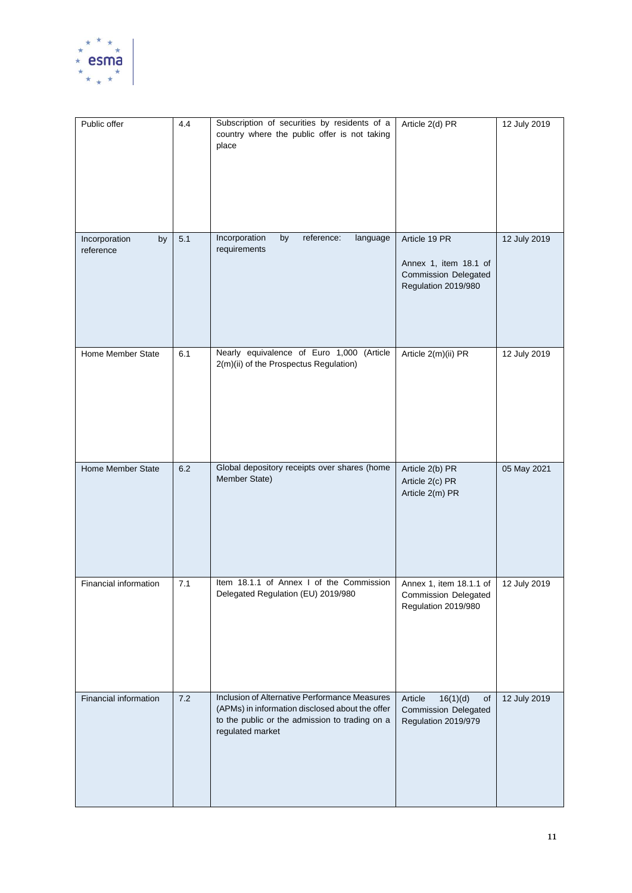

| Public offer                     | 4.4 | Subscription of securities by residents of a<br>country where the public offer is not taking<br>place                                                                  | Article 2(d) PR                                                                              | 12 July 2019 |
|----------------------------------|-----|------------------------------------------------------------------------------------------------------------------------------------------------------------------------|----------------------------------------------------------------------------------------------|--------------|
| Incorporation<br>by<br>reference | 5.1 | Incorporation<br>by<br>reference:<br>language<br>requirements                                                                                                          | Article 19 PR<br>Annex 1, item 18.1 of<br><b>Commission Delegated</b><br>Regulation 2019/980 | 12 July 2019 |
| Home Member State                | 6.1 | Nearly equivalence of Euro 1,000 (Article<br>2(m)(ii) of the Prospectus Regulation)                                                                                    | Article 2(m)(ii) PR                                                                          | 12 July 2019 |
| Home Member State                | 6.2 | Global depository receipts over shares (home<br>Member State)                                                                                                          | Article 2(b) PR<br>Article 2(c) PR<br>Article 2(m) PR                                        | 05 May 2021  |
| Financial information            | 7.1 | Item 18.1.1 of Annex I of the Commission<br>Delegated Regulation (EU) 2019/980                                                                                         | Annex 1, item 18.1.1 of<br><b>Commission Delegated</b><br>Regulation 2019/980                | 12 July 2019 |
| Financial information            | 7.2 | Inclusion of Alternative Performance Measures<br>(APMs) in information disclosed about the offer<br>to the public or the admission to trading on a<br>regulated market | Article<br>16(1)(d)<br>of<br><b>Commission Delegated</b><br>Regulation 2019/979              | 12 July 2019 |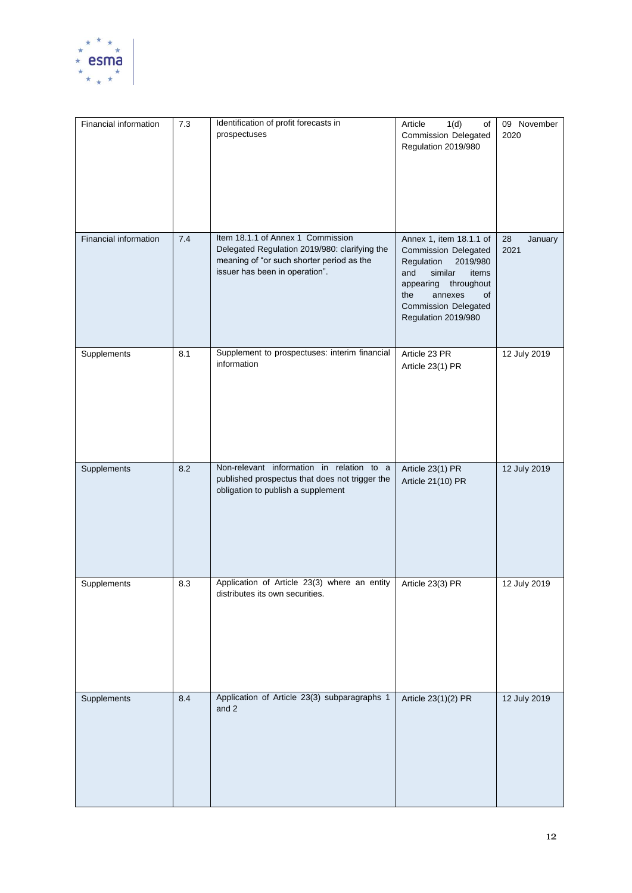

| Financial information | $7.3$ | Identification of profit forecasts in<br>prospectuses                                                                                                             | 1(d)<br>Article<br>of<br><b>Commission Delegated</b><br>Regulation 2019/980                                                                                                                                          | 09 November<br>2020   |
|-----------------------|-------|-------------------------------------------------------------------------------------------------------------------------------------------------------------------|----------------------------------------------------------------------------------------------------------------------------------------------------------------------------------------------------------------------|-----------------------|
| Financial information | 7.4   | Item 18.1.1 of Annex 1 Commission<br>Delegated Regulation 2019/980: clarifying the<br>meaning of "or such shorter period as the<br>issuer has been in operation". | Annex 1, item 18.1.1 of<br><b>Commission Delegated</b><br>Regulation<br>2019/980<br>similar<br>and<br>items<br>appearing<br>throughout<br>the<br>annexes<br>of<br><b>Commission Delegated</b><br>Regulation 2019/980 | 28<br>January<br>2021 |
| Supplements           | 8.1   | Supplement to prospectuses: interim financial<br>information                                                                                                      | Article 23 PR<br>Article 23(1) PR                                                                                                                                                                                    | 12 July 2019          |
| Supplements           | 8.2   | Non-relevant information in relation to a<br>published prospectus that does not trigger the<br>obligation to publish a supplement                                 | Article 23(1) PR<br>Article 21(10) PR                                                                                                                                                                                | 12 July 2019          |
| Supplements           | 8.3   | Application of Article 23(3) where an entity<br>distributes its own securities.                                                                                   | Article 23(3) PR                                                                                                                                                                                                     | 12 July 2019          |
| Supplements           | 8.4   | Application of Article 23(3) subparagraphs 1<br>and 2                                                                                                             | Article 23(1)(2) PR                                                                                                                                                                                                  | 12 July 2019          |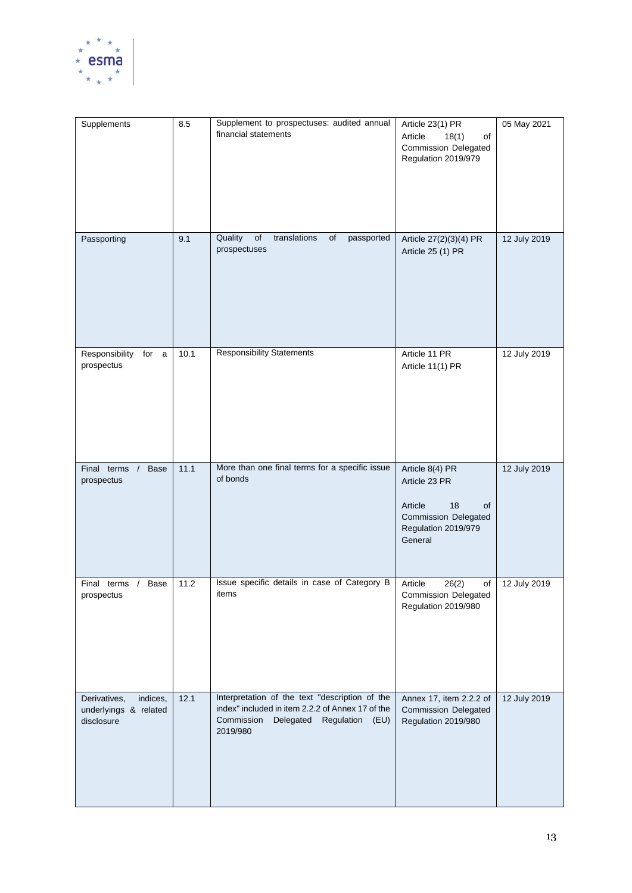

| Supplements                                                     | 8.5  | Supplement to prospectuses: audited annual<br>financial statements                                                                                              | Article 23(1) PR<br>Article<br>18(1)<br>of<br><b>Commission Delegated</b><br>Regulation 2019/979                         | 05 May 2021  |
|-----------------------------------------------------------------|------|-----------------------------------------------------------------------------------------------------------------------------------------------------------------|--------------------------------------------------------------------------------------------------------------------------|--------------|
| Passporting                                                     | 9.1  | Quality<br>translations<br>of<br>passported<br>of<br>prospectuses                                                                                               | Article 27(2)(3)(4) PR<br>Article 25 (1) PR                                                                              | 12 July 2019 |
| Responsibility<br>for a<br>prospectus                           | 10.1 | <b>Responsibility Statements</b>                                                                                                                                | Article 11 PR<br>Article 11(1) PR                                                                                        | 12 July 2019 |
| Final terms /<br><b>Base</b><br>prospectus                      | 11.1 | More than one final terms for a specific issue<br>of bonds                                                                                                      | Article 8(4) PR<br>Article 23 PR<br>18<br>Article<br>of<br><b>Commission Delegated</b><br>Regulation 2019/979<br>General | 12 July 2019 |
| Base<br>Final terms /<br>prospectus                             | 11.2 | Issue specific details in case of Category B<br>items                                                                                                           | Article<br>26(2)<br>of<br><b>Commission Delegated</b><br>Regulation 2019/980                                             | 12 July 2019 |
| Derivatives,<br>indices,<br>underlyings & related<br>disclosure | 12.1 | Interpretation of the text "description of the<br>index" included in item 2.2.2 of Annex 17 of the<br>Commission<br>Delegated<br>Regulation<br>(EU)<br>2019/980 | Annex 17, item 2.2.2 of<br><b>Commission Delegated</b><br>Regulation 2019/980                                            | 12 July 2019 |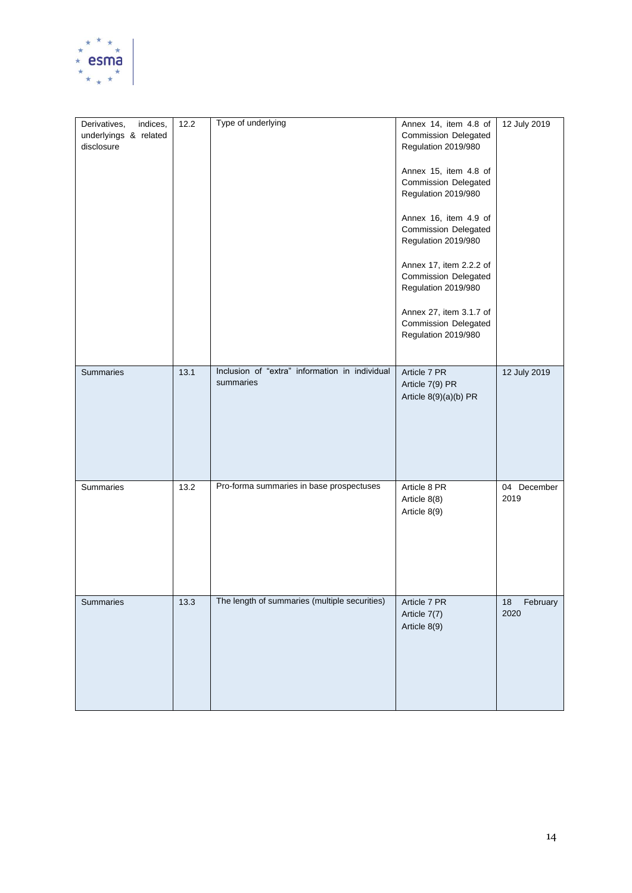

| indices,<br>Derivatives,<br>underlyings & related<br>disclosure | 12.2 | Type of underlying                                          | Annex 14, item 4.8 of<br><b>Commission Delegated</b><br>Regulation 2019/980<br>Annex 15, item 4.8 of<br><b>Commission Delegated</b><br>Regulation 2019/980<br>Annex 16, item 4.9 of<br><b>Commission Delegated</b><br>Regulation 2019/980<br>Annex 17, item 2.2.2 of<br><b>Commission Delegated</b><br>Regulation 2019/980<br>Annex 27, item 3.1.7 of<br><b>Commission Delegated</b><br>Regulation 2019/980 | 12 July 2019           |
|-----------------------------------------------------------------|------|-------------------------------------------------------------|-------------------------------------------------------------------------------------------------------------------------------------------------------------------------------------------------------------------------------------------------------------------------------------------------------------------------------------------------------------------------------------------------------------|------------------------|
| Summaries                                                       | 13.1 | Inclusion of "extra" information in individual<br>summaries | Article 7 PR<br>Article 7(9) PR<br>Article 8(9)(a)(b) PR                                                                                                                                                                                                                                                                                                                                                    | 12 July 2019           |
| Summaries                                                       | 13.2 | Pro-forma summaries in base prospectuses                    | Article 8 PR<br>Article 8(8)<br>Article 8(9)                                                                                                                                                                                                                                                                                                                                                                | 04 December<br>2019    |
| Summaries                                                       | 13.3 | The length of summaries (multiple securities)               | Article 7 PR<br>Article 7(7)<br>Article 8(9)                                                                                                                                                                                                                                                                                                                                                                | February<br>18<br>2020 |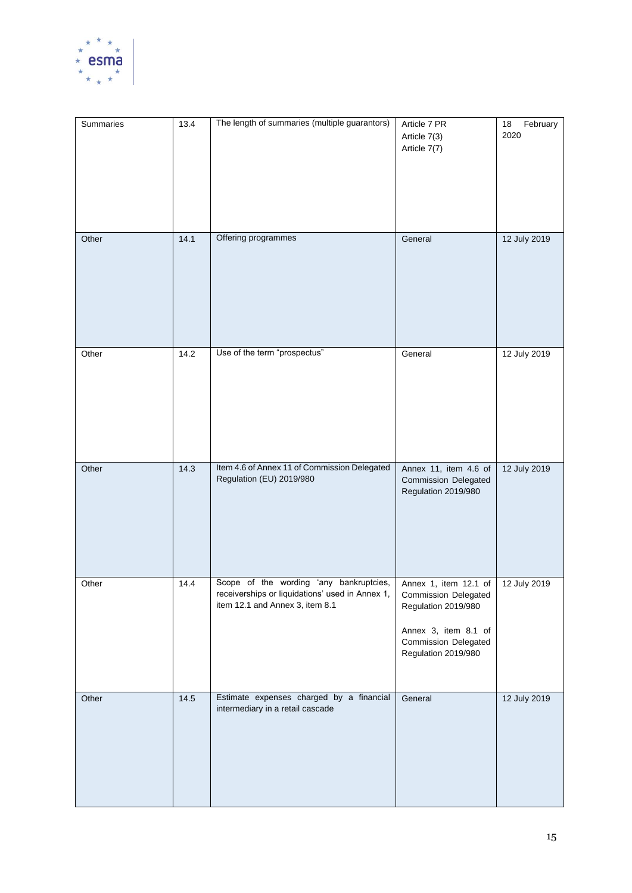

| Summaries | 13.4 | The length of summaries (multiple guarantors)                                                                                 | Article 7 PR<br>Article 7(3)<br>Article 7(7)                                                                                                       | 18<br>February<br>2020 |
|-----------|------|-------------------------------------------------------------------------------------------------------------------------------|----------------------------------------------------------------------------------------------------------------------------------------------------|------------------------|
| Other     | 14.1 | Offering programmes                                                                                                           | General                                                                                                                                            | 12 July 2019           |
| Other     | 14.2 | Use of the term "prospectus"                                                                                                  | General                                                                                                                                            | 12 July 2019           |
| Other     | 14.3 | Item 4.6 of Annex 11 of Commission Delegated<br>Regulation (EU) 2019/980                                                      | Annex 11, item 4.6 of<br><b>Commission Delegated</b><br>Regulation 2019/980                                                                        | 12 July 2019           |
| Other     | 14.4 | Scope of the wording 'any bankruptcies,<br>receiverships or liquidations' used in Annex 1,<br>item 12.1 and Annex 3, item 8.1 | Annex 1, item 12.1 of<br><b>Commission Delegated</b><br>Regulation 2019/980<br>Annex 3, item 8.1 of<br>Commission Delegated<br>Regulation 2019/980 | 12 July 2019           |
| Other     | 14.5 | Estimate expenses charged by a financial<br>intermediary in a retail cascade                                                  | General                                                                                                                                            | 12 July 2019           |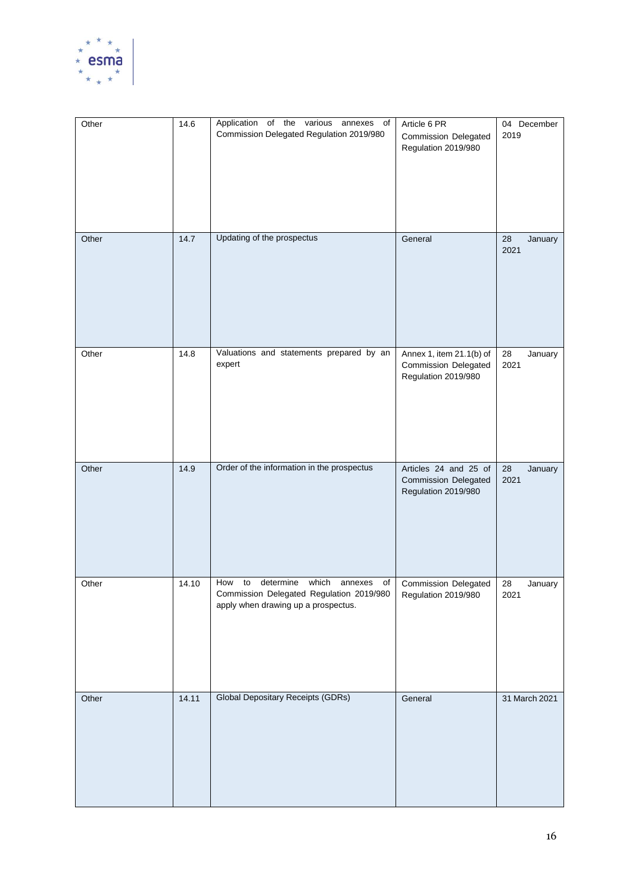

| Other | 14.6  | Application of the various annexes of<br>Commission Delegated Regulation 2019/980                                                   | Article 6 PR<br><b>Commission Delegated</b><br>Regulation 2019/980             | 04 December<br>2019   |
|-------|-------|-------------------------------------------------------------------------------------------------------------------------------------|--------------------------------------------------------------------------------|-----------------------|
| Other | 14.7  | Updating of the prospectus                                                                                                          | General                                                                        | 28<br>January<br>2021 |
| Other | 14.8  | Valuations and statements prepared by an<br>expert                                                                                  | Annex 1, item 21.1(b) of<br><b>Commission Delegated</b><br>Regulation 2019/980 | 28<br>January<br>2021 |
| Other | 14.9  | Order of the information in the prospectus                                                                                          | Articles 24 and 25 of<br><b>Commission Delegated</b><br>Regulation 2019/980    | 28<br>January<br>2021 |
| Other | 14.10 | How<br>determine<br>which<br>to<br>annexes<br>of<br>Commission Delegated Regulation 2019/980<br>apply when drawing up a prospectus. | <b>Commission Delegated</b><br>Regulation 2019/980                             | 28<br>January<br>2021 |
| Other | 14.11 | <b>Global Depositary Receipts (GDRs)</b>                                                                                            | General                                                                        | 31 March 2021         |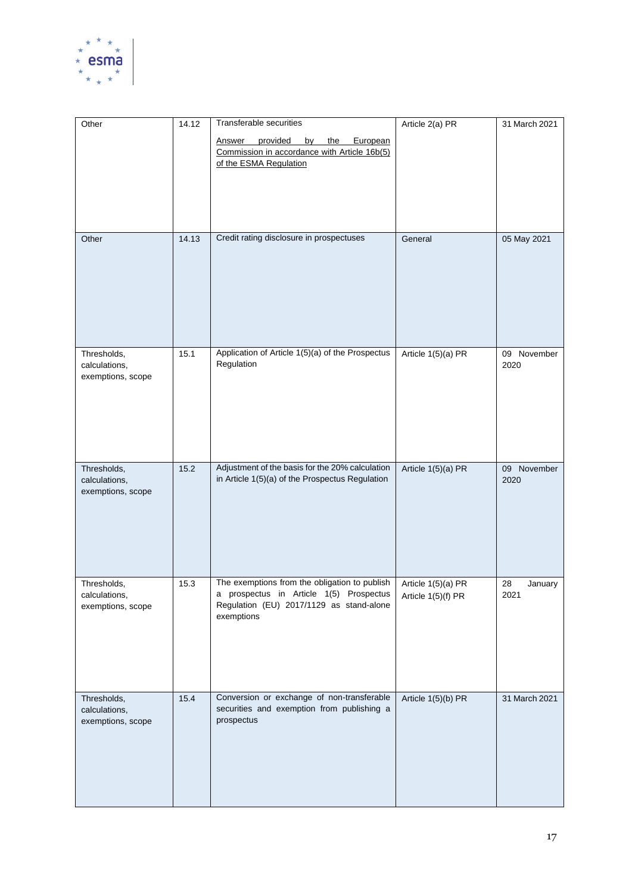

| Other                              | 14.12 | <b>Transferable securities</b>                                                                     | Article 2(a) PR                          | 31 March 2021         |
|------------------------------------|-------|----------------------------------------------------------------------------------------------------|------------------------------------------|-----------------------|
|                                    |       | provided<br>by<br>the<br>European<br>Answer                                                        |                                          |                       |
|                                    |       | Commission in accordance with Article 16b(5)                                                       |                                          |                       |
|                                    |       | of the ESMA Regulation                                                                             |                                          |                       |
|                                    |       |                                                                                                    |                                          |                       |
|                                    |       |                                                                                                    |                                          |                       |
|                                    |       |                                                                                                    |                                          |                       |
|                                    |       |                                                                                                    |                                          |                       |
| Other                              | 14.13 | Credit rating disclosure in prospectuses                                                           | General                                  | 05 May 2021           |
|                                    |       |                                                                                                    |                                          |                       |
|                                    |       |                                                                                                    |                                          |                       |
|                                    |       |                                                                                                    |                                          |                       |
|                                    |       |                                                                                                    |                                          |                       |
|                                    |       |                                                                                                    |                                          |                       |
|                                    |       |                                                                                                    |                                          |                       |
|                                    |       |                                                                                                    |                                          |                       |
| Thresholds,                        | 15.1  | Application of Article 1(5)(a) of the Prospectus                                                   | Article 1(5)(a) PR                       | 09 November           |
| calculations,<br>exemptions, scope |       | Regulation                                                                                         |                                          | 2020                  |
|                                    |       |                                                                                                    |                                          |                       |
|                                    |       |                                                                                                    |                                          |                       |
|                                    |       |                                                                                                    |                                          |                       |
|                                    |       |                                                                                                    |                                          |                       |
|                                    |       |                                                                                                    |                                          |                       |
|                                    |       |                                                                                                    |                                          |                       |
| Thresholds,                        | 15.2  | Adjustment of the basis for the 20% calculation<br>in Article 1(5)(a) of the Prospectus Regulation | Article 1(5)(a) PR                       | 09 November<br>2020   |
| calculations,<br>exemptions, scope |       |                                                                                                    |                                          |                       |
|                                    |       |                                                                                                    |                                          |                       |
|                                    |       |                                                                                                    |                                          |                       |
|                                    |       |                                                                                                    |                                          |                       |
|                                    |       |                                                                                                    |                                          |                       |
|                                    |       |                                                                                                    |                                          |                       |
|                                    |       | The exemptions from the obligation to publish                                                      |                                          |                       |
| Thresholds,<br>calculations,       | 15.3  | a prospectus in Article 1(5) Prospectus                                                            | Article 1(5)(a) PR<br>Article 1(5)(f) PR | 28<br>January<br>2021 |
| exemptions, scope                  |       | Regulation (EU) 2017/1129 as stand-alone                                                           |                                          |                       |
|                                    |       | exemptions                                                                                         |                                          |                       |
|                                    |       |                                                                                                    |                                          |                       |
|                                    |       |                                                                                                    |                                          |                       |
|                                    |       |                                                                                                    |                                          |                       |
|                                    |       |                                                                                                    |                                          |                       |
| Thresholds,                        | 15.4  | Conversion or exchange of non-transferable                                                         | Article 1(5)(b) PR                       | 31 March 2021         |
| calculations,                      |       | securities and exemption from publishing a                                                         |                                          |                       |
| exemptions, scope                  |       | prospectus                                                                                         |                                          |                       |
|                                    |       |                                                                                                    |                                          |                       |
|                                    |       |                                                                                                    |                                          |                       |
|                                    |       |                                                                                                    |                                          |                       |
|                                    |       |                                                                                                    |                                          |                       |
|                                    |       |                                                                                                    |                                          |                       |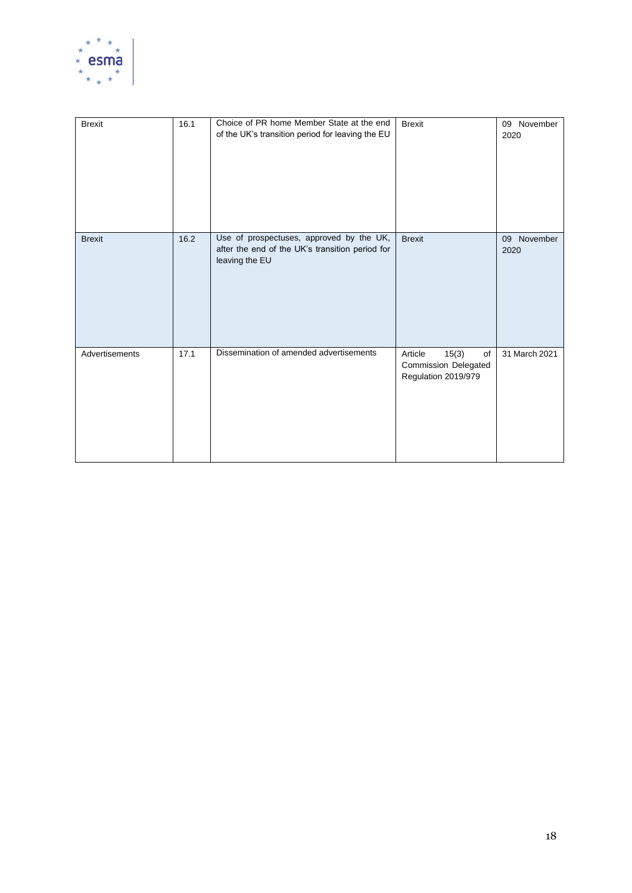

| <b>Brexit</b>  | 16.1 | Choice of PR home Member State at the end<br>of the UK's transition period for leaving the EU                 | <b>Brexit</b>                                                                | 09 November<br>2020    |
|----------------|------|---------------------------------------------------------------------------------------------------------------|------------------------------------------------------------------------------|------------------------|
| <b>Brexit</b>  | 16.2 | Use of prospectuses, approved by the UK,<br>after the end of the UK's transition period for<br>leaving the EU | <b>Brexit</b>                                                                | November<br>09<br>2020 |
| Advertisements | 17.1 | Dissemination of amended advertisements                                                                       | Article<br>15(3)<br>of<br><b>Commission Delegated</b><br>Regulation 2019/979 | 31 March 2021          |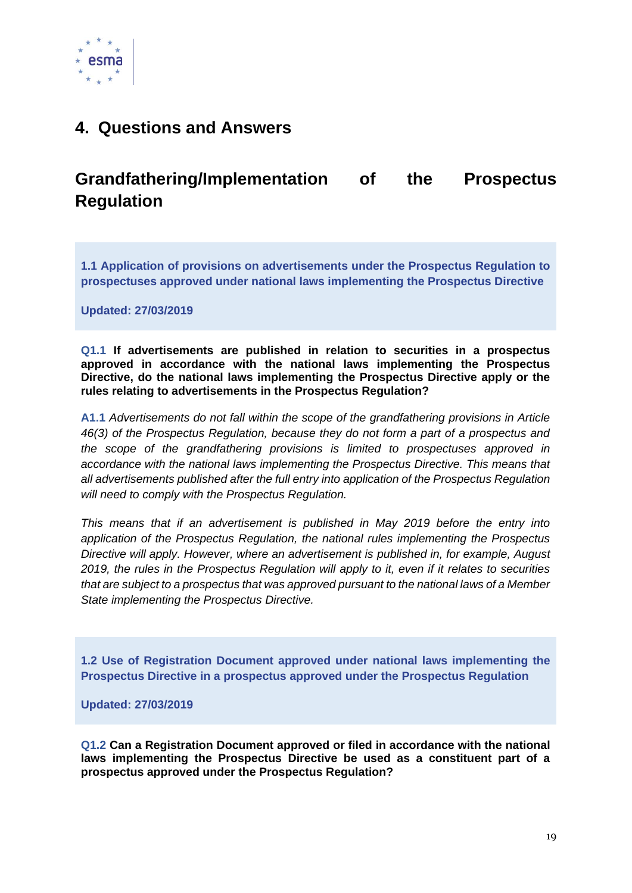

## <span id="page-19-0"></span>**4. Questions and Answers**

# <span id="page-19-1"></span>**Grandfathering/Implementation of the Prospectus Regulation**

<span id="page-19-2"></span>**1.1 Application of provisions on advertisements under the Prospectus Regulation to prospectuses approved under national laws implementing the Prospectus Directive** 

**Updated: 27/03/2019**

**Q1.1 If advertisements are published in relation to securities in a prospectus approved in accordance with the national laws implementing the Prospectus Directive, do the national laws implementing the Prospectus Directive apply or the rules relating to advertisements in the Prospectus Regulation?**

**A1.1** *Advertisements do not fall within the scope of the grandfathering provisions in Article 46(3) of the Prospectus Regulation, because they do not form a part of a prospectus and the scope of the grandfathering provisions is limited to prospectuses approved in accordance with the national laws implementing the Prospectus Directive. This means that all advertisements published after the full entry into application of the Prospectus Regulation will need to comply with the Prospectus Regulation.*

*This means that if an advertisement is published in May 2019 before the entry into application of the Prospectus Regulation, the national rules implementing the Prospectus Directive will apply. However, where an advertisement is published in, for example, August 2019, the rules in the Prospectus Regulation will apply to it, even if it relates to securities that are subject to a prospectus that was approved pursuant to the national laws of a Member State implementing the Prospectus Directive.*

<span id="page-19-3"></span>**1.2 Use of Registration Document approved under national laws implementing the Prospectus Directive in a prospectus approved under the Prospectus Regulation** 

**Updated: 27/03/2019**

**Q1.2 Can a Registration Document approved or filed in accordance with the national laws implementing the Prospectus Directive be used as a constituent part of a prospectus approved under the Prospectus Regulation?**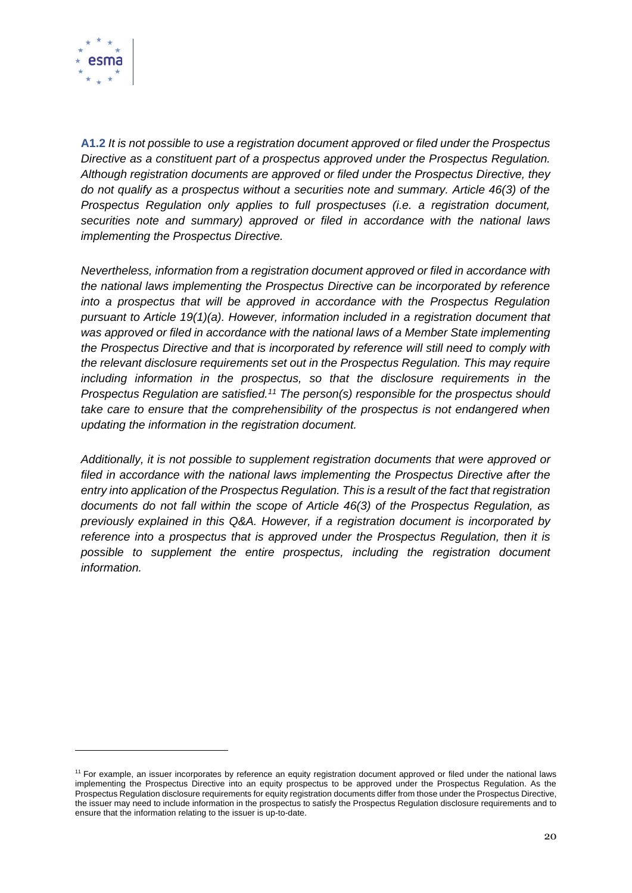

**A1.2** *It is not possible to use a registration document approved or filed under the Prospectus Directive as a constituent part of a prospectus approved under the Prospectus Regulation. Although registration documents are approved or filed under the Prospectus Directive, they do not qualify as a prospectus without a securities note and summary. Article 46(3) of the Prospectus Regulation only applies to full prospectuses (i.e. a registration document, securities note and summary) approved or filed in accordance with the national laws implementing the Prospectus Directive.* 

*Nevertheless, information from a registration document approved or filed in accordance with the national laws implementing the Prospectus Directive can be incorporated by reference into a prospectus that will be approved in accordance with the Prospectus Regulation pursuant to Article 19(1)(a). However, information included in a registration document that was approved or filed in accordance with the national laws of a Member State implementing the Prospectus Directive and that is incorporated by reference will still need to comply with the relevant disclosure requirements set out in the Prospectus Regulation. This may require including information in the prospectus, so that the disclosure requirements in the Prospectus Regulation are satisfied.<sup>11</sup> The person(s) responsible for the prospectus should take care to ensure that the comprehensibility of the prospectus is not endangered when updating the information in the registration document.* 

*Additionally, it is not possible to supplement registration documents that were approved or filed in accordance with the national laws implementing the Prospectus Directive after the entry into application of the Prospectus Regulation. This is a result of the fact that registration documents do not fall within the scope of Article 46(3) of the Prospectus Regulation, as previously explained in this Q&A. However, if a registration document is incorporated by reference into a prospectus that is approved under the Prospectus Regulation, then it is possible to supplement the entire prospectus, including the registration document information.* 

<sup>&</sup>lt;sup>11</sup> For example, an issuer incorporates by reference an equity registration document approved or filed under the national laws implementing the Prospectus Directive into an equity prospectus to be approved under the Prospectus Regulation. As the Prospectus Regulation disclosure requirements for equity registration documents differ from those under the Prospectus Directive, the issuer may need to include information in the prospectus to satisfy the Prospectus Regulation disclosure requirements and to ensure that the information relating to the issuer is up-to-date.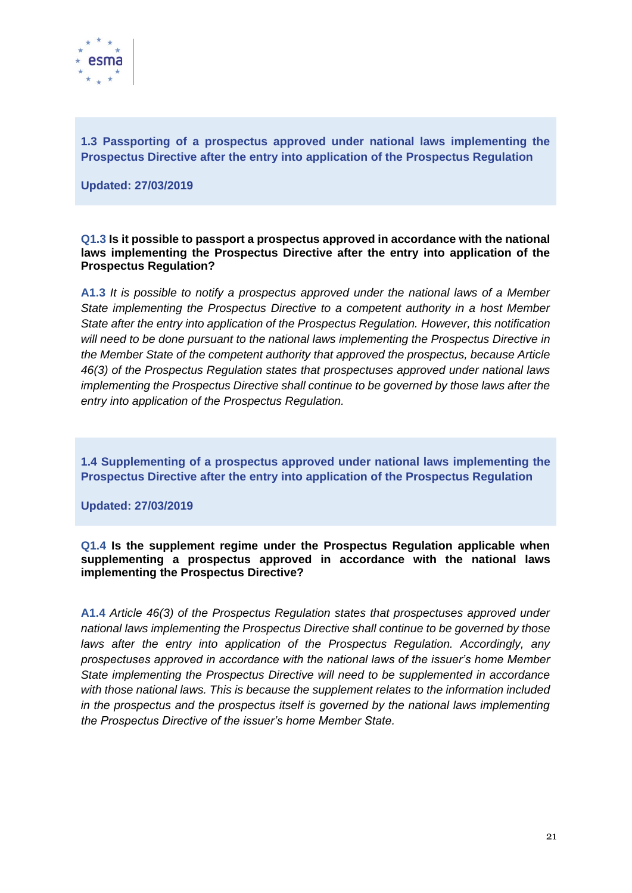

<span id="page-21-0"></span>**1.3 Passporting of a prospectus approved under national laws implementing the Prospectus Directive after the entry into application of the Prospectus Regulation** 

**Updated: 27/03/2019**

**Q1.3 Is it possible to passport a prospectus approved in accordance with the national laws implementing the Prospectus Directive after the entry into application of the Prospectus Regulation?**

**A1.3** *It is possible to notify a prospectus approved under the national laws of a Member State implementing the Prospectus Directive to a competent authority in a host Member State after the entry into application of the Prospectus Regulation. However, this notification will need to be done pursuant to the national laws implementing the Prospectus Directive in the Member State of the competent authority that approved the prospectus, because Article 46(3) of the Prospectus Regulation states that prospectuses approved under national laws implementing the Prospectus Directive shall continue to be governed by those laws after the entry into application of the Prospectus Regulation.*

<span id="page-21-1"></span>**1.4 Supplementing of a prospectus approved under national laws implementing the Prospectus Directive after the entry into application of the Prospectus Regulation** 

**Updated: 27/03/2019**

**Q1.4 Is the supplement regime under the Prospectus Regulation applicable when supplementing a prospectus approved in accordance with the national laws implementing the Prospectus Directive?**

**A1.4** *Article 46(3) of the Prospectus Regulation states that prospectuses approved under national laws implementing the Prospectus Directive shall continue to be governed by those*  laws after the entry into application of the Prospectus Regulation. Accordingly, any *prospectuses approved in accordance with the national laws of the issuer's home Member State implementing the Prospectus Directive will need to be supplemented in accordance with those national laws. This is because the supplement relates to the information included in the prospectus and the prospectus itself is governed by the national laws implementing the Prospectus Directive of the issuer's home Member State.*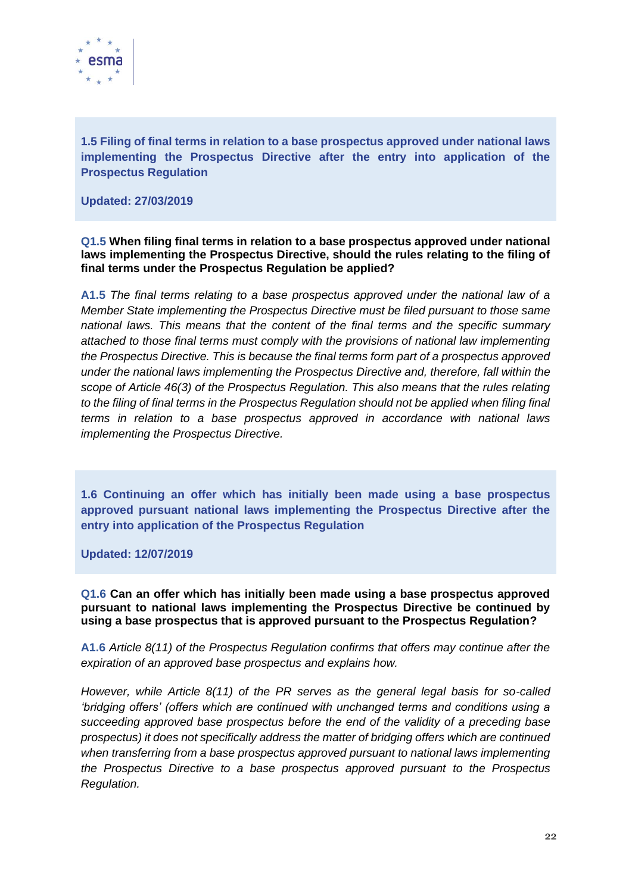

<span id="page-22-0"></span>**1.5 Filing of final terms in relation to a base prospectus approved under national laws implementing the Prospectus Directive after the entry into application of the Prospectus Regulation** 

**Updated: 27/03/2019**

#### **Q1.5 When filing final terms in relation to a base prospectus approved under national laws implementing the Prospectus Directive, should the rules relating to the filing of final terms under the Prospectus Regulation be applied?**

**A1.5** *The final terms relating to a base prospectus approved under the national law of a Member State implementing the Prospectus Directive must be filed pursuant to those same national laws. This means that the content of the final terms and the specific summary attached to those final terms must comply with the provisions of national law implementing the Prospectus Directive. This is because the final terms form part of a prospectus approved under the national laws implementing the Prospectus Directive and, therefore, fall within the scope of Article 46(3) of the Prospectus Regulation. This also means that the rules relating*  to the filing of final terms in the Prospectus Regulation should not be applied when filing final *terms in relation to a base prospectus approved in accordance with national laws implementing the Prospectus Directive.*

<span id="page-22-1"></span>**1.6 Continuing an offer which has initially been made using a base prospectus approved pursuant national laws implementing the Prospectus Directive after the entry into application of the Prospectus Regulation**

**Updated: 12/07/2019**

**Q1.6 Can an offer which has initially been made using a base prospectus approved pursuant to national laws implementing the Prospectus Directive be continued by using a base prospectus that is approved pursuant to the Prospectus Regulation?**

**A1.6** *Article 8(11) of the Prospectus Regulation confirms that offers may continue after the expiration of an approved base prospectus and explains how.* 

*However, while Article 8(11) of the PR serves as the general legal basis for so-called 'bridging offers' (offers which are continued with unchanged terms and conditions using a succeeding approved base prospectus before the end of the validity of a preceding base prospectus) it does not specifically address the matter of bridging offers which are continued when transferring from a base prospectus approved pursuant to national laws implementing the Prospectus Directive to a base prospectus approved pursuant to the Prospectus Regulation.*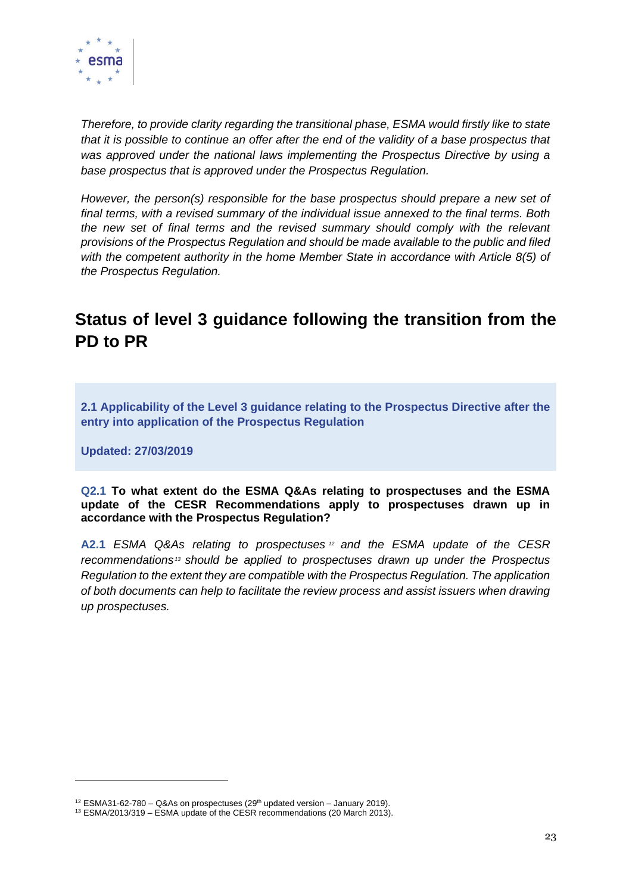

*Therefore, to provide clarity regarding the transitional phase, ESMA would firstly like to state that it is possible to continue an offer after the end of the validity of a base prospectus that was approved under the national laws implementing the Prospectus Directive by using a base prospectus that is approved under the Prospectus Regulation.* 

*However, the person(s) responsible for the base prospectus should prepare a new set of final terms, with a revised summary of the individual issue annexed to the final terms. Both the new set of final terms and the revised summary should comply with the relevant provisions of the Prospectus Regulation and should be made available to the public and filed with the competent authority in the home Member State in accordance with Article 8(5) of the Prospectus Regulation.*

# <span id="page-23-0"></span>**Status of level 3 guidance following the transition from the PD to PR**

<span id="page-23-1"></span>**2.1 Applicability of the Level 3 guidance relating to the Prospectus Directive after the entry into application of the Prospectus Regulation**

**Updated: 27/03/2019**

#### **Q2.1 To what extent do the ESMA Q&As relating to prospectuses and the ESMA update of the CESR Recommendations apply to prospectuses drawn up in accordance with the Prospectus Regulation?**

**A2.1** *ESMA Q&As relating to prospectuses <sup>12</sup> and the ESMA update of the CESR recommendations <sup>13</sup> should be applied to prospectuses drawn up under the Prospectus Regulation to the extent they are compatible with the Prospectus Regulation. The application of both documents can help to facilitate the review process and assist issuers when drawing up prospectuses.*

 $12$  ESMA31-62-780 – Q&As on prospectuses (29<sup>th</sup> updated version – January 2019).

 $13$  ESMA/2013/319 – ESMA update of the CESR recommendations (20 March 2013).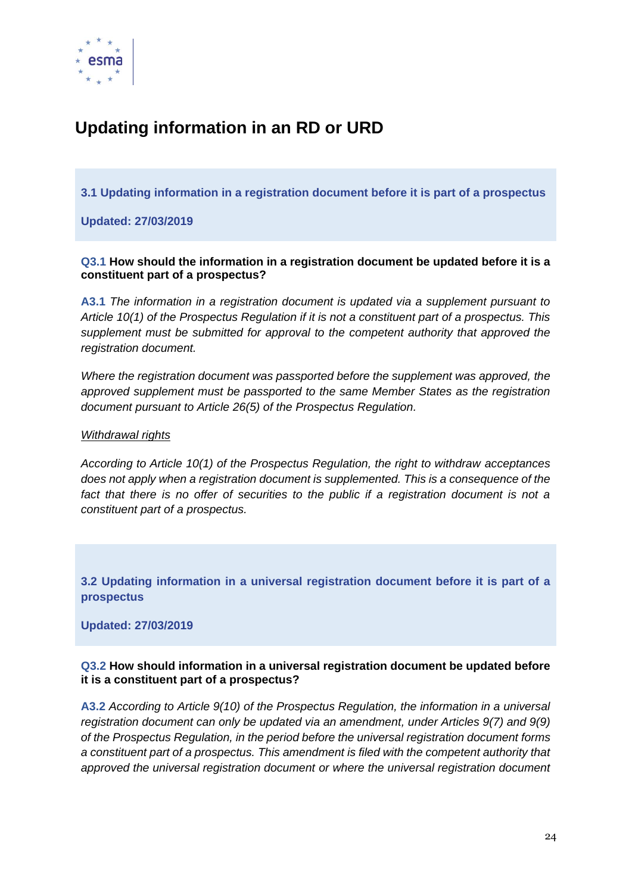

# <span id="page-24-0"></span>**Updating information in an RD or URD**

<span id="page-24-1"></span>**3.1 Updating information in a registration document before it is part of a prospectus**

**Updated: 27/03/2019**

#### **Q3.1 How should the information in a registration document be updated before it is a constituent part of a prospectus?**

**A3.1** *The information in a registration document is updated via a supplement pursuant to Article 10(1) of the Prospectus Regulation if it is not a constituent part of a prospectus. This supplement must be submitted for approval to the competent authority that approved the registration document.* 

*Where the registration document was passported before the supplement was approved, the approved supplement must be passported to the same Member States as the registration document pursuant to Article 26(5) of the Prospectus Regulation.* 

#### *Withdrawal rights*

*According to Article 10(1) of the Prospectus Regulation, the right to withdraw acceptances does not apply when a registration document is supplemented. This is a consequence of the*  fact that there is no offer of securities to the public if a registration document is not a *constituent part of a prospectus.*

<span id="page-24-2"></span>**3.2 Updating information in a universal registration document before it is part of a prospectus**

**Updated: 27/03/2019**

#### **Q3.2 How should information in a universal registration document be updated before it is a constituent part of a prospectus?**

**A3.2** *According to Article 9(10) of the Prospectus Regulation, the information in a universal registration document can only be updated via an amendment, under Articles 9(7) and 9(9) of the Prospectus Regulation, in the period before the universal registration document forms a constituent part of a prospectus. This amendment is filed with the competent authority that approved the universal registration document or where the universal registration document*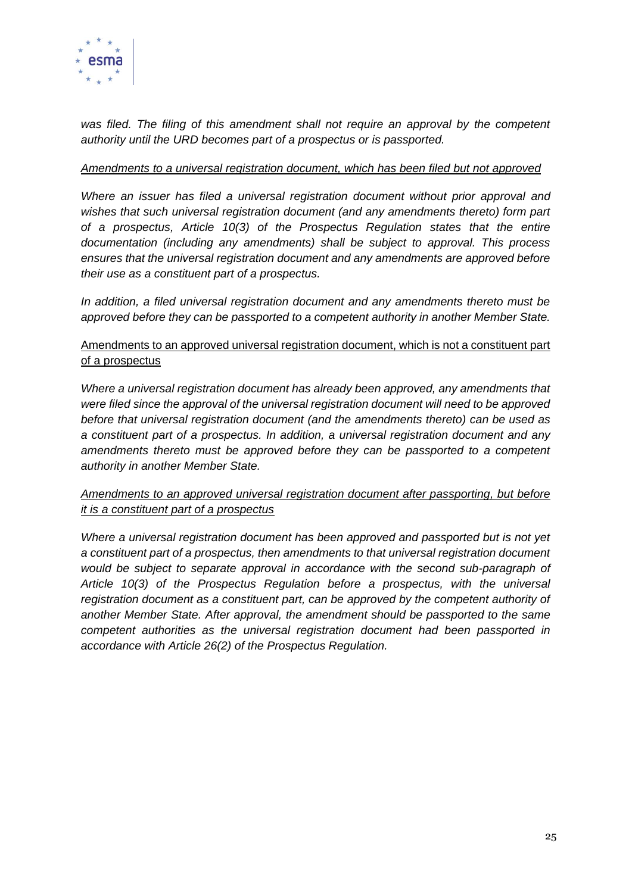

*was filed. The filing of this amendment shall not require an approval by the competent authority until the URD becomes part of a prospectus or is passported.*

#### *Amendments to a universal registration document, which has been filed but not approved*

*Where an issuer has filed a universal registration document without prior approval and wishes that such universal registration document (and any amendments thereto) form part of a prospectus, Article 10(3) of the Prospectus Regulation states that the entire documentation (including any amendments) shall be subject to approval. This process ensures that the universal registration document and any amendments are approved before their use as a constituent part of a prospectus.*

*In addition, a filed universal registration document and any amendments thereto must be approved before they can be passported to a competent authority in another Member State.*

### Amendments to an approved universal registration document, which is not a constituent part of a prospectus

*Where a universal registration document has already been approved, any amendments that were filed since the approval of the universal registration document will need to be approved before that universal registration document (and the amendments thereto) can be used as a constituent part of a prospectus. In addition, a universal registration document and any amendments thereto must be approved before they can be passported to a competent authority in another Member State.*

### *Amendments to an approved universal registration document after passporting, but before it is a constituent part of a prospectus*

*Where a universal registration document has been approved and passported but is not yet a constituent part of a prospectus, then amendments to that universal registration document would be subject to separate approval in accordance with the second sub-paragraph of Article 10(3) of the Prospectus Regulation before a prospectus, with the universal*  registration document as a constituent part, can be approved by the competent authority of *another Member State. After approval, the amendment should be passported to the same competent authorities as the universal registration document had been passported in accordance with Article 26(2) of the Prospectus Regulation.*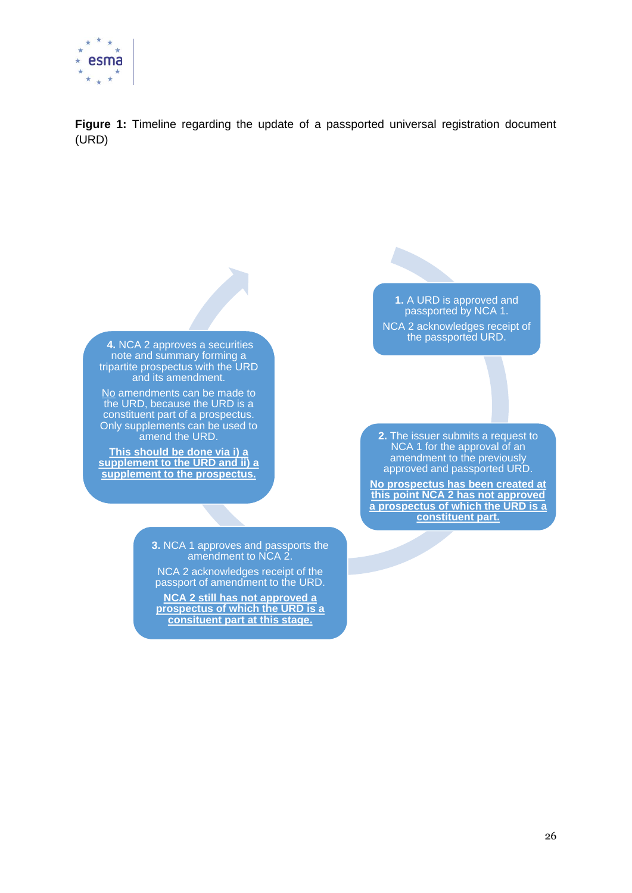

**Figure 1:** Timeline regarding the update of a passported universal registration document (URD)

**4.** NCA 2 approves a securities note and summary forming a tripartite prospectus with the URD and its amendment.

No amendments can be made to the URD, because the URD is a constituent part of a prospectus. Only supplements can be used to amend the URD.

**This should be done via i) a supplement to the URD and ii) a supplement to the prospectus.**

> **3.** NCA 1 approves and passports the amendment to NCA 2.

NCA 2 acknowledges receipt of the passport of amendment to the URD.

**NCA 2 still has not approved a prospectus of which the URD is a consituent part at this stage.**

**1.** A URD is approved and passported by NCA 1. NCA 2 acknowledges receipt of the passported URD.

**2.** The issuer submits a request to NCA 1 for the approval of an amendment to the previously approved and passported URD.

**No prospectus has been created at this point NCA 2 has not approved a prospectus of which the URD is a constituent part.**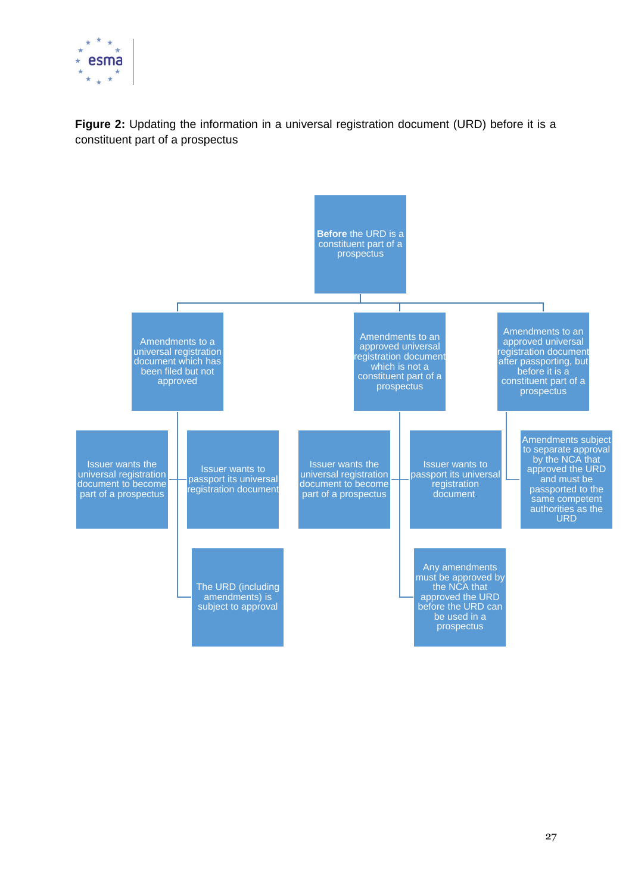

**Figure 2:** Updating the information in a universal registration document (URD) before it is a constituent part of a prospectus

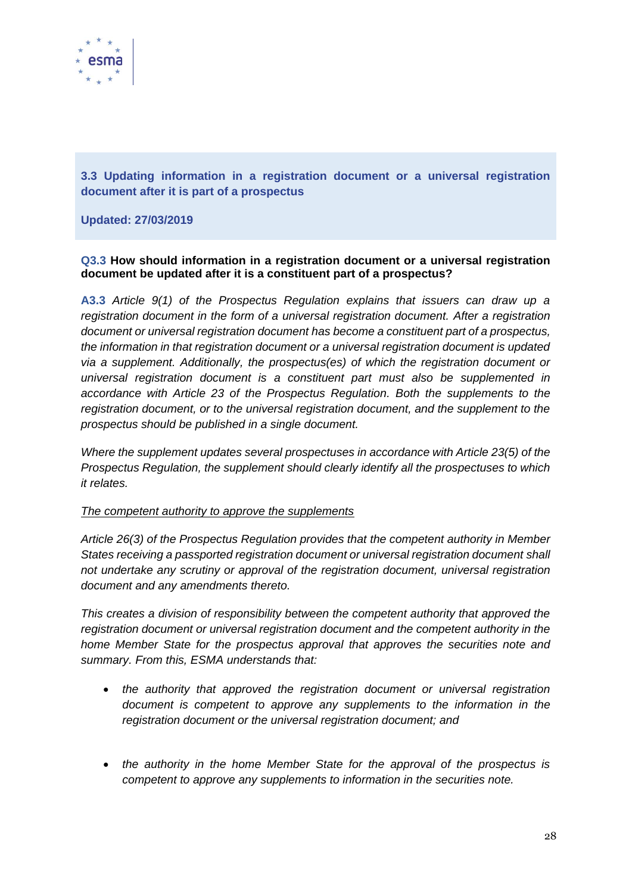

<span id="page-28-0"></span>**3.3 Updating information in a registration document or a universal registration document after it is part of a prospectus**

#### **Updated: 27/03/2019**

#### **Q3.3 How should information in a registration document or a universal registration document be updated after it is a constituent part of a prospectus?**

**A3.3** *Article 9(1) of the Prospectus Regulation explains that issuers can draw up a registration document in the form of a universal registration document. After a registration document or universal registration document has become a constituent part of a prospectus, the information in that registration document or a universal registration document is updated via a supplement. Additionally, the prospectus(es) of which the registration document or universal registration document is a constituent part must also be supplemented in accordance with Article 23 of the Prospectus Regulation. Both the supplements to the registration document, or to the universal registration document, and the supplement to the prospectus should be published in a single document.* 

*Where the supplement updates several prospectuses in accordance with Article 23(5) of the Prospectus Regulation, the supplement should clearly identify all the prospectuses to which it relates.*

#### *The competent authority to approve the supplements*

*Article 26(3) of the Prospectus Regulation provides that the competent authority in Member States receiving a passported registration document or universal registration document shall not undertake any scrutiny or approval of the registration document, universal registration document and any amendments thereto.* 

*This creates a division of responsibility between the competent authority that approved the registration document or universal registration document and the competent authority in the home Member State for the prospectus approval that approves the securities note and summary. From this, ESMA understands that:*

- *the authority that approved the registration document or universal registration document is competent to approve any supplements to the information in the registration document or the universal registration document; and*
- *the authority in the home Member State for the approval of the prospectus is competent to approve any supplements to information in the securities note.*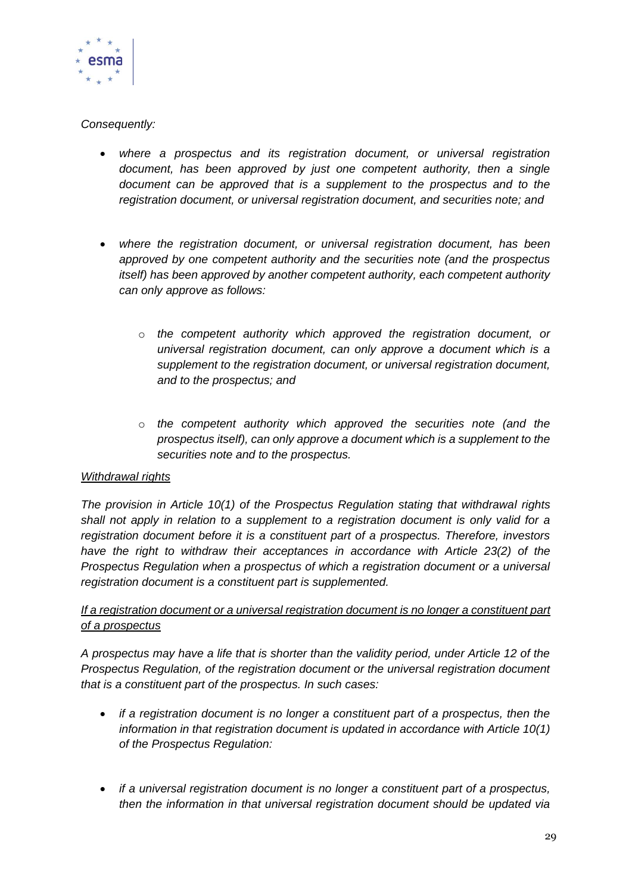

### *Consequently:*

- *where a prospectus and its registration document, or universal registration document, has been approved by just one competent authority, then a single document can be approved that is a supplement to the prospectus and to the registration document, or universal registration document, and securities note; and*
- *where the registration document, or universal registration document, has been approved by one competent authority and the securities note (and the prospectus itself) has been approved by another competent authority, each competent authority can only approve as follows:*
	- o *the competent authority which approved the registration document, or universal registration document, can only approve a document which is a supplement to the registration document, or universal registration document, and to the prospectus; and*
	- o *the competent authority which approved the securities note (and the prospectus itself), can only approve a document which is a supplement to the securities note and to the prospectus.*

### *Withdrawal rights*

*The provision in Article 10(1) of the Prospectus Regulation stating that withdrawal rights shall not apply in relation to a supplement to a registration document is only valid for a registration document before it is a constituent part of a prospectus. Therefore, investors have the right to withdraw their acceptances in accordance with Article 23(2) of the Prospectus Regulation when a prospectus of which a registration document or a universal registration document is a constituent part is supplemented.* 

### *If a registration document or a universal registration document is no longer a constituent part of a prospectus*

*A prospectus may have a life that is shorter than the validity period, under Article 12 of the Prospectus Regulation, of the registration document or the universal registration document that is a constituent part of the prospectus. In such cases:*

- *if a registration document is no longer a constituent part of a prospectus, then the information in that registration document is updated in accordance with Article 10(1) of the Prospectus Regulation:*
- *if a universal registration document is no longer a constituent part of a prospectus, then the information in that universal registration document should be updated via*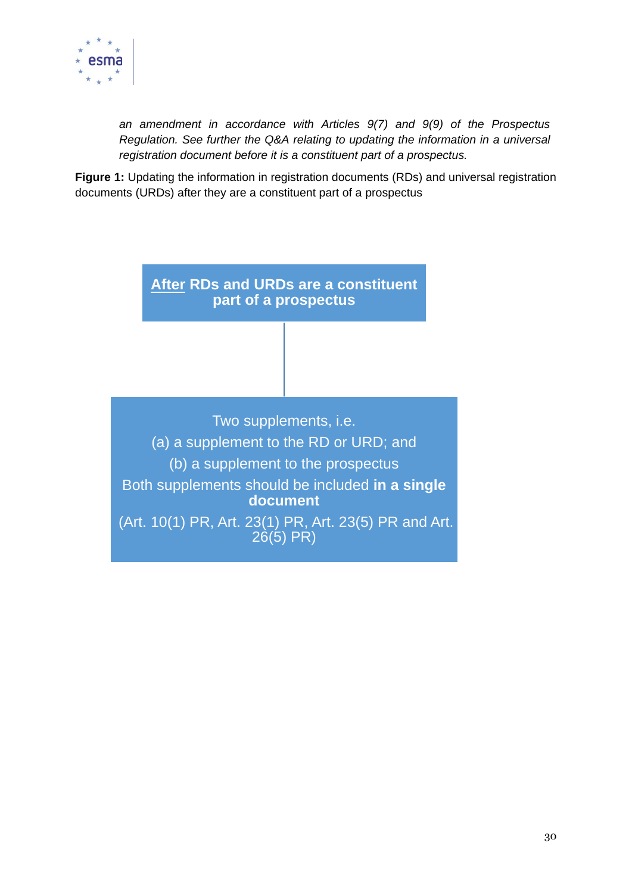

*an amendment in accordance with Articles 9(7) and 9(9) of the Prospectus Regulation. See further the Q&A relating to updating the information in a universal registration document before it is a constituent part of a prospectus.*

**Figure 1:** Updating the information in registration documents (RDs) and universal registration documents (URDs) after they are a constituent part of a prospectus

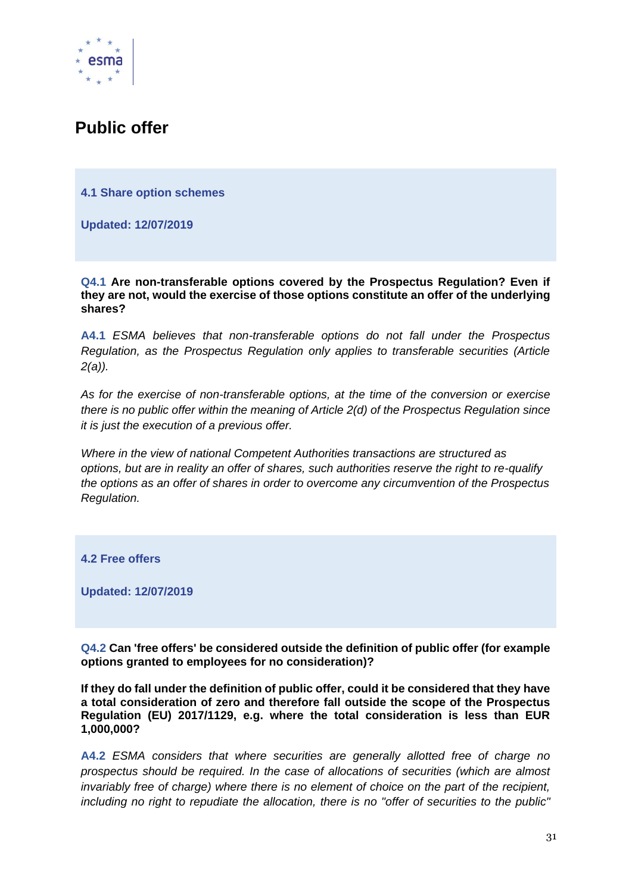

## <span id="page-31-0"></span>**Public offer**

<span id="page-31-1"></span>**4.1 Share option schemes**

<span id="page-31-2"></span>**Updated: 12/07/2019**

**Q4.1 Are non-transferable options covered by the Prospectus Regulation? Even if they are not, would the exercise of those options constitute an offer of the underlying shares?**

**A4.1** *ESMA believes that non-transferable options do not fall under the Prospectus Regulation, as the Prospectus Regulation only applies to transferable securities (Article 2(a)).*

*As for the exercise of non-transferable options, at the time of the conversion or exercise there is no public offer within the meaning of Article 2(d) of the Prospectus Regulation since it is just the execution of a previous offer.*

*Where in the view of national Competent Authorities transactions are structured as options, but are in reality an offer of shares, such authorities reserve the right to re-qualify the options as an offer of shares in order to overcome any circumvention of the Prospectus Regulation.*

<span id="page-31-3"></span>**4.2 Free offers**

<span id="page-31-4"></span>**Updated: 12/07/2019**

**Q4.2 Can 'free offers' be considered outside the definition of public offer (for example options granted to employees for no consideration)?**

**If they do fall under the definition of public offer, could it be considered that they have a total consideration of zero and therefore fall outside the scope of the Prospectus Regulation (EU) 2017/1129, e.g. where the total consideration is less than EUR 1,000,000?**

**A4.2** *ESMA considers that where securities are generally allotted free of charge no prospectus should be required. In the case of allocations of securities (which are almost invariably free of charge) where there is no element of choice on the part of the recipient, including no right to repudiate the allocation, there is no "offer of securities to the public"*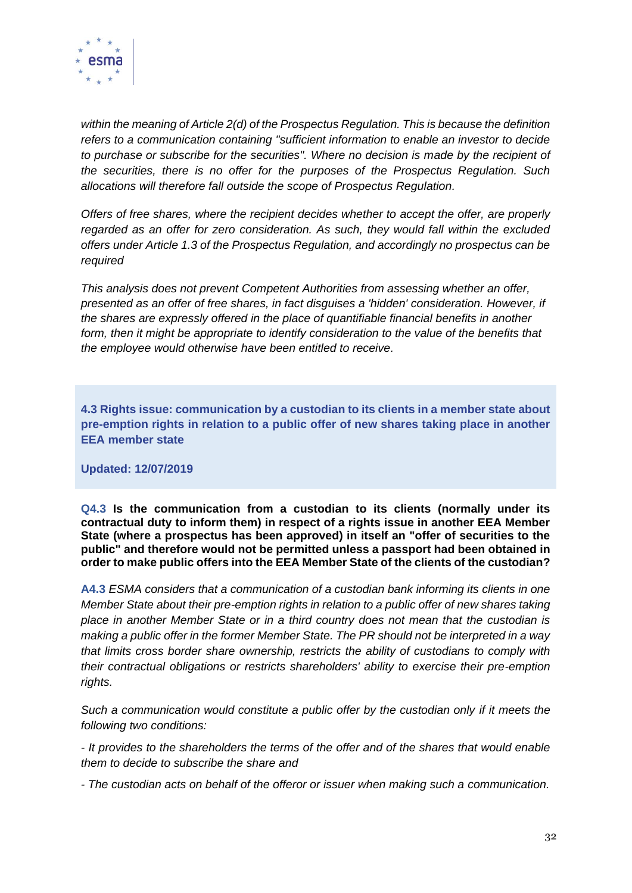

*within the meaning of Article 2(d) of the Prospectus Regulation. This is because the definition refers to a communication containing "sufficient information to enable an investor to decide*  to purchase or subscribe for the securities". Where no decision is made by the recipient of *the securities, there is no offer for the purposes of the Prospectus Regulation. Such allocations will therefore fall outside the scope of Prospectus Regulation.*

*Offers of free shares, where the recipient decides whether to accept the offer, are properly regarded as an offer for zero consideration. As such, they would fall within the excluded offers under Article 1.3 of the Prospectus Regulation, and accordingly no prospectus can be required*

*This analysis does not prevent Competent Authorities from assessing whether an offer, presented as an offer of free shares, in fact disguises a 'hidden' consideration. However, if the shares are expressly offered in the place of quantifiable financial benefits in another*  form, then it might be appropriate to identify consideration to the value of the benefits that *the employee would otherwise have been entitled to receive.*

<span id="page-32-0"></span>**4.3 Rights issue: communication by a custodian to its clients in a member state about pre-emption rights in relation to a public offer of new shares taking place in another EEA member state**

**Updated: 12/07/2019**

**Q4.3 Is the communication from a custodian to its clients (normally under its contractual duty to inform them) in respect of a rights issue in another EEA Member State (where a prospectus has been approved) in itself an "offer of securities to the public" and therefore would not be permitted unless a passport had been obtained in order to make public offers into the EEA Member State of the clients of the custodian?**

**A4.3** *ESMA considers that a communication of a custodian bank informing its clients in one Member State about their pre-emption rights in relation to a public offer of new shares taking place in another Member State or in a third country does not mean that the custodian is making a public offer in the former Member State. The PR should not be interpreted in a way that limits cross border share ownership, restricts the ability of custodians to comply with their contractual obligations or restricts shareholders' ability to exercise their pre-emption rights.*

*Such a communication would constitute a public offer by the custodian only if it meets the following two conditions:* 

*- It provides to the shareholders the terms of the offer and of the shares that would enable them to decide to subscribe the share and*

*- The custodian acts on behalf of the offeror or issuer when making such a communication.*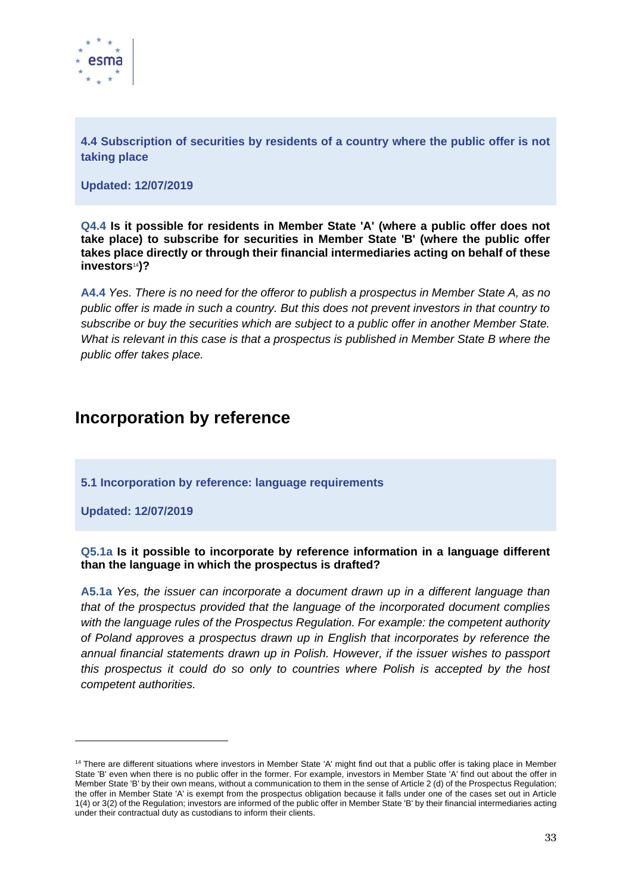

<span id="page-33-0"></span>**4.4 Subscription of securities by residents of a country where the public offer is not taking place**

**Updated: 12/07/2019**

**Q4.4 Is it possible for residents in Member State 'A' (where a public offer does not take place) to subscribe for securities in Member State 'B' (where the public offer takes place directly or through their financial intermediaries acting on behalf of these investors**14**)?**

**A4.4** *Yes. There is no need for the offeror to publish a prospectus in Member State A, as no public offer is made in such a country. But this does not prevent investors in that country to subscribe or buy the securities which are subject to a public offer in another Member State. What is relevant in this case is that a prospectus is published in Member State B where the public offer takes place.*

## <span id="page-33-1"></span>**Incorporation by reference**

<span id="page-33-2"></span>**5.1 Incorporation by reference: language requirements**

**Updated: 12/07/2019**

**Q5.1a Is it possible to incorporate by reference information in a language different than the language in which the prospectus is drafted?**

**A5.1a** *Yes, the issuer can incorporate a document drawn up in a different language than that of the prospectus provided that the language of the incorporated document complies with the language rules of the Prospectus Regulation. For example: the competent authority of Poland approves a prospectus drawn up in English that incorporates by reference the annual financial statements drawn up in Polish. However, if the issuer wishes to passport this prospectus it could do so only to countries where Polish is accepted by the host competent authorities.*

<sup>&</sup>lt;sup>14</sup> There are different situations where investors in Member State 'A' might find out that a public offer is taking place in Member State 'B' even when there is no public offer in the former. For example, investors in Member State 'A' find out about the offer in Member State 'B' by their own means, without a communication to them in the sense of Article 2 (d) of the Prospectus Regulation; the offer in Member State 'A' is exempt from the prospectus obligation because it falls under one of the cases set out in Article 1(4) or 3(2) of the Regulation; investors are informed of the public offer in Member State 'B' by their financial intermediaries acting under their contractual duty as custodians to inform their clients.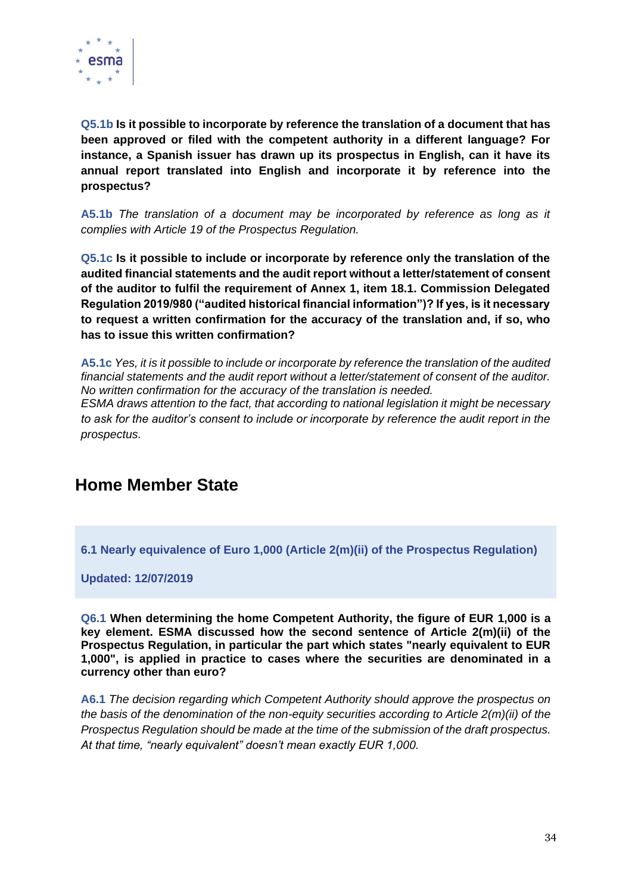

**Q5.1b Is it possible to incorporate by reference the translation of a document that has been approved or filed with the competent authority in a different language? For instance, a Spanish issuer has drawn up its prospectus in English, can it have its annual report translated into English and incorporate it by reference into the prospectus?**

**A5.1b** *The translation of a document may be incorporated by reference as long as it complies with Article 19 of the Prospectus Regulation.*

**Q5.1c Is it possible to include or incorporate by reference only the translation of the audited financial statements and the audit report without a letter/statement of consent of the auditor to fulfil the requirement of Annex 1, item 18.1. Commission Delegated Regulation 2019/980 ("audited historical financial information")? If yes, is it necessary to request a written confirmation for the accuracy of the translation and, if so, who has to issue this written confirmation?**

**A5.1c** *Yes, it is it possible to include or incorporate by reference the translation of the audited financial statements and the audit report without a letter/statement of consent of the auditor. No written confirmation for the accuracy of the translation is needed. ESMA draws attention to the fact, that according to national legislation it might be necessary* 

*to ask for the auditor's consent to include or incorporate by reference the audit report in the prospectus.*

## <span id="page-34-0"></span>**Home Member State**

<span id="page-34-1"></span>**6.1 Nearly equivalence of Euro 1,000 (Article 2(m)(ii) of the Prospectus Regulation)**

**Updated: 12/07/2019**

**Q6.1 When determining the home Competent Authority, the figure of EUR 1,000 is a key element. ESMA discussed how the second sentence of Article 2(m)(ii) of the Prospectus Regulation, in particular the part which states "nearly equivalent to EUR 1,000", is applied in practice to cases where the securities are denominated in a currency other than euro?**

**A6.1** *The decision regarding which Competent Authority should approve the prospectus on the basis of the denomination of the non-equity securities according to Article 2(m)(ii) of the Prospectus Regulation should be made at the time of the submission of the draft prospectus. At that time, "nearly equivalent" doesn't mean exactly EUR 1,000.*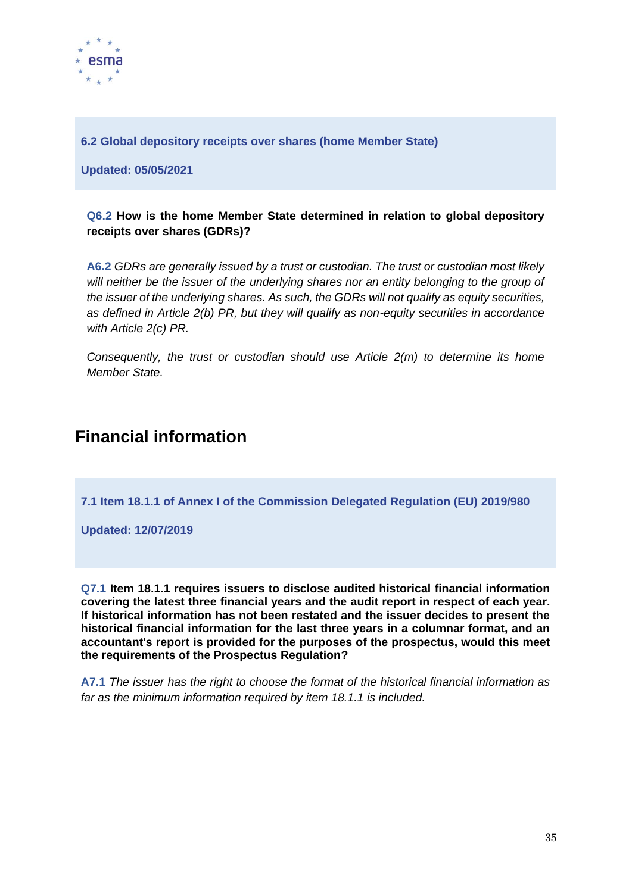

<span id="page-35-0"></span>**6.2 Global depository receipts over shares (home Member State)**

**Updated: 05/05/2021**

### **Q6.2 How is the home Member State determined in relation to global depository receipts over shares (GDRs)?**

**A6.2** *GDRs are generally issued by a trust or custodian. The trust or custodian most likely will neither be the issuer of the underlying shares nor an entity belonging to the group of the issuer of the underlying shares. As such, the GDRs will not qualify as equity securities, as defined in Article 2(b) PR, but they will qualify as non-equity securities in accordance with Article 2(c) PR.* 

*Consequently, the trust or custodian should use Article 2(m) to determine its home Member State.*

## <span id="page-35-1"></span>**Financial information**

<span id="page-35-2"></span>**7.1 Item 18.1.1 of Annex I of the Commission Delegated Regulation (EU) 2019/980**

**Updated: 12/07/2019**

**Q7.1 Item 18.1.1 requires issuers to disclose audited historical financial information covering the latest three financial years and the audit report in respect of each year. If historical information has not been restated and the issuer decides to present the historical financial information for the last three years in a columnar format, and an accountant's report is provided for the purposes of the prospectus, would this meet the requirements of the Prospectus Regulation?**

**A7.1** *The issuer has the right to choose the format of the historical financial information as far as the minimum information required by item 18.1.1 is included.*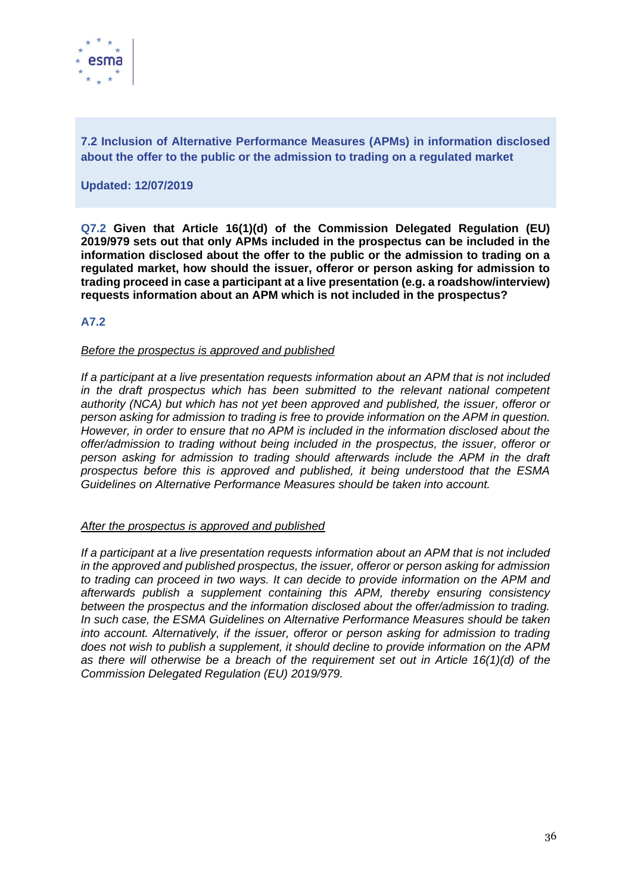

**7.2 Inclusion of Alternative Performance Measures (APMs) in information disclosed about the offer to the public or the admission to trading on a regulated market**

#### **Updated: 12/07/2019**

**Q7.2 Given that Article 16(1)(d) of the Commission Delegated Regulation (EU) 2019/979 sets out that only APMs included in the prospectus can be included in the information disclosed about the offer to the public or the admission to trading on a regulated market, how should the issuer, offeror or person asking for admission to trading proceed in case a participant at a live presentation (e.g. a roadshow/interview) requests information about an APM which is not included in the prospectus?**

## **A7.2**

#### *Before the prospectus is approved and published*

*If a participant at a live presentation requests information about an APM that is not included in the draft prospectus which has been submitted to the relevant national competent authority (NCA) but which has not yet been approved and published, the issuer, offeror or person asking for admission to trading is free to provide information on the APM in question. However, in order to ensure that no APM is included in the information disclosed about the offer/admission to trading without being included in the prospectus, the issuer, offeror or person asking for admission to trading should afterwards include the APM in the draft prospectus before this is approved and published, it being understood that the ESMA Guidelines on Alternative Performance Measures should be taken into account.* 

#### *After the prospectus is approved and published*

*If a participant at a live presentation requests information about an APM that is not included in the approved and published prospectus, the issuer, offeror or person asking for admission to trading can proceed in two ways. It can decide to provide information on the APM and afterwards publish a supplement containing this APM, thereby ensuring consistency between the prospectus and the information disclosed about the offer/admission to trading. In such case, the ESMA Guidelines on Alternative Performance Measures should be taken into account. Alternatively, if the issuer, offeror or person asking for admission to trading does not wish to publish a supplement, it should decline to provide information on the APM as there will otherwise be a breach of the requirement set out in Article 16(1)(d) of the Commission Delegated Regulation (EU) 2019/979.*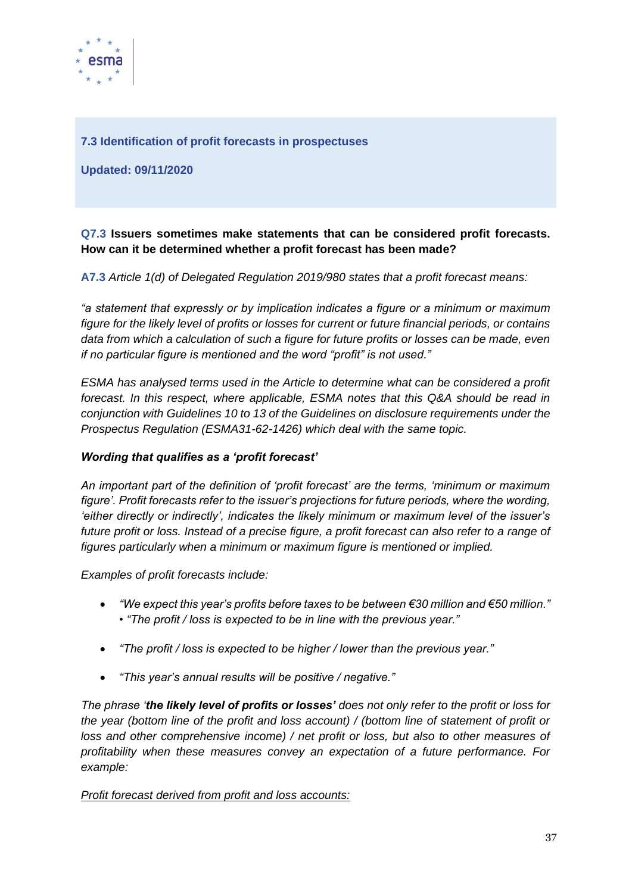

## **7.3 Identification of profit forecasts in prospectuses**

**Updated: 09/11/2020**

## **Q7.3 Issuers sometimes make statements that can be considered profit forecasts. How can it be determined whether a profit forecast has been made?**

**A7.3** *Article 1(d) of Delegated Regulation 2019/980 states that a profit forecast means:*

*"a statement that expressly or by implication indicates a figure or a minimum or maximum figure for the likely level of profits or losses for current or future financial periods, or contains data from which a calculation of such a figure for future profits or losses can be made, even if no particular figure is mentioned and the word "profit" is not used."*

*ESMA has analysed terms used in the Article to determine what can be considered a profit forecast. In this respect, where applicable, ESMA notes that this Q&A should be read in conjunction with Guidelines 10 to 13 of the Guidelines on disclosure requirements under the Prospectus Regulation (ESMA31-62-1426) which deal with the same topic.*

## *Wording that qualifies as a 'profit forecast'*

*An important part of the definition of 'profit forecast' are the terms, 'minimum or maximum figure'. Profit forecasts refer to the issuer's projections for future periods, where the wording, 'either directly or indirectly', indicates the likely minimum or maximum level of the issuer's future profit or loss. Instead of a precise figure, a profit forecast can also refer to a range of figures particularly when a minimum or maximum figure is mentioned or implied.*

*Examples of profit forecasts include:* 

- *"We expect this year's profits before taxes to be between €30 million and €50 million." • "The profit / loss is expected to be in line with the previous year."*
- *"The profit / loss is expected to be higher / lower than the previous year."*
- *"This year's annual results will be positive / negative."*

*The phrase 'the likely level of profits or losses' does not only refer to the profit or loss for the year (bottom line of the profit and loss account) / (bottom line of statement of profit or loss and other comprehensive income) / net profit or loss, but also to other measures of profitability when these measures convey an expectation of a future performance. For example:* 

*Profit forecast derived from profit and loss accounts:*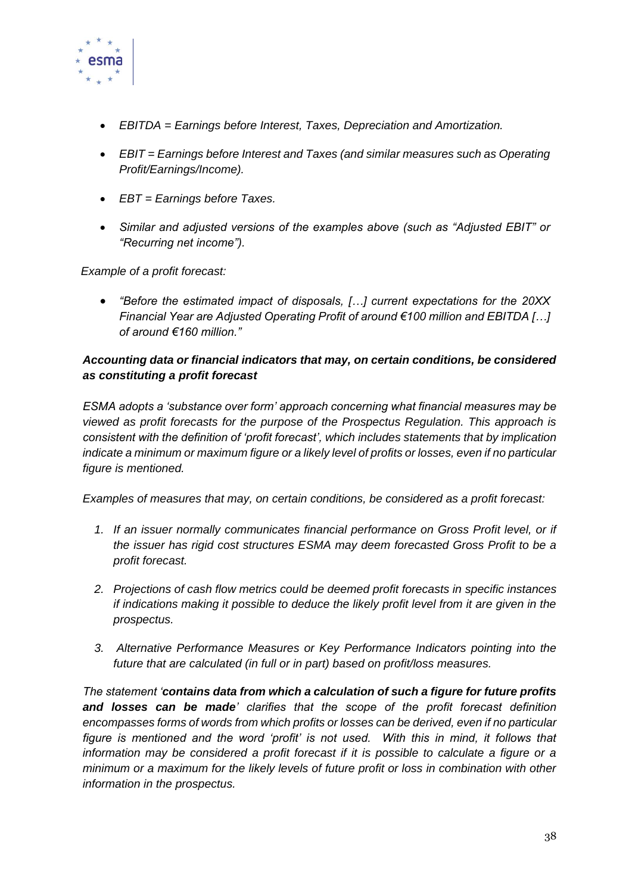

- *EBITDA = Earnings before Interest, Taxes, Depreciation and Amortization.*
- *EBIT = Earnings before Interest and Taxes (and similar measures such as Operating Profit/Earnings/Income).*
- *EBT = Earnings before Taxes.*
- *Similar and adjusted versions of the examples above (such as "Adjusted EBIT" or "Recurring net income").*

*Example of a profit forecast:* 

• *"Before the estimated impact of disposals, […] current expectations for the 20XX Financial Year are Adjusted Operating Profit of around €100 million and EBITDA […] of around €160 million."*

## *Accounting data or financial indicators that may, on certain conditions, be considered as constituting a profit forecast*

*ESMA adopts a 'substance over form' approach concerning what financial measures may be viewed as profit forecasts for the purpose of the Prospectus Regulation. This approach is consistent with the definition of 'profit forecast', which includes statements that by implication indicate a minimum or maximum figure or a likely level of profits or losses, even if no particular figure is mentioned.* 

*Examples of measures that may, on certain conditions, be considered as a profit forecast:* 

- *1. If an issuer normally communicates financial performance on Gross Profit level, or if the issuer has rigid cost structures ESMA may deem forecasted Gross Profit to be a profit forecast.*
- *2. Projections of cash flow metrics could be deemed profit forecasts in specific instances if indications making it possible to deduce the likely profit level from it are given in the prospectus.*
- *3. Alternative Performance Measures or Key Performance Indicators pointing into the future that are calculated (in full or in part) based on profit/loss measures.*

*The statement 'contains data from which a calculation of such a figure for future profits and losses can be made' clarifies that the scope of the profit forecast definition encompasses forms of words from which profits or losses can be derived, even if no particular figure is mentioned and the word 'profit' is not used. With this in mind, it follows that information may be considered a profit forecast if it is possible to calculate a figure or a minimum or a maximum for the likely levels of future profit or loss in combination with other information in the prospectus.*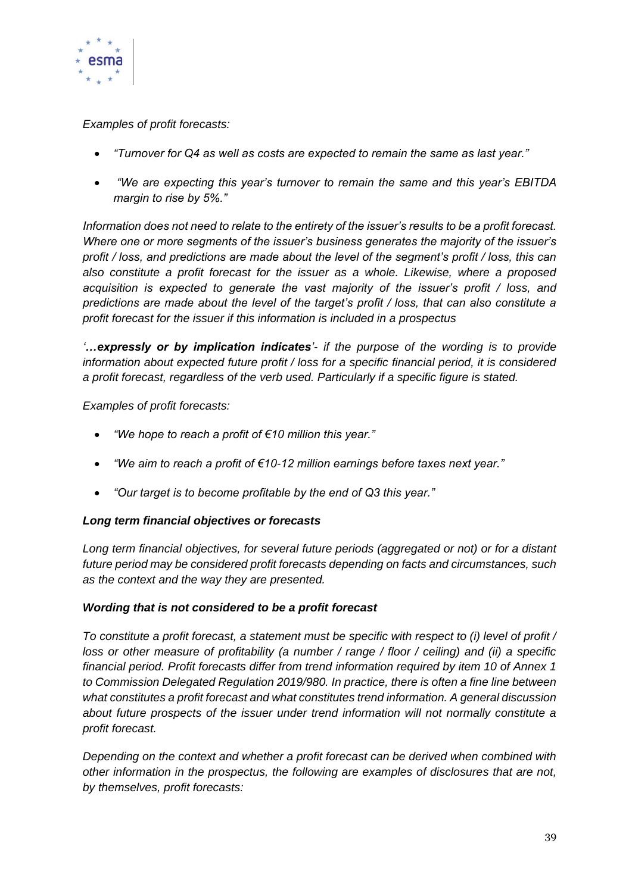

*Examples of profit forecasts:*

- *"Turnover for Q4 as well as costs are expected to remain the same as last year."*
- *"We are expecting this year's turnover to remain the same and this year's EBITDA margin to rise by 5%."*

*Information does not need to relate to the entirety of the issuer's results to be a profit forecast. Where one or more segments of the issuer's business generates the majority of the issuer's profit / loss, and predictions are made about the level of the segment's profit / loss, this can also constitute a profit forecast for the issuer as a whole. Likewise, where a proposed acquisition is expected to generate the vast majority of the issuer's profit / loss, and predictions are made about the level of the target's profit / loss, that can also constitute a profit forecast for the issuer if this information is included in a prospectus* 

*'…expressly or by implication indicates'- if the purpose of the wording is to provide information about expected future profit / loss for a specific financial period, it is considered a profit forecast, regardless of the verb used. Particularly if a specific figure is stated.* 

*Examples of profit forecasts:* 

- *"We hope to reach a profit of €10 million this year."*
- *"We aim to reach a profit of €10-12 million earnings before taxes next year."*
- *"Our target is to become profitable by the end of Q3 this year."*

#### *Long term financial objectives or forecasts*

*Long term financial objectives, for several future periods (aggregated or not) or for a distant future period may be considered profit forecasts depending on facts and circumstances, such as the context and the way they are presented.* 

#### *Wording that is not considered to be a profit forecast*

*To constitute a profit forecast, a statement must be specific with respect to (i) level of profit / loss or other measure of profitability (a number / range / floor / ceiling) and (ii) a specific financial period. Profit forecasts differ from trend information required by item 10 of Annex 1 to Commission Delegated Regulation 2019/980. In practice, there is often a fine line between what constitutes a profit forecast and what constitutes trend information. A general discussion about future prospects of the issuer under trend information will not normally constitute a profit forecast.* 

*Depending on the context and whether a profit forecast can be derived when combined with other information in the prospectus, the following are examples of disclosures that are not, by themselves, profit forecasts:*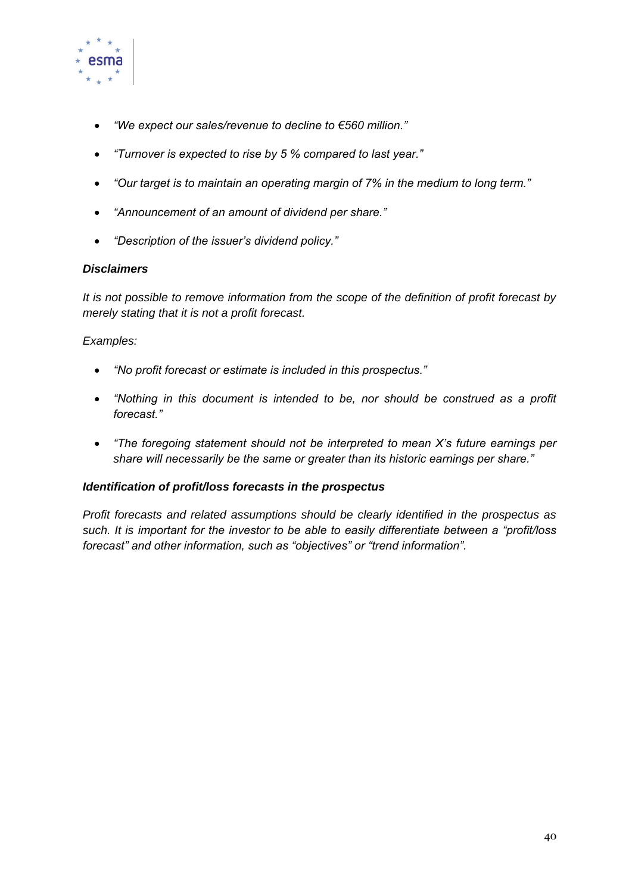

- *"We expect our sales/revenue to decline to €560 million."*
- *"Turnover is expected to rise by 5 % compared to last year."*
- *"Our target is to maintain an operating margin of 7% in the medium to long term."*
- *"Announcement of an amount of dividend per share."*
- *"Description of the issuer's dividend policy."*

## *Disclaimers*

*It is not possible to remove information from the scope of the definition of profit forecast by merely stating that it is not a profit forecast.* 

## *Examples:*

- *"No profit forecast or estimate is included in this prospectus."*
- *"Nothing in this document is intended to be, nor should be construed as a profit forecast."*
- *"The foregoing statement should not be interpreted to mean X's future earnings per share will necessarily be the same or greater than its historic earnings per share."*

#### *Identification of profit/loss forecasts in the prospectus*

*Profit forecasts and related assumptions should be clearly identified in the prospectus as such. It is important for the investor to be able to easily differentiate between a "profit/loss forecast" and other information, such as "objectives" or "trend information".*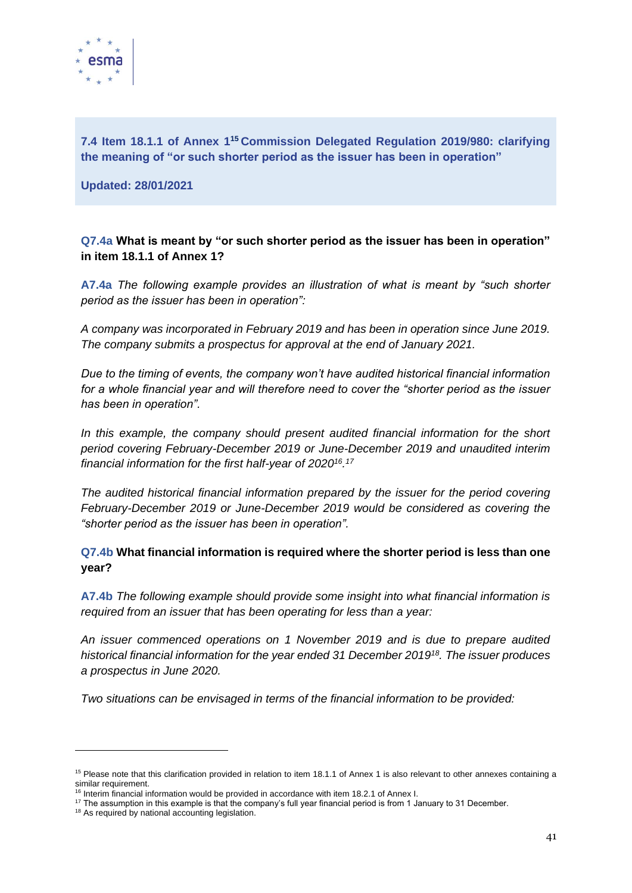

**7.4 Item 18.1.1 of Annex 1<sup>15</sup> Commission Delegated Regulation 2019/980: clarifying the meaning of "or such shorter period as the issuer has been in operation"**

**Updated: 28/01/2021**

**Q7.4a What is meant by "or such shorter period as the issuer has been in operation" in item 18.1.1 of Annex 1?**

**A7.4a** *The following example provides an illustration of what is meant by "such shorter period as the issuer has been in operation":*

*A company was incorporated in February 2019 and has been in operation since June 2019. The company submits a prospectus for approval at the end of January 2021.*

*Due to the timing of events, the company won't have audited historical financial information for a whole financial year and will therefore need to cover the "shorter period as the issuer has been in operation".* 

*In this example, the company should present audited financial information for the short period covering February-December 2019 or June-December 2019 and unaudited interim financial information for the first half-year of 2020<sup>16</sup> . 17*

*The audited historical financial information prepared by the issuer for the period covering February-December 2019 or June-December 2019 would be considered as covering the "shorter period as the issuer has been in operation".*

## **Q7.4b What financial information is required where the shorter period is less than one year?**

**A7.4b** *The following example should provide some insight into what financial information is required from an issuer that has been operating for less than a year:* 

*An issuer commenced operations on 1 November 2019 and is due to prepare audited historical financial information for the year ended 31 December 2019<sup>18</sup>. The issuer produces a prospectus in June 2020.* 

*Two situations can be envisaged in terms of the financial information to be provided:*

<sup>&</sup>lt;sup>15</sup> Please note that this clarification provided in relation to item 18.1.1 of Annex 1 is also relevant to other annexes containing a similar requirement.

 $16$  Interim financial information would be provided in accordance with item 18.2.1 of Annex I.

 $17$  The assumption in this example is that the company's full year financial period is from 1 January to 31 December.

<sup>&</sup>lt;sup>18</sup> As required by national accounting legislation.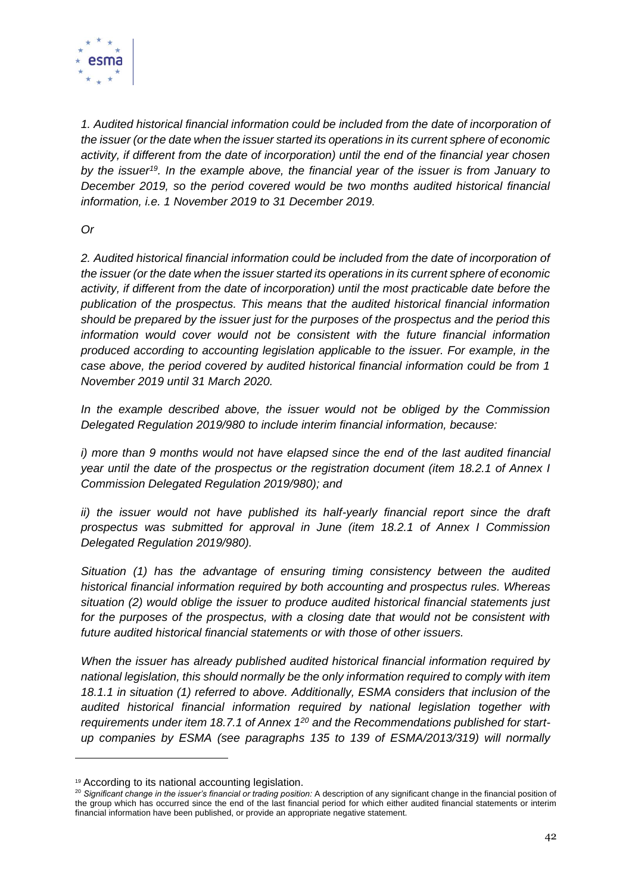

*1. Audited historical financial information could be included from the date of incorporation of the issuer (or the date when the issuer started its operations in its current sphere of economic activity, if different from the date of incorporation) until the end of the financial year chosen by the issuer<sup>19</sup>. In the example above, the financial year of the issuer is from January to December 2019, so the period covered would be two months audited historical financial information, i.e. 1 November 2019 to 31 December 2019.* 

*Or*

*2. Audited historical financial information could be included from the date of incorporation of the issuer (or the date when the issuer started its operations in its current sphere of economic activity, if different from the date of incorporation) until the most practicable date before the publication of the prospectus. This means that the audited historical financial information should be prepared by the issuer just for the purposes of the prospectus and the period this information would cover would not be consistent with the future financial information produced according to accounting legislation applicable to the issuer. For example, in the case above, the period covered by audited historical financial information could be from 1 November 2019 until 31 March 2020.* 

*In the example described above, the issuer would not be obliged by the Commission Delegated Regulation 2019/980 to include interim financial information, because:* 

*i) more than 9 months would not have elapsed since the end of the last audited financial year until the date of the prospectus or the registration document (item 18.2.1 of Annex I Commission Delegated Regulation 2019/980); and*

*ii) the issuer would not have published its half-yearly financial report since the draft prospectus was submitted for approval in June (item 18.2.1 of Annex I Commission Delegated Regulation 2019/980).* 

*Situation (1) has the advantage of ensuring timing consistency between the audited historical financial information required by both accounting and prospectus rules. Whereas situation (2) would oblige the issuer to produce audited historical financial statements just*  for the purposes of the prospectus, with a closing date that would not be consistent with *future audited historical financial statements or with those of other issuers.* 

*When the issuer has already published audited historical financial information required by national legislation, this should normally be the only information required to comply with item 18.1.1 in situation (1) referred to above. Additionally, ESMA considers that inclusion of the audited historical financial information required by national legislation together with requirements under item 18.7.1 of Annex 1<sup>20</sup> and the Recommendations published for startup companies by ESMA (see paragraphs 135 to 139 of ESMA/2013/319) will normally* 

<sup>19</sup> According to its national accounting legislation.

<sup>&</sup>lt;sup>20</sup> Significant change in the issuer's financial or trading position: A description of any significant change in the financial position of the group which has occurred since the end of the last financial period for which either audited financial statements or interim financial information have been published, or provide an appropriate negative statement.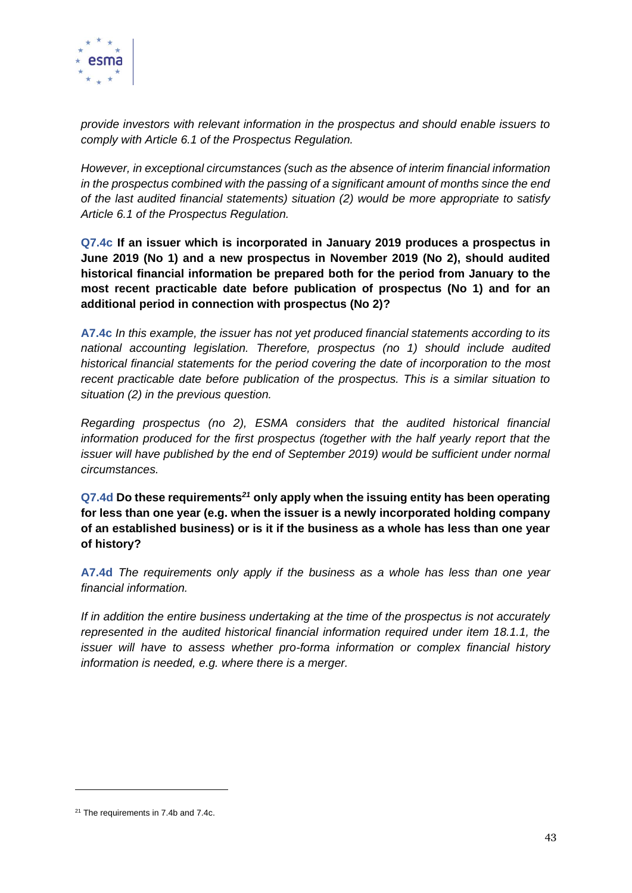

*provide investors with relevant information in the prospectus and should enable issuers to comply with Article 6.1 of the Prospectus Regulation.* 

*However, in exceptional circumstances (such as the absence of interim financial information in the prospectus combined with the passing of a significant amount of months since the end of the last audited financial statements) situation (2) would be more appropriate to satisfy Article 6.1 of the Prospectus Regulation.*

**Q7.4c If an issuer which is incorporated in January 2019 produces a prospectus in June 2019 (No 1) and a new prospectus in November 2019 (No 2), should audited historical financial information be prepared both for the period from January to the most recent practicable date before publication of prospectus (No 1) and for an additional period in connection with prospectus (No 2)?**

**A7.4c** *In this example, the issuer has not yet produced financial statements according to its national accounting legislation. Therefore, prospectus (no 1) should include audited historical financial statements for the period covering the date of incorporation to the most recent practicable date before publication of the prospectus. This is a similar situation to situation (2) in the previous question.* 

*Regarding prospectus (no 2), ESMA considers that the audited historical financial information produced for the first prospectus (together with the half yearly report that the issuer will have published by the end of September 2019) would be sufficient under normal circumstances.*

**Q7.4d Do these requirements***<sup>21</sup>* **only apply when the issuing entity has been operating for less than one year (e.g. when the issuer is a newly incorporated holding company of an established business) or is it if the business as a whole has less than one year of history?**

**A7.4d** *The requirements only apply if the business as a whole has less than one year financial information.*

*If in addition the entire business undertaking at the time of the prospectus is not accurately represented in the audited historical financial information required under item 18.1.1, the issuer will have to assess whether pro-forma information or complex financial history information is needed, e.g. where there is a merger.*

 $21$  The requirements in 7.4b and 7.4c.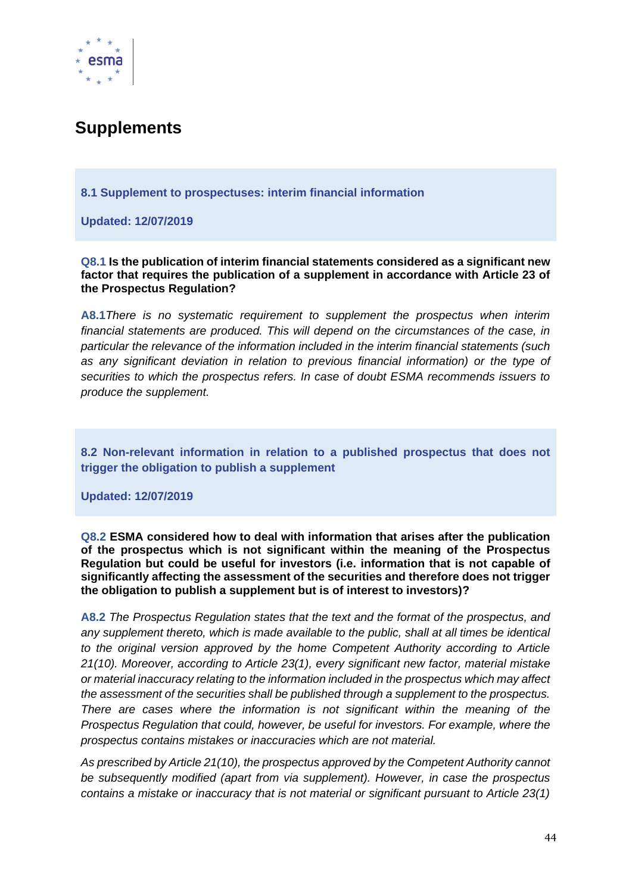

# **Supplements**

**8.1 Supplement to prospectuses: interim financial information**

**Updated: 12/07/2019**

**Q8.1 Is the publication of interim financial statements considered as a significant new factor that requires the publication of a supplement in accordance with Article 23 of the Prospectus Regulation?**

**A8.1***There is no systematic requirement to supplement the prospectus when interim financial statements are produced. This will depend on the circumstances of the case, in particular the relevance of the information included in the interim financial statements (such as any significant deviation in relation to previous financial information) or the type of securities to which the prospectus refers. In case of doubt ESMA recommends issuers to produce the supplement.*

**8.2 Non-relevant information in relation to a published prospectus that does not trigger the obligation to publish a supplement**

**Updated: 12/07/2019**

**Q8.2 ESMA considered how to deal with information that arises after the publication of the prospectus which is not significant within the meaning of the Prospectus Regulation but could be useful for investors (i.e. information that is not capable of significantly affecting the assessment of the securities and therefore does not trigger the obligation to publish a supplement but is of interest to investors)?**

**A8.2** *The Prospectus Regulation states that the text and the format of the prospectus, and any supplement thereto, which is made available to the public, shall at all times be identical to the original version approved by the home Competent Authority according to Article 21(10). Moreover, according to Article 23(1), every significant new factor, material mistake or material inaccuracy relating to the information included in the prospectus which may affect the assessment of the securities shall be published through a supplement to the prospectus. There are cases where the information is not significant within the meaning of the Prospectus Regulation that could, however, be useful for investors. For example, where the prospectus contains mistakes or inaccuracies which are not material.* 

*As prescribed by Article 21(10), the prospectus approved by the Competent Authority cannot be subsequently modified (apart from via supplement). However, in case the prospectus contains a mistake or inaccuracy that is not material or significant pursuant to Article 23(1)*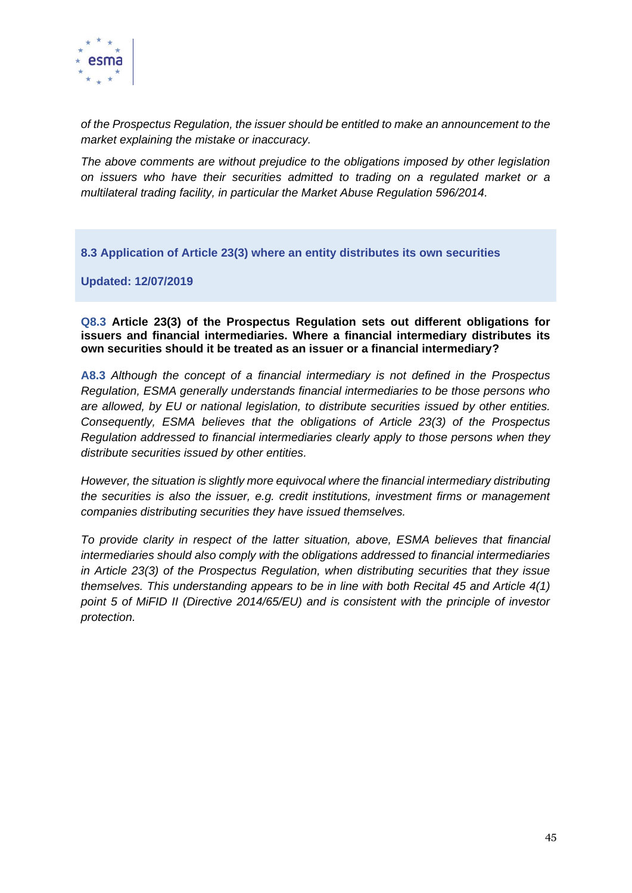

*of the Prospectus Regulation, the issuer should be entitled to make an announcement to the market explaining the mistake or inaccuracy.* 

*The above comments are without prejudice to the obligations imposed by other legislation on issuers who have their securities admitted to trading on a regulated market or a multilateral trading facility, in particular the Market Abuse Regulation 596/2014.*

**8.3 Application of Article 23(3) where an entity distributes its own securities**

**Updated: 12/07/2019**

#### **Q8.3 Article 23(3) of the Prospectus Regulation sets out different obligations for issuers and financial intermediaries. Where a financial intermediary distributes its own securities should it be treated as an issuer or a financial intermediary?**

**A8.3** *Although the concept of a financial intermediary is not defined in the Prospectus Regulation, ESMA generally understands financial intermediaries to be those persons who are allowed, by EU or national legislation, to distribute securities issued by other entities. Consequently, ESMA believes that the obligations of Article 23(3) of the Prospectus Regulation addressed to financial intermediaries clearly apply to those persons when they distribute securities issued by other entities.* 

*However, the situation is slightly more equivocal where the financial intermediary distributing the securities is also the issuer, e.g. credit institutions, investment firms or management companies distributing securities they have issued themselves.* 

*To provide clarity in respect of the latter situation, above, ESMA believes that financial intermediaries should also comply with the obligations addressed to financial intermediaries in Article 23(3) of the Prospectus Regulation, when distributing securities that they issue themselves. This understanding appears to be in line with both Recital 45 and Article 4(1) point 5 of MiFID II (Directive 2014/65/EU) and is consistent with the principle of investor protection.*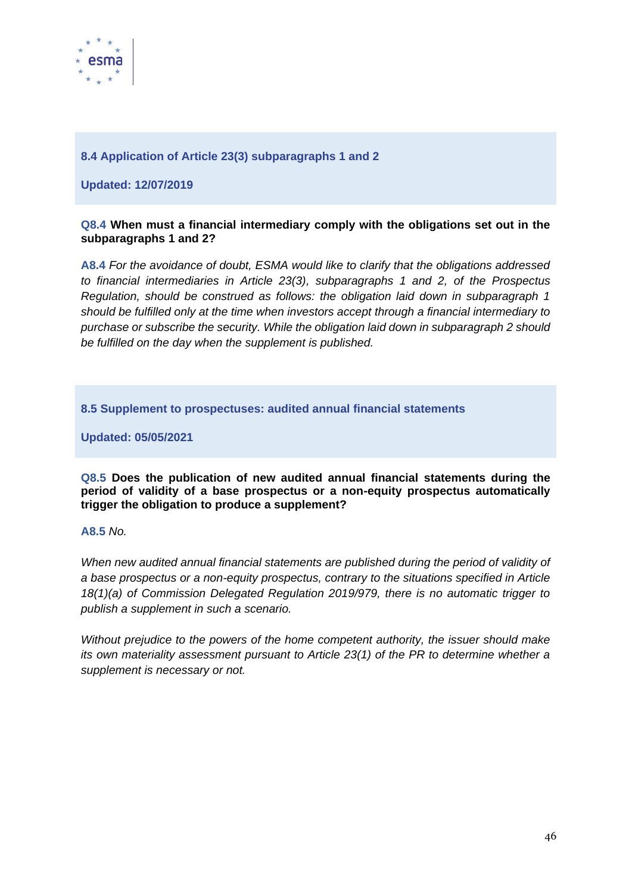

## **8.4 Application of Article 23(3) subparagraphs 1 and 2**

**Updated: 12/07/2019**

#### **Q8.4 When must a financial intermediary comply with the obligations set out in the subparagraphs 1 and 2?**

**A8.4** *For the avoidance of doubt, ESMA would like to clarify that the obligations addressed to financial intermediaries in Article 23(3), subparagraphs 1 and 2, of the Prospectus Regulation, should be construed as follows: the obligation laid down in subparagraph 1 should be fulfilled only at the time when investors accept through a financial intermediary to purchase or subscribe the security. While the obligation laid down in subparagraph 2 should be fulfilled on the day when the supplement is published.*

**8.5 Supplement to prospectuses: audited annual financial statements**

**Updated: 05/05/2021**

**Q8.5 Does the publication of new audited annual financial statements during the period of validity of a base prospectus or a non-equity prospectus automatically trigger the obligation to produce a supplement?**

#### **A8.5** *No.*

When new audited annual financial statements are published during the period of validity of *a base prospectus or a non-equity prospectus, contrary to the situations specified in Article 18(1)(a) of Commission Delegated Regulation 2019/979, there is no automatic trigger to publish a supplement in such a scenario.* 

*Without prejudice to the powers of the home competent authority, the issuer should make its own materiality assessment pursuant to Article 23(1) of the PR to determine whether a supplement is necessary or not.*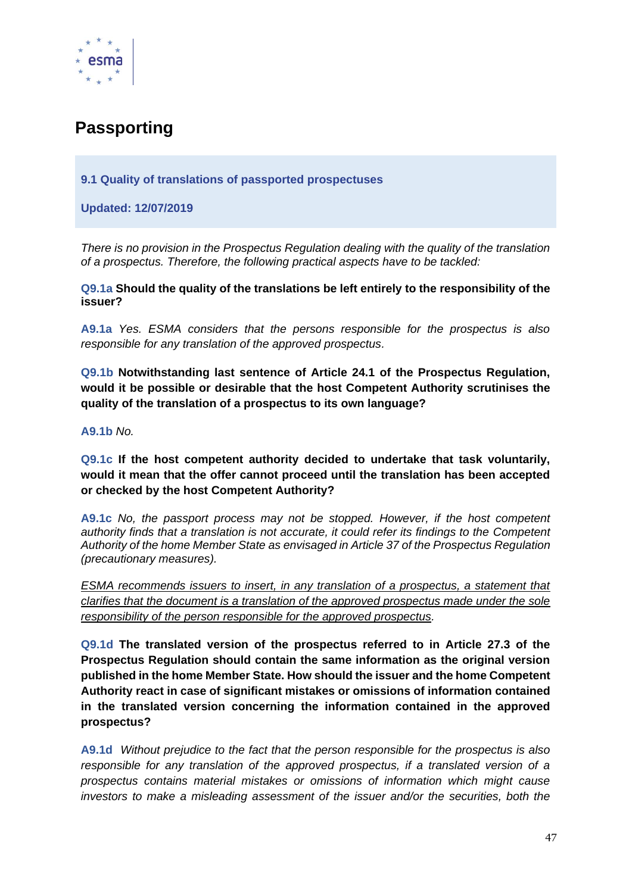

# **Passporting**

#### **9.1 Quality of translations of passported prospectuses**

**Updated: 12/07/2019**

*There is no provision in the Prospectus Regulation dealing with the quality of the translation of a prospectus. Therefore, the following practical aspects have to be tackled:* 

**Q9.1a Should the quality of the translations be left entirely to the responsibility of the issuer?**

**A9.1a** *Yes. ESMA considers that the persons responsible for the prospectus is also responsible for any translation of the approved prospectus.*

**Q9.1b Notwithstanding last sentence of Article 24.1 of the Prospectus Regulation, would it be possible or desirable that the host Competent Authority scrutinises the quality of the translation of a prospectus to its own language?**

**A9.1b** *No.*

**Q9.1c If the host competent authority decided to undertake that task voluntarily, would it mean that the offer cannot proceed until the translation has been accepted or checked by the host Competent Authority?**

**A9.1c** *No, the passport process may not be stopped. However, if the host competent authority finds that a translation is not accurate, it could refer its findings to the Competent Authority of the home Member State as envisaged in Article 37 of the Prospectus Regulation (precautionary measures).*

*ESMA recommends issuers to insert, in any translation of a prospectus, a statement that clarifies that the document is a translation of the approved prospectus made under the sole responsibility of the person responsible for the approved prospectus.*

**Q9.1d The translated version of the prospectus referred to in Article 27.3 of the Prospectus Regulation should contain the same information as the original version published in the home Member State. How should the issuer and the home Competent Authority react in case of significant mistakes or omissions of information contained in the translated version concerning the information contained in the approved prospectus?**

**A9.1d** *Without prejudice to the fact that the person responsible for the prospectus is also responsible for any translation of the approved prospectus, if a translated version of a prospectus contains material mistakes or omissions of information which might cause investors to make a misleading assessment of the issuer and/or the securities, both the*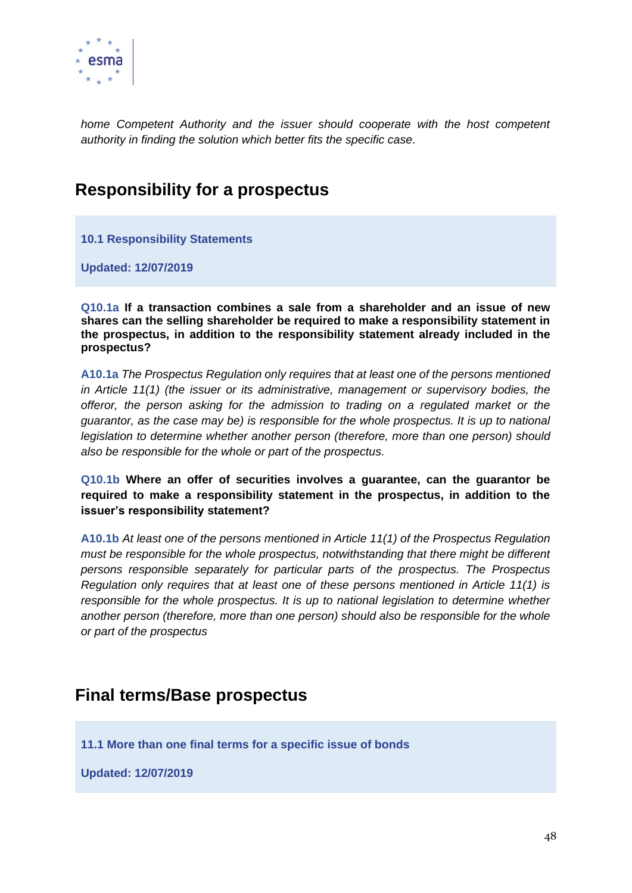

*home Competent Authority and the issuer should cooperate with the host competent authority in finding the solution which better fits the specific case.*

## **Responsibility for a prospectus**

**10.1 Responsibility Statements**

**Updated: 12/07/2019**

**Q10.1a If a transaction combines a sale from a shareholder and an issue of new shares can the selling shareholder be required to make a responsibility statement in the prospectus, in addition to the responsibility statement already included in the prospectus?**

**A10.1a** *The Prospectus Regulation only requires that at least one of the persons mentioned in Article 11(1) (the issuer or its administrative, management or supervisory bodies, the offeror, the person asking for the admission to trading on a regulated market or the guarantor, as the case may be) is responsible for the whole prospectus. It is up to national legislation to determine whether another person (therefore, more than one person) should also be responsible for the whole or part of the prospectus.*

**Q10.1b Where an offer of securities involves a guarantee, can the guarantor be required to make a responsibility statement in the prospectus, in addition to the issuer's responsibility statement?**

**A10.1b** *At least one of the persons mentioned in Article 11(1) of the Prospectus Regulation must be responsible for the whole prospectus, notwithstanding that there might be different persons responsible separately for particular parts of the prospectus. The Prospectus Regulation only requires that at least one of these persons mentioned in Article 11(1) is responsible for the whole prospectus. It is up to national legislation to determine whether another person (therefore, more than one person) should also be responsible for the whole or part of the prospectus*

## **Final terms/Base prospectus**

**11.1 More than one final terms for a specific issue of bonds**

**Updated: 12/07/2019**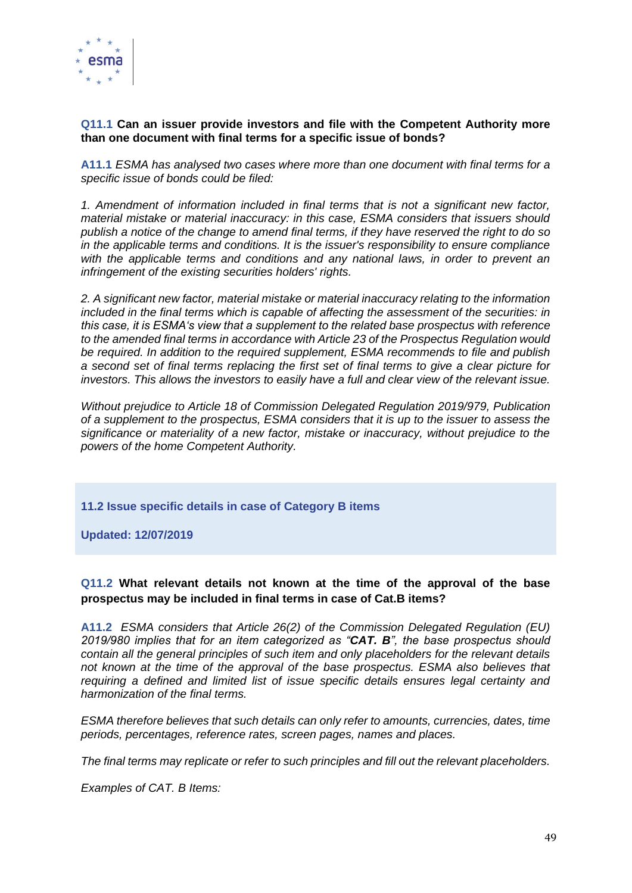

#### **Q11.1 Can an issuer provide investors and file with the Competent Authority more than one document with final terms for a specific issue of bonds?**

**A11.1** *ESMA has analysed two cases where more than one document with final terms for a specific issue of bonds could be filed:*

*1. Amendment of information included in final terms that is not a significant new factor, material mistake or material inaccuracy: in this case, ESMA considers that issuers should publish a notice of the change to amend final terms, if they have reserved the right to do so in the applicable terms and conditions. It is the issuer's responsibility to ensure compliance with the applicable terms and conditions and any national laws, in order to prevent an infringement of the existing securities holders' rights.*

*2. A significant new factor, material mistake or material inaccuracy relating to the information included in the final terms which is capable of affecting the assessment of the securities: in this case, it is ESMA's view that a supplement to the related base prospectus with reference to the amended final terms in accordance with Article 23 of the Prospectus Regulation would be required. In addition to the required supplement, ESMA recommends to file and publish a second set of final terms replacing the first set of final terms to give a clear picture for investors. This allows the investors to easily have a full and clear view of the relevant issue.*

*Without prejudice to Article 18 of Commission Delegated Regulation 2019/979, Publication of a supplement to the prospectus, ESMA considers that it is up to the issuer to assess the significance or materiality of a new factor, mistake or inaccuracy, without prejudice to the powers of the home Competent Authority.*

**11.2 Issue specific details in case of Category B items**

**Updated: 12/07/2019**

## **Q11.2 What relevant details not known at the time of the approval of the base prospectus may be included in final terms in case of Cat.B items?**

**A11.2** *ESMA considers that Article 26(2) of the Commission Delegated Regulation (EU) 2019/980 implies that for an item categorized as "CAT. B", the base prospectus should contain all the general principles of such item and only placeholders for the relevant details*  not known at the time of the approval of the base prospectus. ESMA also believes that *requiring a defined and limited list of issue specific details ensures legal certainty and harmonization of the final terms.*

*ESMA therefore believes that such details can only refer to amounts, currencies, dates, time periods, percentages, reference rates, screen pages, names and places.* 

*The final terms may replicate or refer to such principles and fill out the relevant placeholders.* 

*Examples of CAT. B Items:*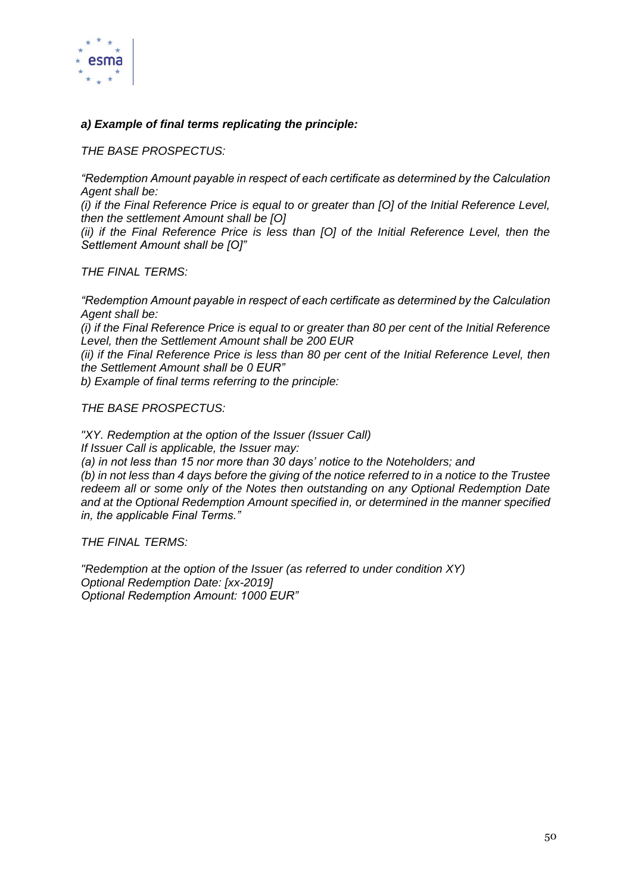

## *a) Example of final terms replicating the principle:*

*THE BASE PROSPECTUS:* 

*"Redemption Amount payable in respect of each certificate as determined by the Calculation Agent shall be:* 

*(i) if the Final Reference Price is equal to or greater than [O] of the Initial Reference Level, then the settlement Amount shall be [O]* 

*(ii) if the Final Reference Price is less than [O] of the Initial Reference Level, then the Settlement Amount shall be [O]"* 

*THE FINAL TERMS:*

*"Redemption Amount payable in respect of each certificate as determined by the Calculation Agent shall be:*

*(i) if the Final Reference Price is equal to or greater than 80 per cent of the Initial Reference Level, then the Settlement Amount shall be 200 EUR*

*(ii) if the Final Reference Price is less than 80 per cent of the Initial Reference Level, then the Settlement Amount shall be 0 EUR"*

*b) Example of final terms referring to the principle:*

*THE BASE PROSPECTUS:*

*"XY. Redemption at the option of the Issuer (Issuer Call) If Issuer Call is applicable, the Issuer may: (a) in not less than 15 nor more than 30 days' notice to the Noteholders; and (b) in not less than 4 days before the giving of the notice referred to in a notice to the Trustee redeem all or some only of the Notes then outstanding on any Optional Redemption Date and at the Optional Redemption Amount specified in, or determined in the manner specified in, the applicable Final Terms."*

*THE FINAL TERMS:*

*"Redemption at the option of the Issuer (as referred to under condition XY) Optional Redemption Date: [xx-2019] Optional Redemption Amount: 1000 EUR"*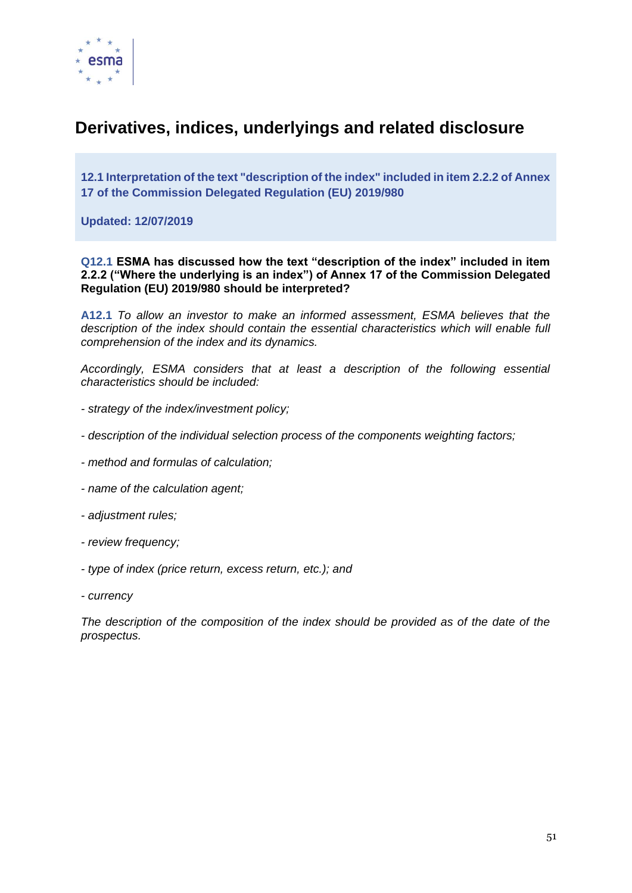

# **Derivatives, indices, underlyings and related disclosure**

**12.1 Interpretation of the text "description of the index" included in item 2.2.2 of Annex 17 of the Commission Delegated Regulation (EU) 2019/980**

**Updated: 12/07/2019**

#### **Q12.1 ESMA has discussed how the text "description of the index" included in item 2.2.2 ("Where the underlying is an index") of Annex 17 of the Commission Delegated Regulation (EU) 2019/980 should be interpreted?**

**A12.1** *To allow an investor to make an informed assessment, ESMA believes that the description of the index should contain the essential characteristics which will enable full comprehension of the index and its dynamics.* 

*Accordingly, ESMA considers that at least a description of the following essential characteristics should be included:*

- *- strategy of the index/investment policy;*
- *- description of the individual selection process of the components weighting factors;*
- *- method and formulas of calculation;*
- *- name of the calculation agent;*
- *- adjustment rules;*
- *- review frequency;*
- *- type of index (price return, excess return, etc.); and*
- *- currency*

*The description of the composition of the index should be provided as of the date of the prospectus.*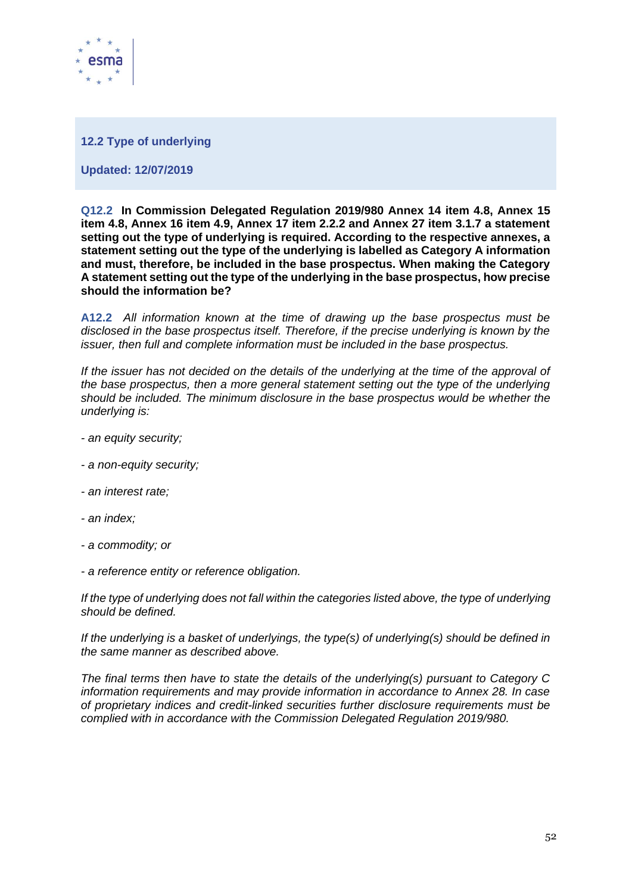

#### **12.2 Type of underlying**

**Updated: 12/07/2019**

**Q12.2 In Commission Delegated Regulation 2019/980 Annex 14 item 4.8, Annex 15 item 4.8, Annex 16 item 4.9, Annex 17 item 2.2.2 and Annex 27 item 3.1.7 a statement setting out the type of underlying is required. According to the respective annexes, a statement setting out the type of the underlying is labelled as Category A information and must, therefore, be included in the base prospectus. When making the Category A statement setting out the type of the underlying in the base prospectus, how precise should the information be?**

**A12.2** *All information known at the time of drawing up the base prospectus must be disclosed in the base prospectus itself. Therefore, if the precise underlying is known by the issuer, then full and complete information must be included in the base prospectus.*

If the issuer has not decided on the details of the underlying at the time of the approval of *the base prospectus, then a more general statement setting out the type of the underlying should be included. The minimum disclosure in the base prospectus would be whether the underlying is:*

- *- an equity security;*
- *- a non-equity security;*
- *- an interest rate;*
- *- an index;*
- *- a commodity; or*
- *- a reference entity or reference obligation.*

*If the type of underlying does not fall within the categories listed above, the type of underlying should be defined.*

*If the underlying is a basket of underlyings, the type(s) of underlying(s) should be defined in the same manner as described above.*

*The final terms then have to state the details of the underlying(s) pursuant to Category C information requirements and may provide information in accordance to Annex 28. In case of proprietary indices and credit-linked securities further disclosure requirements must be complied with in accordance with the Commission Delegated Regulation 2019/980.*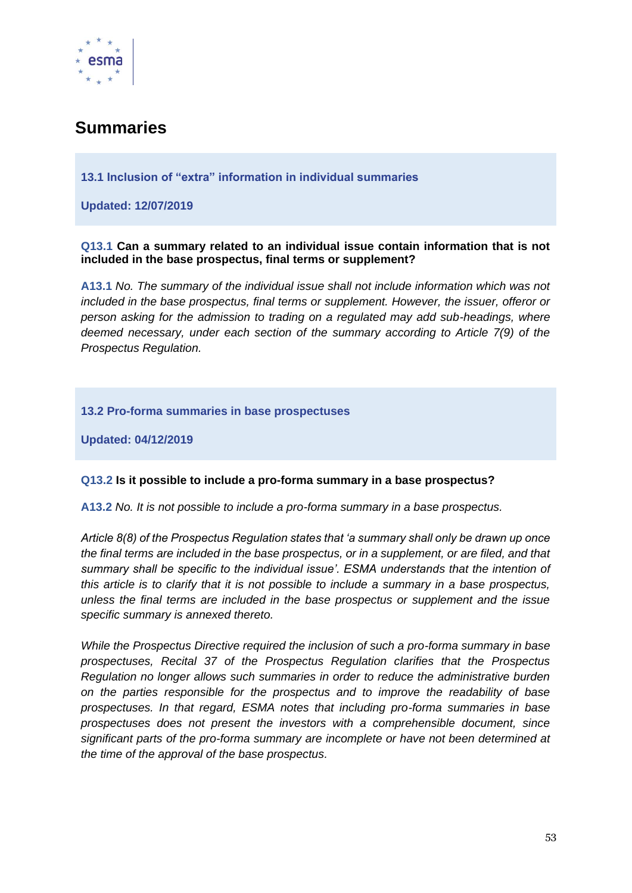

# **Summaries**

## **13.1 Inclusion of "extra" information in individual summaries**

**Updated: 12/07/2019**

#### **Q13.1 Can a summary related to an individual issue contain information that is not included in the base prospectus, final terms or supplement?**

**A13.1** *No. The summary of the individual issue shall not include information which was not included in the base prospectus, final terms or supplement. However, the issuer, offeror or person asking for the admission to trading on a regulated may add sub-headings, where deemed necessary, under each section of the summary according to Article 7(9) of the Prospectus Regulation.*

#### **13.2 Pro-forma summaries in base prospectuses**

**Updated: 04/12/2019**

#### **Q13.2 Is it possible to include a pro-forma summary in a base prospectus?**

**A13.2** *No. It is not possible to include a pro-forma summary in a base prospectus.*

*Article 8(8) of the Prospectus Regulation states that 'a summary shall only be drawn up once the final terms are included in the base prospectus, or in a supplement, or are filed, and that summary shall be specific to the individual issue'. ESMA understands that the intention of this article is to clarify that it is not possible to include a summary in a base prospectus, unless the final terms are included in the base prospectus or supplement and the issue specific summary is annexed thereto.* 

*While the Prospectus Directive required the inclusion of such a pro-forma summary in base prospectuses, Recital 37 of the Prospectus Regulation clarifies that the Prospectus Regulation no longer allows such summaries in order to reduce the administrative burden on the parties responsible for the prospectus and to improve the readability of base prospectuses. In that regard, ESMA notes that including pro-forma summaries in base prospectuses does not present the investors with a comprehensible document, since significant parts of the pro-forma summary are incomplete or have not been determined at the time of the approval of the base prospectus.*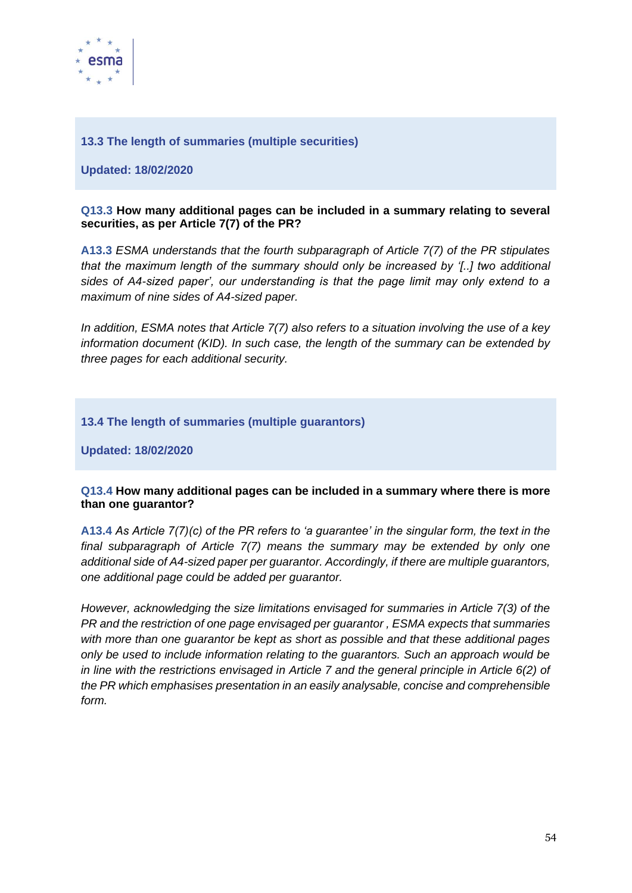

## **13.3 The length of summaries (multiple securities)**

**Updated: 18/02/2020**

#### **Q13.3 How many additional pages can be included in a summary relating to several securities, as per Article 7(7) of the PR?**

**A13.3** *ESMA understands that the fourth subparagraph of Article 7(7) of the PR stipulates that the maximum length of the summary should only be increased by '[..] two additional sides of A4-sized paper', our understanding is that the page limit may only extend to a maximum of nine sides of A4-sized paper.*

*In addition, ESMA notes that Article 7(7) also refers to a situation involving the use of a key information document (KID). In such case, the length of the summary can be extended by three pages for each additional security.*

## **13.4 The length of summaries (multiple guarantors)**

**Updated: 18/02/2020**

#### **Q13.4 How many additional pages can be included in a summary where there is more than one guarantor?**

**A13.4** *As Article 7(7)(c) of the PR refers to 'a guarantee' in the singular form, the text in the final subparagraph of Article 7(7) means the summary may be extended by only one additional side of A4-sized paper per guarantor. Accordingly, if there are multiple guarantors, one additional page could be added per guarantor.*

*However, acknowledging the size limitations envisaged for summaries in Article 7(3) of the PR and the restriction of one page envisaged per guarantor , ESMA expects that summaries with more than one guarantor be kept as short as possible and that these additional pages only be used to include information relating to the guarantors. Such an approach would be in line with the restrictions envisaged in Article 7 and the general principle in Article 6(2) of the PR which emphasises presentation in an easily analysable, concise and comprehensible form.*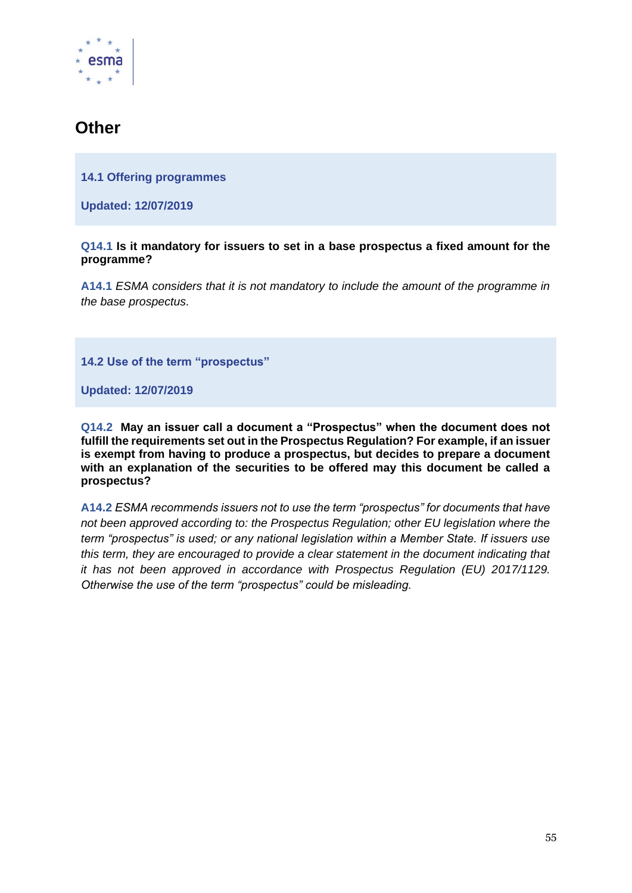

# **Other**

**14.1 Offering programmes**

**Updated: 12/07/2019**

#### **Q14.1 Is it mandatory for issuers to set in a base prospectus a fixed amount for the programme?**

**A14.1** *ESMA considers that it is not mandatory to include the amount of the programme in the base prospectus.*

**14.2 Use of the term "prospectus"**

**Updated: 12/07/2019**

**Q14.2 May an issuer call a document a "Prospectus" when the document does not fulfill the requirements set out in the Prospectus Regulation? For example, if an issuer is exempt from having to produce a prospectus, but decides to prepare a document with an explanation of the securities to be offered may this document be called a prospectus?**

**A14.2** *ESMA recommends issuers not to use the term "prospectus" for documents that have not been approved according to: the Prospectus Regulation; other EU legislation where the term "prospectus" is used; or any national legislation within a Member State. If issuers use this term, they are encouraged to provide a clear statement in the document indicating that it has not been approved in accordance with Prospectus Regulation (EU) 2017/1129. Otherwise the use of the term "prospectus" could be misleading.*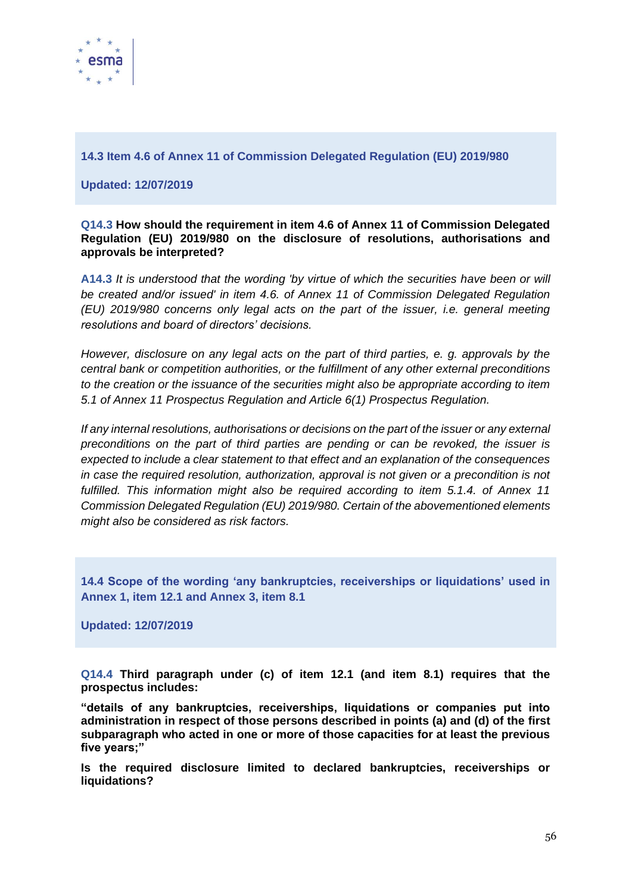

**14.3 Item 4.6 of Annex 11 of Commission Delegated Regulation (EU) 2019/980**

**Updated: 12/07/2019**

#### **Q14.3 How should the requirement in item 4.6 of Annex 11 of Commission Delegated Regulation (EU) 2019/980 on the disclosure of resolutions, authorisations and approvals be interpreted?**

**A14.3** *It is understood that the wording 'by virtue of which the securities have been or will be created and/or issued' in item 4.6. of Annex 11 of Commission Delegated Regulation (EU) 2019/980 concerns only legal acts on the part of the issuer, i.e. general meeting resolutions and board of directors' decisions.*

*However, disclosure on any legal acts on the part of third parties, e. g. approvals by the central bank or competition authorities, or the fulfillment of any other external preconditions to the creation or the issuance of the securities might also be appropriate according to item 5.1 of Annex 11 Prospectus Regulation and Article 6(1) Prospectus Regulation.* 

*If any internal resolutions, authorisations or decisions on the part of the issuer or any external preconditions on the part of third parties are pending or can be revoked, the issuer is expected to include a clear statement to that effect and an explanation of the consequences in case the required resolution, authorization, approval is not given or a precondition is not fulfilled. This information might also be required according to item 5.1.4. of Annex 11 Commission Delegated Regulation (EU) 2019/980. Certain of the abovementioned elements might also be considered as risk factors.* 

**14.4 Scope of the wording 'any bankruptcies, receiverships or liquidations' used in Annex 1, item 12.1 and Annex 3, item 8.1**

**Updated: 12/07/2019**

**Q14.4 Third paragraph under (c) of item 12.1 (and item 8.1) requires that the prospectus includes:** 

**"details of any bankruptcies, receiverships, liquidations or companies put into administration in respect of those persons described in points (a) and (d) of the first subparagraph who acted in one or more of those capacities for at least the previous five years;"** 

**Is the required disclosure limited to declared bankruptcies, receiverships or liquidations?**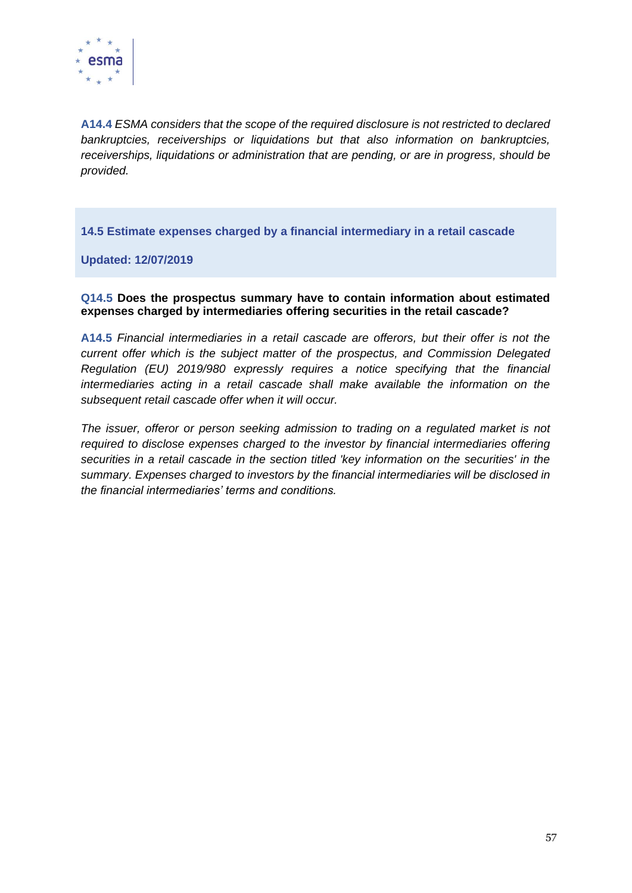

**A14.4** *ESMA considers that the scope of the required disclosure is not restricted to declared bankruptcies, receiverships or liquidations but that also information on bankruptcies, receiverships, liquidations or administration that are pending, or are in progress, should be provided.*

**14.5 Estimate expenses charged by a financial intermediary in a retail cascade**

**Updated: 12/07/2019**

**Q14.5 Does the prospectus summary have to contain information about estimated expenses charged by intermediaries offering securities in the retail cascade?**

**A14.5** *Financial intermediaries in a retail cascade are offerors, but their offer is not the current offer which is the subject matter of the prospectus, and Commission Delegated Regulation (EU) 2019/980 expressly requires a notice specifying that the financial intermediaries acting in a retail cascade shall make available the information on the subsequent retail cascade offer when it will occur.*

*The issuer, offeror or person seeking admission to trading on a regulated market is not required to disclose expenses charged to the investor by financial intermediaries offering securities in a retail cascade in the section titled 'key information on the securities' in the summary. Expenses charged to investors by the financial intermediaries will be disclosed in the financial intermediaries' terms and conditions.*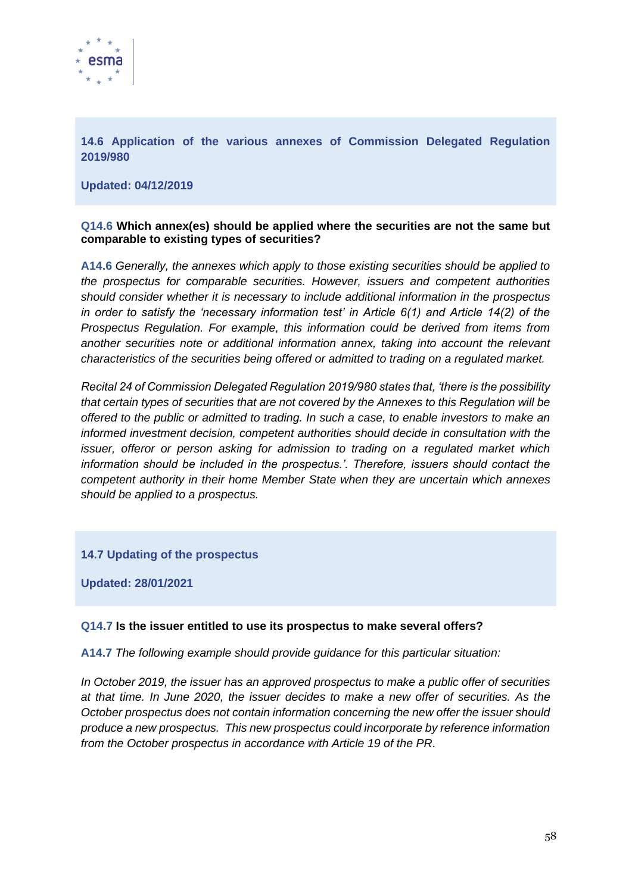

**14.6 Application of the various annexes of Commission Delegated Regulation 2019/980**

**Updated: 04/12/2019**

#### **Q14.6 Which annex(es) should be applied where the securities are not the same but comparable to existing types of securities?**

**A14.6** *Generally, the annexes which apply to those existing securities should be applied to the prospectus for comparable securities. However, issuers and competent authorities should consider whether it is necessary to include additional information in the prospectus in order to satisfy the 'necessary information test' in Article 6(1) and Article 14(2) of the Prospectus Regulation. For example, this information could be derived from items from another securities note or additional information annex, taking into account the relevant characteristics of the securities being offered or admitted to trading on a regulated market.* 

*Recital 24 of Commission Delegated Regulation 2019/980 states that, 'there is the possibility that certain types of securities that are not covered by the Annexes to this Regulation will be offered to the public or admitted to trading. In such a case, to enable investors to make an informed investment decision, competent authorities should decide in consultation with the issuer, offeror or person asking for admission to trading on a regulated market which information should be included in the prospectus.'. Therefore, issuers should contact the competent authority in their home Member State when they are uncertain which annexes should be applied to a prospectus.*

#### **14.7 Updating of the prospectus**

**Updated: 28/01/2021**

#### **Q14.7 Is the issuer entitled to use its prospectus to make several offers?**

**A14.7** *The following example should provide guidance for this particular situation:* 

*In October 2019, the issuer has an approved prospectus to make a public offer of securities at that time. In June 2020, the issuer decides to make a new offer of securities. As the October prospectus does not contain information concerning the new offer the issuer should produce a new prospectus. This new prospectus could incorporate by reference information from the October prospectus in accordance with Article 19 of the PR.*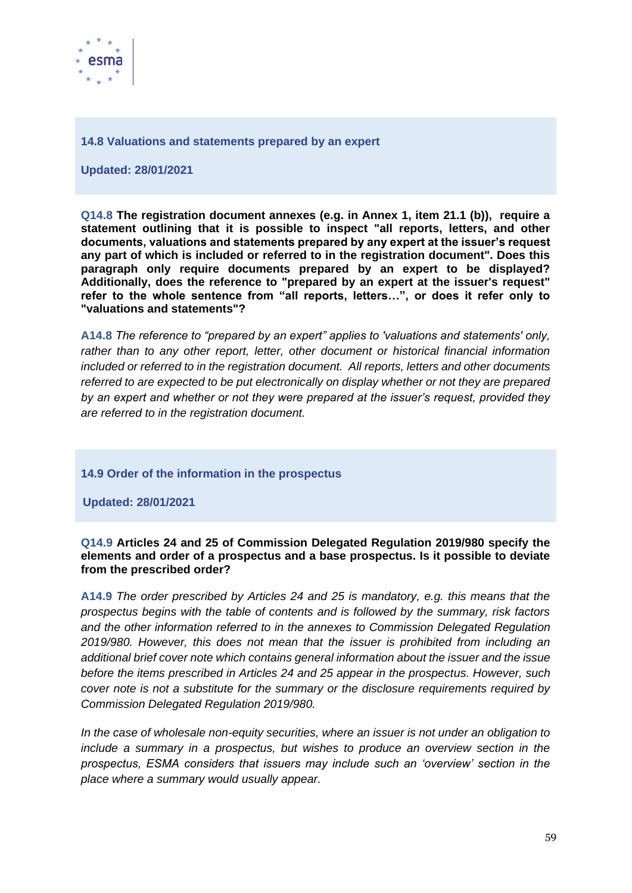

#### **14.8 Valuations and statements prepared by an expert**

**Updated: 28/01/2021**

**Q14.8 The registration document annexes (e.g. in Annex 1, item 21.1 (b)), require a statement outlining that it is possible to inspect "all reports, letters, and other documents, valuations and statements prepared by any expert at the issuer's request any part of which is included or referred to in the registration document". Does this paragraph only require documents prepared by an expert to be displayed? Additionally, does the reference to "prepared by an expert at the issuer's request" refer to the whole sentence from "all reports, letters…", or does it refer only to "valuations and statements"?**

**A14.8** *The reference to "prepared by an expert" applies to 'valuations and statements' only, rather than to any other report, letter, other document or historical financial information included or referred to in the registration document. All reports, letters and other documents referred to are expected to be put electronically on display whether or not they are prepared by an expert and whether or not they were prepared at the issuer's request, provided they are referred to in the registration document.*

#### **14.9 Order of the information in the prospectus**

**Updated: 28/01/2021**

#### **Q14.9 Articles 24 and 25 of Commission Delegated Regulation 2019/980 specify the elements and order of a prospectus and a base prospectus. Is it possible to deviate from the prescribed order?**

**A14.9** *The order prescribed by Articles 24 and 25 is mandatory, e.g. this means that the prospectus begins with the table of contents and is followed by the summary, risk factors and the other information referred to in the annexes to Commission Delegated Regulation 2019/980. However, this does not mean that the issuer is prohibited from including an additional brief cover note which contains general information about the issuer and the issue before the items prescribed in Articles 24 and 25 appear in the prospectus. However, such cover note is not a substitute for the summary or the disclosure requirements required by Commission Delegated Regulation 2019/980.*

*In the case of wholesale non-equity securities, where an issuer is not under an obligation to include a summary in a prospectus, but wishes to produce an overview section in the prospectus, ESMA considers that issuers may include such an 'overview' section in the place where a summary would usually appear.*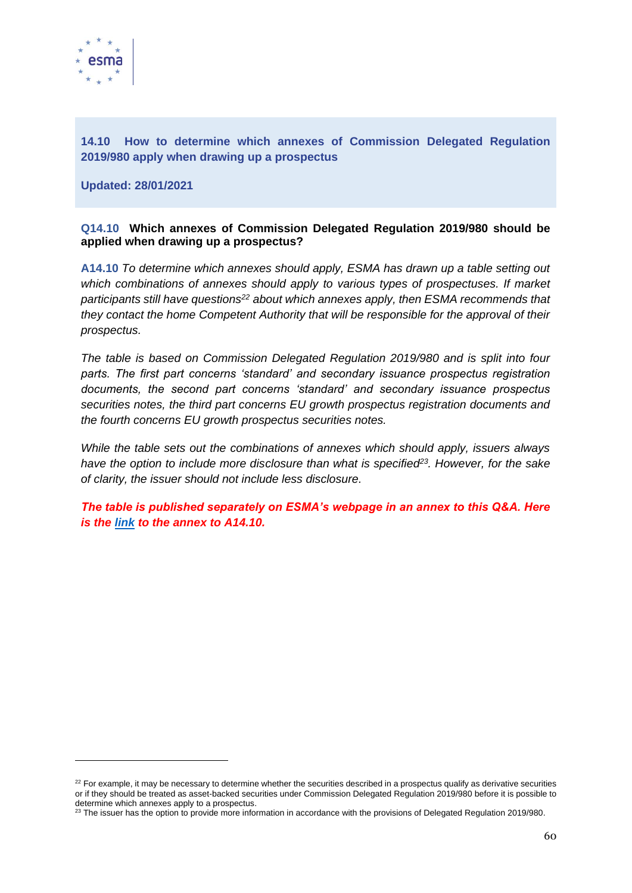

## **14.10 How to determine which annexes of Commission Delegated Regulation 2019/980 apply when drawing up a prospectus**

**Updated: 28/01/2021**

#### **Q14.10 Which annexes of Commission Delegated Regulation 2019/980 should be applied when drawing up a prospectus?**

**A14.10** *To determine which annexes should apply, ESMA has drawn up a table setting out which combinations of annexes should apply to various types of prospectuses. If market participants still have questions<sup>22</sup> about which annexes apply, then ESMA recommends that they contact the home Competent Authority that will be responsible for the approval of their prospectus.*

*The table is based on Commission Delegated Regulation 2019/980 and is split into four parts. The first part concerns 'standard' and secondary issuance prospectus registration documents, the second part concerns 'standard' and secondary issuance prospectus securities notes, the third part concerns EU growth prospectus registration documents and the fourth concerns EU growth prospectus securities notes.* 

*While the table sets out the combinations of annexes which should apply, issuers always have the option to include more disclosure than what is specified<sup>23</sup>. However, for the sake of clarity, the issuer should not include less disclosure.*

*The table is published separately on ESMA's webpage in an annex to this Q&A. Here is the [link](https://www.esma.europa.eu/sites/default/files/annex_to_toc_qa_on_the_prospectus_regulation.pdf) to the annex to A14.10.* 

 $22$  For example, it may be necessary to determine whether the securities described in a prospectus qualify as derivative securities or if they should be treated as asset-backed securities under Commission Delegated Regulation 2019/980 before it is possible to determine which annexes apply to a prospectus.

<sup>&</sup>lt;sup>23</sup> The issuer has the option to provide more information in accordance with the provisions of Delegated Regulation 2019/980.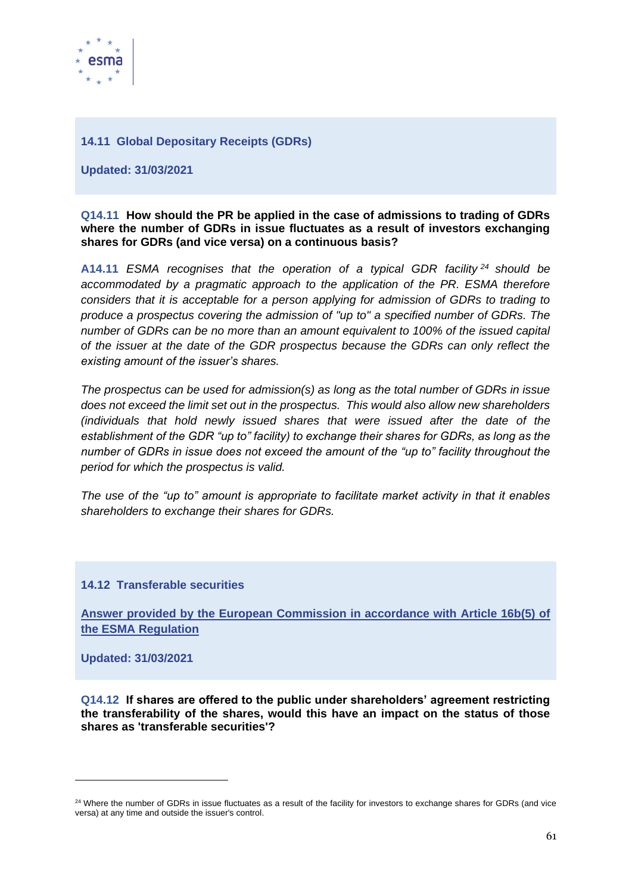

#### **14.11 Global Depositary Receipts (GDRs)**

**Updated: 31/03/2021**

#### **Q14.11 How should the PR be applied in the case of admissions to trading of GDRs where the number of GDRs in issue fluctuates as a result of investors exchanging shares for GDRs (and vice versa) on a continuous basis?**

**A14.11** *ESMA recognises that the operation of a typical GDR facility <sup>24</sup> should be accommodated by a pragmatic approach to the application of the PR. ESMA therefore considers that it is acceptable for a person applying for admission of GDRs to trading to produce a prospectus covering the admission of "up to" a specified number of GDRs. The number of GDRs can be no more than an amount equivalent to 100% of the issued capital of the issuer at the date of the GDR prospectus because the GDRs can only reflect the existing amount of the issuer's shares.* 

*The prospectus can be used for admission(s) as long as the total number of GDRs in issue does not exceed the limit set out in the prospectus. This would also allow new shareholders (individuals that hold newly issued shares that were issued after the date of the establishment of the GDR "up to" facility) to exchange their shares for GDRs, as long as the number of GDRs in issue does not exceed the amount of the "up to" facility throughout the period for which the prospectus is valid.* 

*The use of the "up to" amount is appropriate to facilitate market activity in that it enables shareholders to exchange their shares for GDRs.*

**14.12 Transferable securities** 

**Answer provided by the European Commission in accordance with Article 16b(5) of the ESMA Regulation**

**Updated: 31/03/2021**

**Q14.12 If shares are offered to the public under shareholders' agreement restricting the transferability of the shares, would this have an impact on the status of those shares as 'transferable securities'?**

<sup>&</sup>lt;sup>24</sup> Where the number of GDRs in issue fluctuates as a result of the facility for investors to exchange shares for GDRs (and vice versa) at any time and outside the issuer's control.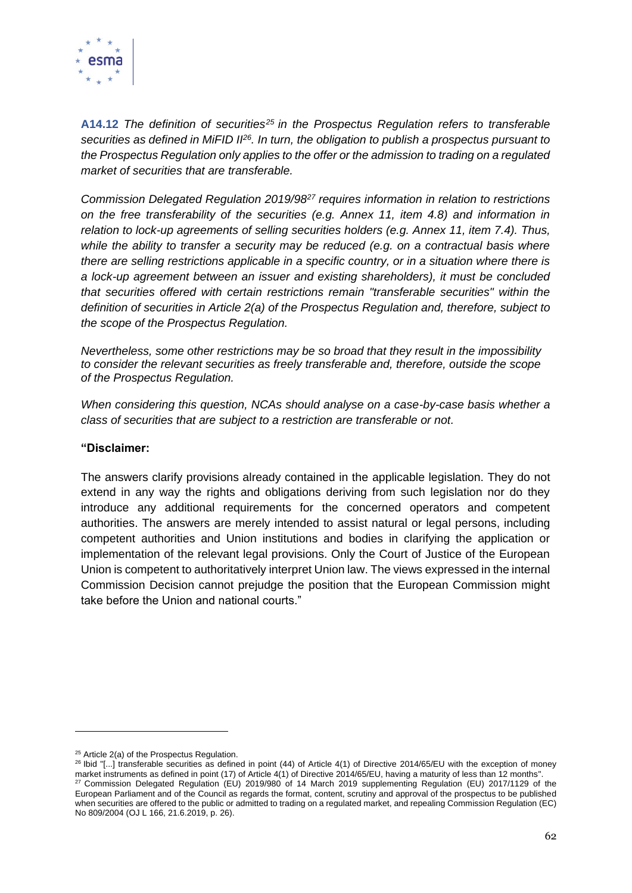

**A14.12** *The definition of securities<sup>25</sup> in the Prospectus Regulation refers to transferable securities as defined in MiFID II<sup>26</sup>. In turn, the obligation to publish a prospectus pursuant to the Prospectus Regulation only applies to the offer or the admission to trading on a regulated market of securities that are transferable.*

*Commission Delegated Regulation 2019/98<sup>27</sup> requires information in relation to restrictions on the free transferability of the securities (e.g. Annex 11, item 4.8) and information in relation to lock-up agreements of selling securities holders (e.g. Annex 11, item 7.4). Thus, while the ability to transfer a security may be reduced (e.g. on a contractual basis where there are selling restrictions applicable in a specific country, or in a situation where there is a lock-up agreement between an issuer and existing shareholders), it must be concluded that securities offered with certain restrictions remain "transferable securities" within the definition of securities in Article 2(a) of the Prospectus Regulation and, therefore, subject to the scope of the Prospectus Regulation.*

*Nevertheless, some other restrictions may be so broad that they result in the impossibility to consider the relevant securities as freely transferable and, therefore, outside the scope of the Prospectus Regulation.* 

*When considering this question, NCAs should analyse on a case-by-case basis whether a class of securities that are subject to a restriction are transferable or not.*

#### **"Disclaimer:**

The answers clarify provisions already contained in the applicable legislation. They do not extend in any way the rights and obligations deriving from such legislation nor do they introduce any additional requirements for the concerned operators and competent authorities. The answers are merely intended to assist natural or legal persons, including competent authorities and Union institutions and bodies in clarifying the application or implementation of the relevant legal provisions. Only the Court of Justice of the European Union is competent to authoritatively interpret Union law. The views expressed in the internal Commission Decision cannot prejudge the position that the European Commission might take before the Union and national courts."

<sup>&</sup>lt;sup>25</sup> Article 2(a) of the Prospectus Regulation.

<sup>&</sup>lt;sup>26</sup> Ibid "[...] transferable securities as defined in point (44) of Article 4(1) of Directive 2014/65/EU with the exception of money market instruments as defined in point (17) of Article 4(1) of Directive 2014/65/EU, having a maturity of less than 12 months". <sup>27</sup> Commission Delegated Regulation (EU) 2019/980 of 14 March 2019 supplementing Regulation (EU) 2017/1129 of the European Parliament and of the Council as regards the format, content, scrutiny and approval of the prospectus to be published when securities are offered to the public or admitted to trading on a regulated market, and repealing Commission Regulation (EC) No 809/2004 (OJ L 166, 21.6.2019, p. 26).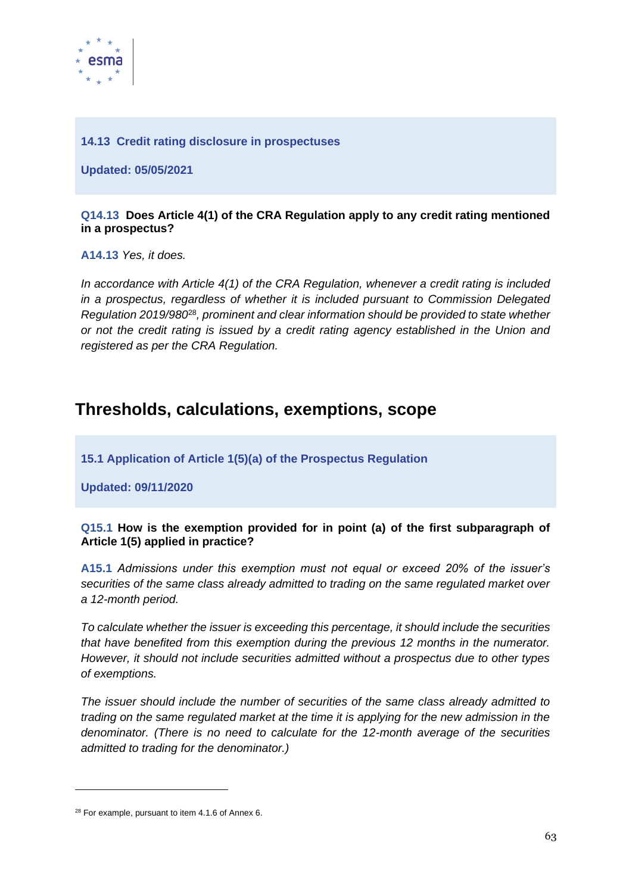

## **14.13 Credit rating disclosure in prospectuses**

**Updated: 05/05/2021**

#### **Q14.13 Does Article 4(1) of the CRA Regulation apply to any credit rating mentioned in a prospectus?**

**A14.13** *Yes, it does.*

*In accordance with Article 4(1) of the CRA Regulation, whenever a credit rating is included in a prospectus, regardless of whether it is included pursuant to Commission Delegated Regulation 2019/980*<sup>28</sup>*, prominent and clear information should be provided to state whether or not the credit rating is issued by a credit rating agency established in the Union and registered as per the CRA Regulation.*

## **Thresholds, calculations, exemptions, scope**

**15.1 Application of Article 1(5)(a) of the Prospectus Regulation**

**Updated: 09/11/2020**

## **Q15.1 How is the exemption provided for in point (a) of the first subparagraph of Article 1(5) applied in practice?**

**A15.1** *Admissions under this exemption must not equal or exceed 20% of the issuer's securities of the same class already admitted to trading on the same regulated market over a 12-month period.* 

*To calculate whether the issuer is exceeding this percentage, it should include the securities that have benefited from this exemption during the previous 12 months in the numerator. However, it should not include securities admitted without a prospectus due to other types of exemptions.* 

*The issuer should include the number of securities of the same class already admitted to trading on the same regulated market at the time it is applying for the new admission in the denominator. (There is no need to calculate for the 12-month average of the securities admitted to trading for the denominator.)* 

<sup>28</sup> For example, pursuant to item 4.1.6 of Annex 6.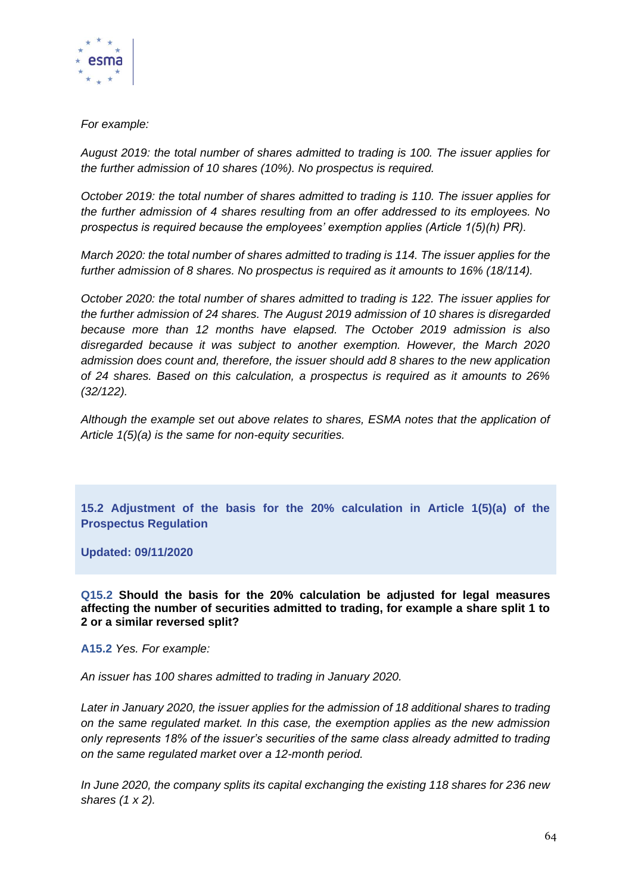

## *For example:*

*August 2019: the total number of shares admitted to trading is 100. The issuer applies for the further admission of 10 shares (10%). No prospectus is required.*

*October 2019: the total number of shares admitted to trading is 110. The issuer applies for the further admission of 4 shares resulting from an offer addressed to its employees. No prospectus is required because the employees' exemption applies (Article 1(5)(h) PR).*

*March 2020: the total number of shares admitted to trading is 114. The issuer applies for the further admission of 8 shares. No prospectus is required as it amounts to 16% (18/114).*

*October 2020: the total number of shares admitted to trading is 122. The issuer applies for the further admission of 24 shares. The August 2019 admission of 10 shares is disregarded because more than 12 months have elapsed. The October 2019 admission is also disregarded because it was subject to another exemption. However, the March 2020 admission does count and, therefore, the issuer should add 8 shares to the new application of 24 shares. Based on this calculation, a prospectus is required as it amounts to 26% (32/122).*

*Although the example set out above relates to shares, ESMA notes that the application of Article 1(5)(a) is the same for non-equity securities.*

**15.2 Adjustment of the basis for the 20% calculation in Article 1(5)(a) of the Prospectus Regulation**

**Updated: 09/11/2020**

**Q15.2 Should the basis for the 20% calculation be adjusted for legal measures affecting the number of securities admitted to trading, for example a share split 1 to 2 or a similar reversed split?**

**A15.2** *Yes. For example:* 

*An issuer has 100 shares admitted to trading in January 2020.*

*Later in January 2020, the issuer applies for the admission of 18 additional shares to trading on the same regulated market. In this case, the exemption applies as the new admission only represents 18% of the issuer's securities of the same class already admitted to trading on the same regulated market over a 12-month period.*

*In June 2020, the company splits its capital exchanging the existing 118 shares for 236 new shares (1 x 2).*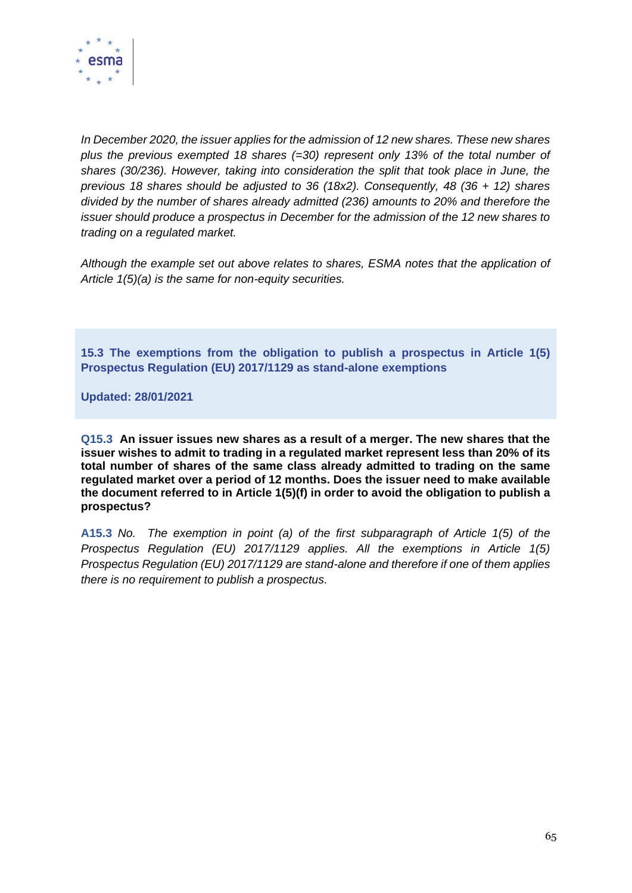

*In December 2020, the issuer applies for the admission of 12 new shares. These new shares plus the previous exempted 18 shares (=30) represent only 13% of the total number of shares (30/236). However, taking into consideration the split that took place in June, the previous 18 shares should be adjusted to 36 (18x2). Consequently, 48 (36 + 12) shares divided by the number of shares already admitted (236) amounts to 20% and therefore the issuer should produce a prospectus in December for the admission of the 12 new shares to trading on a regulated market.*

*Although the example set out above relates to shares, ESMA notes that the application of Article 1(5)(a) is the same for non-equity securities.*

**15.3 The exemptions from the obligation to publish a prospectus in Article 1(5) Prospectus Regulation (EU) 2017/1129 as stand-alone exemptions**

**Updated: 28/01/2021**

**Q15.3 An issuer issues new shares as a result of a merger. The new shares that the issuer wishes to admit to trading in a regulated market represent less than 20% of its total number of shares of the same class already admitted to trading on the same regulated market over a period of 12 months. Does the issuer need to make available the document referred to in Article 1(5)(f) in order to avoid the obligation to publish a prospectus?**

**A15.3** *No. The exemption in point (a) of the first subparagraph of Article 1(5) of the Prospectus Regulation (EU) 2017/1129 applies. All the exemptions in Article 1(5) Prospectus Regulation (EU) 2017/1129 are stand-alone and therefore if one of them applies there is no requirement to publish a prospectus.*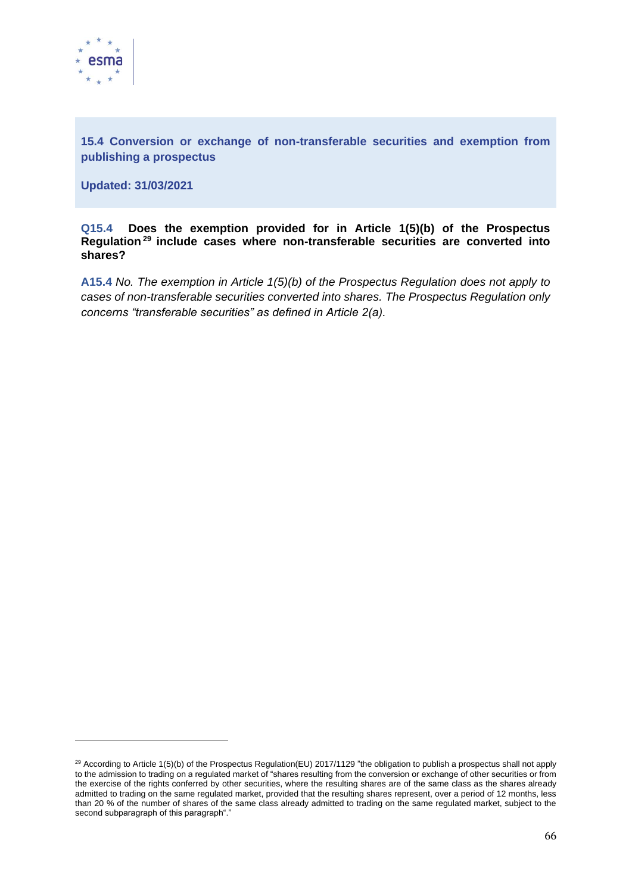

**15.4 Conversion or exchange of non-transferable securities and exemption from publishing a prospectus**

**Updated: 31/03/2021**

**Q15.4 Does the exemption provided for in Article 1(5)(b) of the Prospectus Regulation <sup>29</sup> include cases where non-transferable securities are converted into shares?**

**A15.4** *No. The exemption in Article 1(5)(b) of the Prospectus Regulation does not apply to cases of non-transferable securities converted into shares. The Prospectus Regulation only concerns "transferable securities" as defined in Article 2(a).*

<sup>&</sup>lt;sup>29</sup> According to Article 1(5)(b) of the Prospectus Regulation(EU) 2017/1129 "the obligation to publish a prospectus shall not apply to the admission to trading on a regulated market of "shares resulting from the conversion or exchange of other securities or from the exercise of the rights conferred by other securities, where the resulting shares are of the same class as the shares already admitted to trading on the same regulated market, provided that the resulting shares represent, over a period of 12 months, less than 20 % of the number of shares of the same class already admitted to trading on the same regulated market, subject to the second subparagraph of this paragraph"."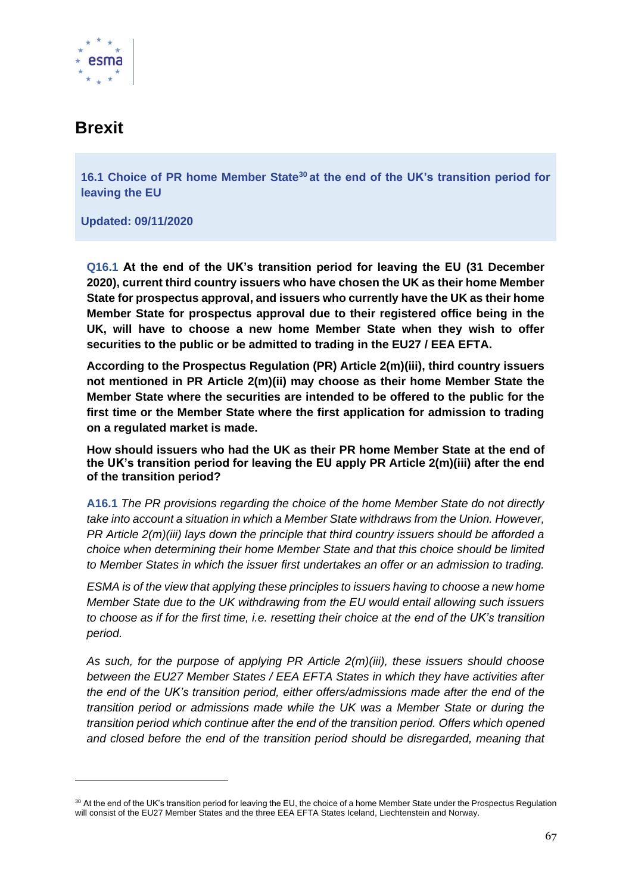

## **Brexit**

**16.1 Choice of PR home Member State<sup>30</sup> at the end of the UK's transition period for leaving the EU**

**Updated: 09/11/2020**

**Q16.1 At the end of the UK's transition period for leaving the EU (31 December 2020), current third country issuers who have chosen the UK as their home Member State for prospectus approval, and issuers who currently have the UK as their home Member State for prospectus approval due to their registered office being in the UK, will have to choose a new home Member State when they wish to offer securities to the public or be admitted to trading in the EU27 / EEA EFTA.**

**According to the Prospectus Regulation (PR) Article 2(m)(iii), third country issuers not mentioned in PR Article 2(m)(ii) may choose as their home Member State the Member State where the securities are intended to be offered to the public for the first time or the Member State where the first application for admission to trading on a regulated market is made.**

**How should issuers who had the UK as their PR home Member State at the end of the UK's transition period for leaving the EU apply PR Article 2(m)(iii) after the end of the transition period?**

**A16.1** *The PR provisions regarding the choice of the home Member State do not directly take into account a situation in which a Member State withdraws from the Union. However, PR Article 2(m)(iii) lays down the principle that third country issuers should be afforded a choice when determining their home Member State and that this choice should be limited to Member States in which the issuer first undertakes an offer or an admission to trading.*

*ESMA is of the view that applying these principles to issuers having to choose a new home Member State due to the UK withdrawing from the EU would entail allowing such issuers to choose as if for the first time, i.e. resetting their choice at the end of the UK's transition period.*

*As such, for the purpose of applying PR Article 2(m)(iii), these issuers should choose between the EU27 Member States / EEA EFTA States in which they have activities after the end of the UK's transition period, either offers/admissions made after the end of the transition period or admissions made while the UK was a Member State or during the transition period which continue after the end of the transition period. Offers which opened and closed before the end of the transition period should be disregarded, meaning that* 

<sup>&</sup>lt;sup>30</sup> At the end of the UK's transition period for leaving the EU, the choice of a home Member State under the Prospectus Regulation will consist of the EU27 Member States and the three EEA EFTA States Iceland, Liechtenstein and Norway.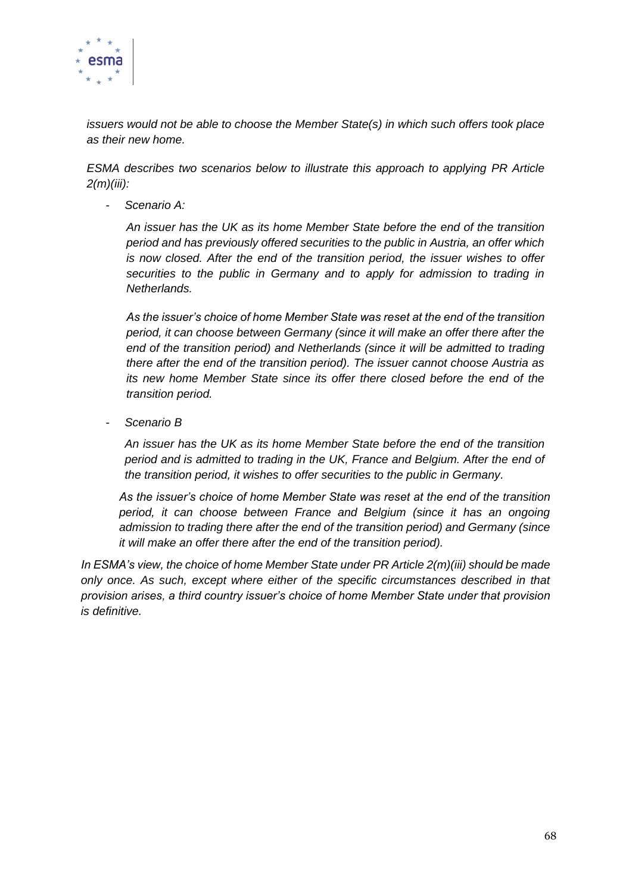

*issuers would not be able to choose the Member State(s) in which such offers took place as their new home.*

*ESMA describes two scenarios below to illustrate this approach to applying PR Article 2(m)(iii):*

- *Scenario A:*

*An issuer has the UK as its home Member State before the end of the transition period and has previously offered securities to the public in Austria, an offer which is now closed. After the end of the transition period, the issuer wishes to offer securities to the public in Germany and to apply for admission to trading in Netherlands.*

*As the issuer's choice of home Member State was reset at the end of the transition period, it can choose between Germany (since it will make an offer there after the end of the transition period) and Netherlands (since it will be admitted to trading there after the end of the transition period). The issuer cannot choose Austria as its new home Member State since its offer there closed before the end of the transition period.*

- *Scenario B*

*An issuer has the UK as its home Member State before the end of the transition period and is admitted to trading in the UK, France and Belgium. After the end of the transition period, it wishes to offer securities to the public in Germany.* 

*As the issuer's choice of home Member State was reset at the end of the transition period, it can choose between France and Belgium (since it has an ongoing admission to trading there after the end of the transition period) and Germany (since it will make an offer there after the end of the transition period).*

*In ESMA's view, the choice of home Member State under PR Article 2(m)(iii) should be made only once. As such, except where either of the specific circumstances described in that provision arises, a third country issuer's choice of home Member State under that provision is definitive.*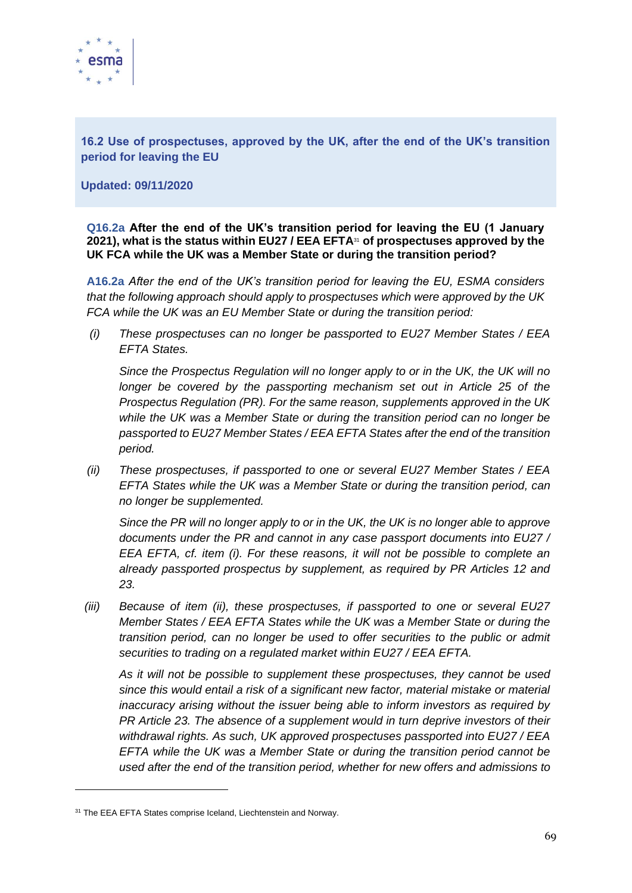

**16.2 Use of prospectuses, approved by the UK, after the end of the UK's transition period for leaving the EU** 

**Updated: 09/11/2020**

**Q16.2a After the end of the UK's transition period for leaving the EU (1 January 2021), what is the status within EU27 / EEA EFTA**<sup>31</sup> **of prospectuses approved by the UK FCA while the UK was a Member State or during the transition period?**

**A16.2a** *After the end of the UK's transition period for leaving the EU, ESMA considers that the following approach should apply to prospectuses which were approved by the UK FCA while the UK was an EU Member State or during the transition period:*

*(i) These prospectuses can no longer be passported to EU27 Member States / EEA EFTA States.*

*Since the Prospectus Regulation will no longer apply to or in the UK, the UK will no longer be covered by the passporting mechanism set out in Article 25 of the Prospectus Regulation (PR). For the same reason, supplements approved in the UK while the UK was a Member State or during the transition period can no longer be passported to EU27 Member States / EEA EFTA States after the end of the transition period.*

*(ii) These prospectuses, if passported to one or several EU27 Member States / EEA EFTA States while the UK was a Member State or during the transition period, can no longer be supplemented.*

*Since the PR will no longer apply to or in the UK, the UK is no longer able to approve documents under the PR and cannot in any case passport documents into EU27 / EEA EFTA, cf. item (i). For these reasons, it will not be possible to complete an already passported prospectus by supplement, as required by PR Articles 12 and 23.*

*(iii) Because of item (ii), these prospectuses, if passported to one or several EU27 Member States / EEA EFTA States while the UK was a Member State or during the transition period, can no longer be used to offer securities to the public or admit securities to trading on a regulated market within EU27 / EEA EFTA.*

*As it will not be possible to supplement these prospectuses, they cannot be used since this would entail a risk of a significant new factor, material mistake or material inaccuracy arising without the issuer being able to inform investors as required by PR Article 23. The absence of a supplement would in turn deprive investors of their withdrawal rights. As such, UK approved prospectuses passported into EU27 / EEA EFTA while the UK was a Member State or during the transition period cannot be used after the end of the transition period, whether for new offers and admissions to* 

<sup>&</sup>lt;sup>31</sup> The EEA EFTA States comprise Iceland, Liechtenstein and Norway.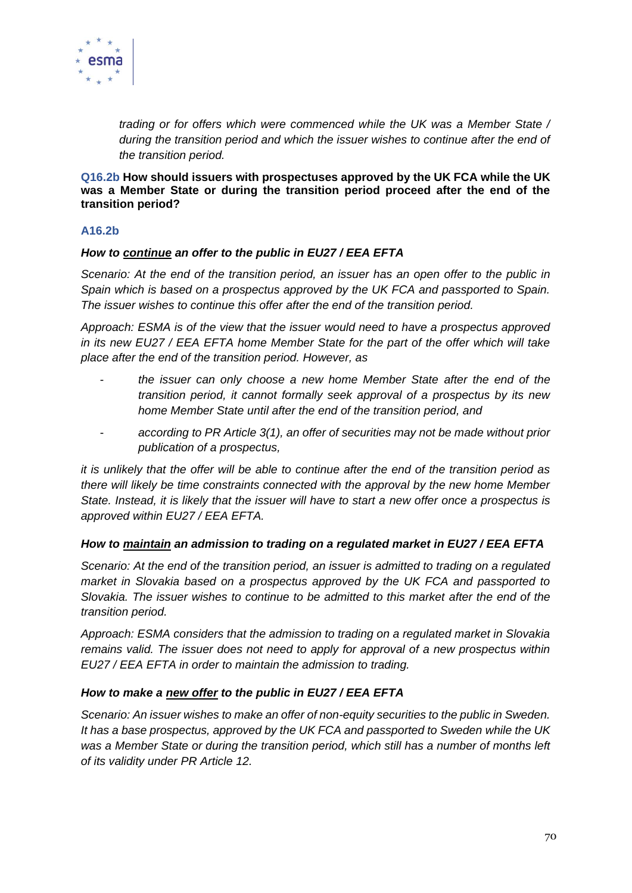

*trading or for offers which were commenced while the UK was a Member State / during the transition period and which the issuer wishes to continue after the end of the transition period.*

**Q16.2b How should issuers with prospectuses approved by the UK FCA while the UK was a Member State or during the transition period proceed after the end of the transition period?**

#### **A16.2b**

## *How to continue an offer to the public in EU27 / EEA EFTA*

*Scenario: At the end of the transition period, an issuer has an open offer to the public in Spain which is based on a prospectus approved by the UK FCA and passported to Spain. The issuer wishes to continue this offer after the end of the transition period.*

*Approach: ESMA is of the view that the issuer would need to have a prospectus approved in its new EU27 / EEA EFTA home Member State for the part of the offer which will take place after the end of the transition period. However, as*

- *the issuer can only choose a new home Member State after the end of the transition period, it cannot formally seek approval of a prospectus by its new home Member State until after the end of the transition period, and*
- *according to PR Article 3(1), an offer of securities may not be made without prior publication of a prospectus,*

*it is unlikely that the offer will be able to continue after the end of the transition period as there will likely be time constraints connected with the approval by the new home Member State. Instead, it is likely that the issuer will have to start a new offer once a prospectus is approved within EU27 / EEA EFTA.*

#### *How to maintain an admission to trading on a regulated market in EU27 / EEA EFTA*

*Scenario: At the end of the transition period, an issuer is admitted to trading on a regulated market in Slovakia based on a prospectus approved by the UK FCA and passported to Slovakia. The issuer wishes to continue to be admitted to this market after the end of the transition period.*

*Approach: ESMA considers that the admission to trading on a regulated market in Slovakia remains valid. The issuer does not need to apply for approval of a new prospectus within EU27 / EEA EFTA in order to maintain the admission to trading.*

#### *How to make a new offer to the public in EU27 / EEA EFTA*

*Scenario: An issuer wishes to make an offer of non-equity securities to the public in Sweden. It has a base prospectus, approved by the UK FCA and passported to Sweden while the UK*  was a Member State or during the transition period, which still has a number of months left *of its validity under PR Article 12.*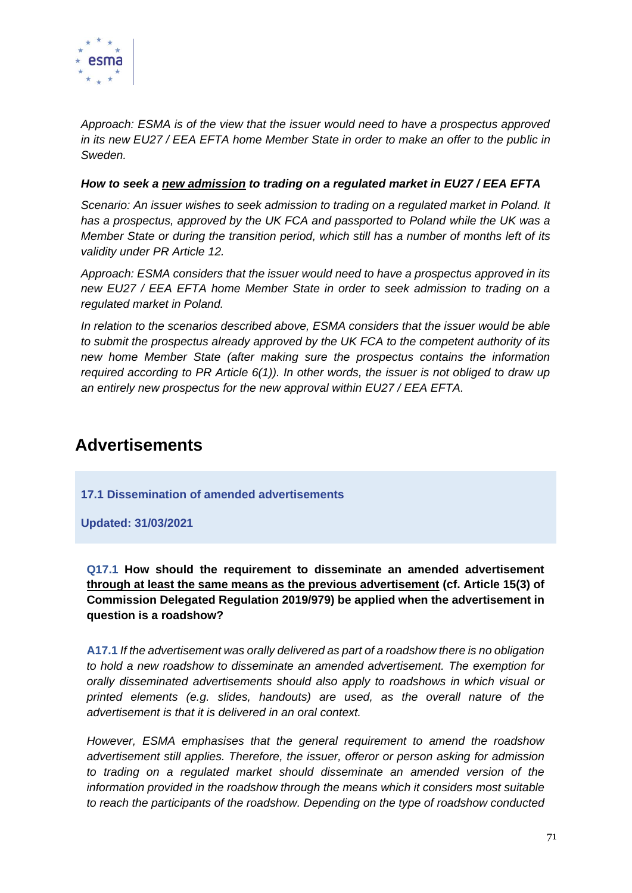

*Approach: ESMA is of the view that the issuer would need to have a prospectus approved in its new EU27 / EEA EFTA home Member State in order to make an offer to the public in Sweden.*

#### *How to seek a new admission to trading on a regulated market in EU27 / EEA EFTA*

*Scenario: An issuer wishes to seek admission to trading on a regulated market in Poland. It*  has a prospectus, approved by the UK FCA and passported to Poland while the UK was a *Member State or during the transition period, which still has a number of months left of its validity under PR Article 12.*

*Approach: ESMA considers that the issuer would need to have a prospectus approved in its new EU27 / EEA EFTA home Member State in order to seek admission to trading on a regulated market in Poland.*

*In relation to the scenarios described above, ESMA considers that the issuer would be able to submit the prospectus already approved by the UK FCA to the competent authority of its new home Member State (after making sure the prospectus contains the information required according to PR Article 6(1)). In other words, the issuer is not obliged to draw up an entirely new prospectus for the new approval within EU27 / EEA EFTA.*

## **Advertisements**

**17.1 Dissemination of amended advertisements**

**Updated: 31/03/2021**

**Q17.1 How should the requirement to disseminate an amended advertisement through at least the same means as the previous advertisement (cf. Article 15(3) of Commission Delegated Regulation 2019/979) be applied when the advertisement in question is a roadshow?**

**A17.1** *If the advertisement was orally delivered as part of a roadshow there is no obligation to hold a new roadshow to disseminate an amended advertisement. The exemption for orally disseminated advertisements should also apply to roadshows in which visual or printed elements (e.g. slides, handouts) are used, as the overall nature of the advertisement is that it is delivered in an oral context.*

*However, ESMA emphasises that the general requirement to amend the roadshow advertisement still applies. Therefore, the issuer, offeror or person asking for admission to trading on a regulated market should disseminate an amended version of the information provided in the roadshow through the means which it considers most suitable to reach the participants of the roadshow. Depending on the type of roadshow conducted*